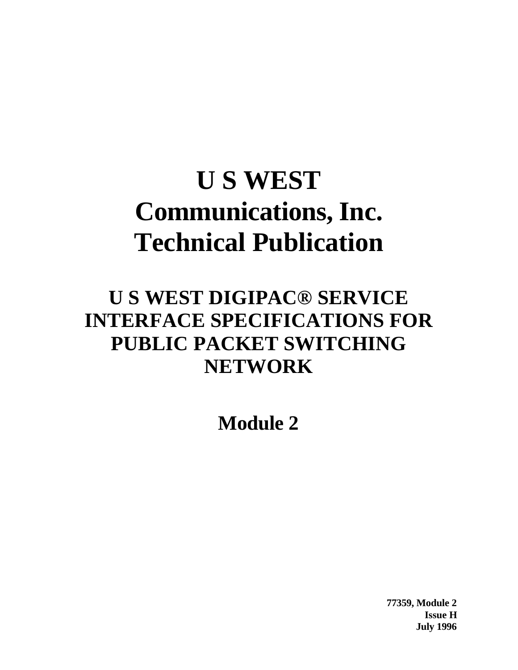# **U S WEST Communications, Inc. Technical Publication**

# **U S WEST DIGIPAC® SERVICE INTERFACE SPECIFICATIONS FOR PUBLIC PACKET SWITCHING NETWORK**

**Module 2**

**77359, Module 2 Issue H July 1996**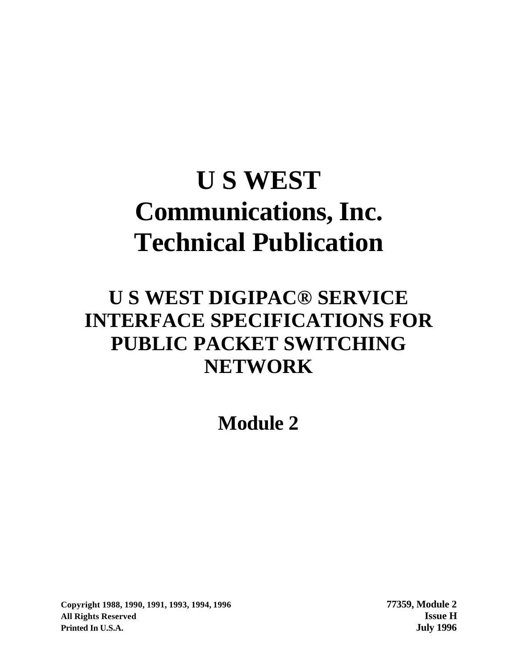# **U S WEST Communications, Inc. Technical Publication**

# **U S WEST DIGIPAC® SERVICE INTERFACE SPECIFICATIONS FOR PUBLIC PACKET SWITCHING NETWORK**

**Module 2**

**Copyright 1988, 1990, 1991, 1993, 1994, 1996 77359, Module 2 All Rights Reserved Issue H Printed In U.S.A. July 1996**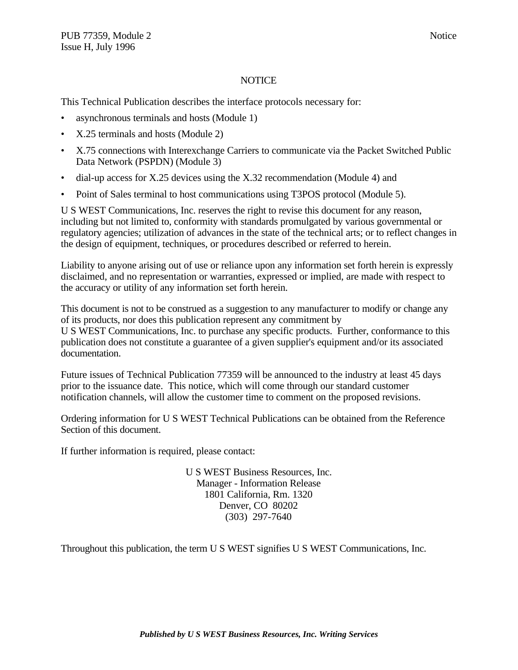#### **NOTICE**

This Technical Publication describes the interface protocols necessary for:

- asynchronous terminals and hosts (Module 1)
- X.25 terminals and hosts (Module 2)
- X.75 connections with Interexchange Carriers to communicate via the Packet Switched Public Data Network (PSPDN) (Module 3)
- dial-up access for X.25 devices using the X.32 recommendation (Module 4) and
- Point of Sales terminal to host communications using T3POS protocol (Module 5).

U S WEST Communications, Inc. reserves the right to revise this document for any reason, including but not limited to, conformity with standards promulgated by various governmental or regulatory agencies; utilization of advances in the state of the technical arts; or to reflect changes in the design of equipment, techniques, or procedures described or referred to herein.

Liability to anyone arising out of use or reliance upon any information set forth herein is expressly disclaimed, and no representation or warranties, expressed or implied, are made with respect to the accuracy or utility of any information set forth herein.

This document is not to be construed as a suggestion to any manufacturer to modify or change any of its products, nor does this publication represent any commitment by U S WEST Communications, Inc. to purchase any specific products. Further, conformance to this publication does not constitute a guarantee of a given supplier's equipment and/or its associated documentation.

Future issues of Technical Publication 77359 will be announced to the industry at least 45 days prior to the issuance date. This notice, which will come through our standard customer notification channels, will allow the customer time to comment on the proposed revisions.

Ordering information for U S WEST Technical Publications can be obtained from the Reference Section of this document.

If further information is required, please contact:

U S WEST Business Resources, Inc. Manager - Information Release 1801 California, Rm. 1320 Denver, CO 80202 (303) 297-7640

Throughout this publication, the term U S WEST signifies U S WEST Communications, Inc.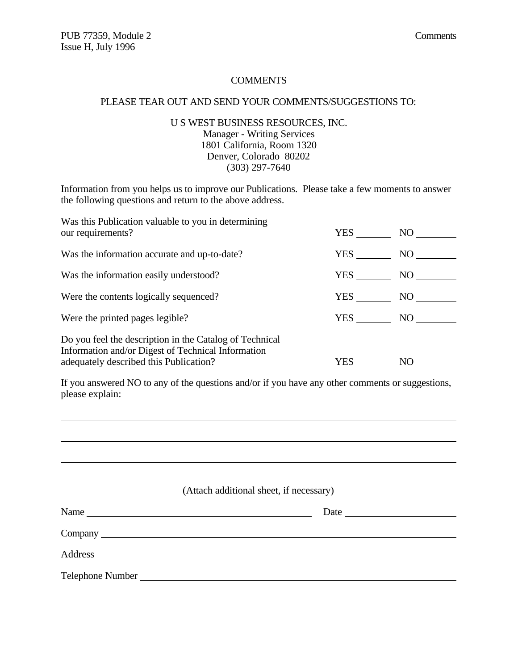#### **COMMENTS**

#### PLEASE TEAR OUT AND SEND YOUR COMMENTS/SUGGESTIONS TO:

#### U S WEST BUSINESS RESOURCES, INC. Manager - Writing Services 1801 California, Room 1320 Denver, Colorado 80202 (303) 297-7640

Information from you helps us to improve our Publications. Please take a few moments to answer the following questions and return to the above address.

| Was this Publication valuable to you in determining<br>our requirements?                                                                                | YES        | NO |
|---------------------------------------------------------------------------------------------------------------------------------------------------------|------------|----|
| Was the information accurate and up-to-date?                                                                                                            | YES        | NO |
| Was the information easily understood?                                                                                                                  | YES        | NO |
| Were the contents logically sequenced?                                                                                                                  | YES        | NO |
| Were the printed pages legible?                                                                                                                         | <b>YES</b> | NO |
| Do you feel the description in the Catalog of Technical<br>Information and/or Digest of Technical Information<br>adequately described this Publication? | YES        | NO |

If you answered NO to any of the questions and/or if you have any other comments or suggestions, please explain:

| (Attach additional sheet, if necessary) |
|-----------------------------------------|
|                                         |
|                                         |
|                                         |
|                                         |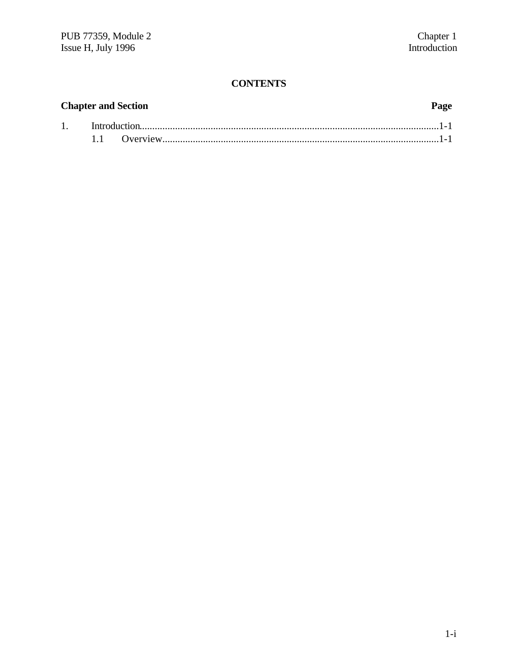#### **CONTENTS**

### **Chapter and Section Page** 1. Introduction......................................................................................................................1-1 1.1 Overview.............................................................................................................1-1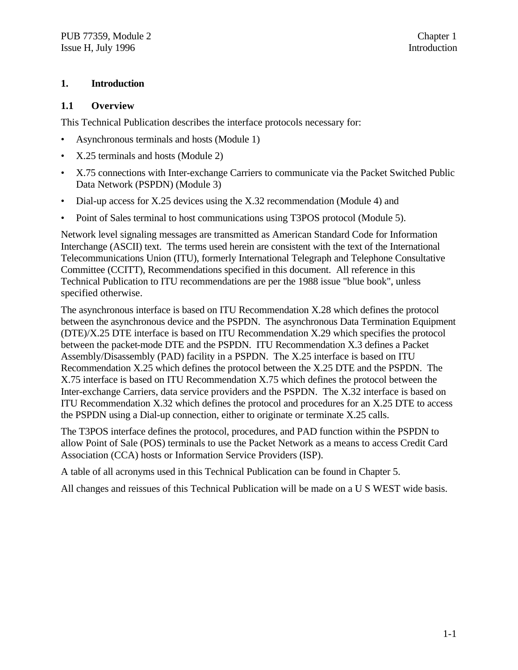#### **1. Introduction**

#### **1.1 Overview**

This Technical Publication describes the interface protocols necessary for:

- Asynchronous terminals and hosts (Module 1)
- X.25 terminals and hosts (Module 2)
- X.75 connections with Inter-exchange Carriers to communicate via the Packet Switched Public Data Network (PSPDN) (Module 3)
- Dial-up access for X.25 devices using the X.32 recommendation (Module 4) and
- Point of Sales terminal to host communications using T3POS protocol (Module 5).

Network level signaling messages are transmitted as American Standard Code for Information Interchange (ASCII) text. The terms used herein are consistent with the text of the International Telecommunications Union (ITU), formerly International Telegraph and Telephone Consultative Committee (CCITT), Recommendations specified in this document. All reference in this Technical Publication to ITU recommendations are per the 1988 issue "blue book", unless specified otherwise.

The asynchronous interface is based on ITU Recommendation X.28 which defines the protocol between the asynchronous device and the PSPDN. The asynchronous Data Termination Equipment (DTE)/X.25 DTE interface is based on ITU Recommendation X.29 which specifies the protocol between the packet-mode DTE and the PSPDN. ITU Recommendation X.3 defines a Packet Assembly/Disassembly (PAD) facility in a PSPDN. The X.25 interface is based on ITU Recommendation X.25 which defines the protocol between the X.25 DTE and the PSPDN. The X.75 interface is based on ITU Recommendation X.75 which defines the protocol between the Inter-exchange Carriers, data service providers and the PSPDN. The X.32 interface is based on ITU Recommendation X.32 which defines the protocol and procedures for an X.25 DTE to access the PSPDN using a Dial-up connection, either to originate or terminate X.25 calls.

The T3POS interface defines the protocol, procedures, and PAD function within the PSPDN to allow Point of Sale (POS) terminals to use the Packet Network as a means to access Credit Card Association (CCA) hosts or Information Service Providers (ISP).

A table of all acronyms used in this Technical Publication can be found in Chapter 5.

All changes and reissues of this Technical Publication will be made on a U S WEST wide basis.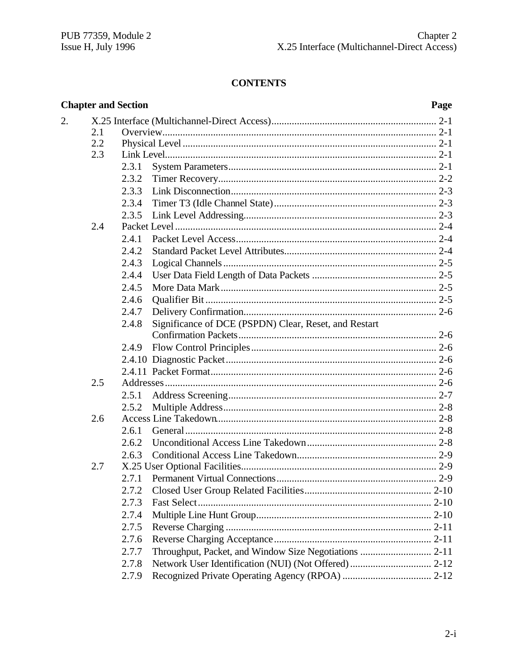### **CONTENTS**

|    |     | <b>Chapter and Section</b> |                                                       | Page |
|----|-----|----------------------------|-------------------------------------------------------|------|
| 2. |     |                            |                                                       |      |
|    | 2.1 |                            |                                                       |      |
|    | 2.2 |                            |                                                       |      |
|    | 2.3 |                            |                                                       |      |
|    |     | 2.3.1                      |                                                       |      |
|    |     | 2.3.2                      |                                                       |      |
|    |     | 2.3.3                      |                                                       |      |
|    |     | 2.3.4                      |                                                       |      |
|    |     | 2.3.5                      |                                                       |      |
|    | 2.4 |                            |                                                       |      |
|    |     | 2.4.1                      |                                                       |      |
|    |     | 2.4.2                      |                                                       |      |
|    |     | 2.4.3                      |                                                       |      |
|    |     | 2.4.4                      |                                                       |      |
|    |     | 2.4.5                      |                                                       |      |
|    |     | 2.4.6                      |                                                       |      |
|    |     | 2.4.7                      |                                                       |      |
|    |     | 2.4.8                      | Significance of DCE (PSPDN) Clear, Reset, and Restart |      |
|    |     |                            |                                                       |      |
|    |     | 2.4.9                      |                                                       |      |
|    |     |                            |                                                       |      |
|    |     |                            |                                                       |      |
|    | 2.5 |                            |                                                       |      |
|    |     | 2.5.1                      |                                                       |      |
|    |     | 2.5.2                      |                                                       |      |
|    | 2.6 |                            |                                                       |      |
|    |     | 2.6.1                      |                                                       |      |
|    |     |                            |                                                       |      |
|    |     | 2.6.3                      |                                                       |      |
|    | 2.7 |                            |                                                       |      |
|    |     |                            |                                                       |      |
|    |     | 2.7.2                      |                                                       |      |
|    |     | 2.7.3                      |                                                       |      |
|    |     | 2.7.4                      |                                                       |      |
|    |     | 2.7.5                      |                                                       |      |
|    |     | 2.7.6                      |                                                       |      |
|    |     | 2.7.7                      |                                                       |      |
|    |     | 2.7.8                      |                                                       |      |
|    |     | 2.7.9                      |                                                       |      |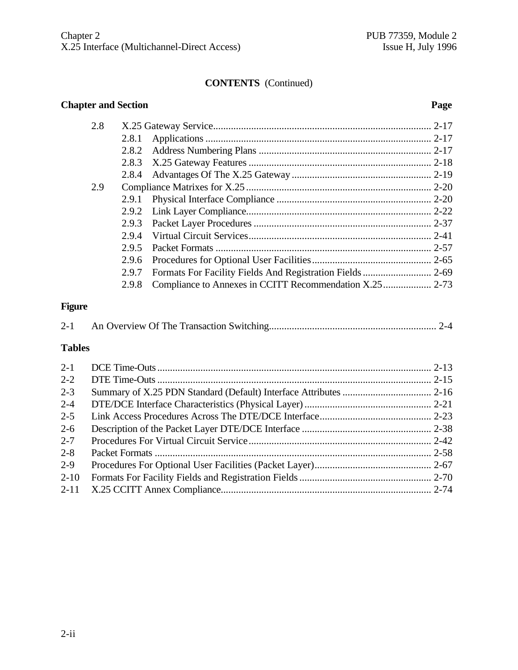#### **CONTENTS** (Continued)

#### **Chapter and Section Page**

|               | 2.8 |       |                                                           |  |  |  |  |
|---------------|-----|-------|-----------------------------------------------------------|--|--|--|--|
|               |     | 2.8.1 |                                                           |  |  |  |  |
|               |     | 2.8.2 |                                                           |  |  |  |  |
|               |     | 2.8.3 |                                                           |  |  |  |  |
|               |     | 2.8.4 |                                                           |  |  |  |  |
|               | 2.9 |       |                                                           |  |  |  |  |
|               |     | 2.9.1 |                                                           |  |  |  |  |
|               |     | 2.9.2 |                                                           |  |  |  |  |
|               |     | 2.9.3 |                                                           |  |  |  |  |
|               |     | 2.9.4 |                                                           |  |  |  |  |
|               |     | 2.9.5 |                                                           |  |  |  |  |
|               |     | 2.9.6 |                                                           |  |  |  |  |
|               |     | 2.9.7 | Formats For Facility Fields And Registration Fields  2-69 |  |  |  |  |
|               |     | 2.9.8 |                                                           |  |  |  |  |
| <b>Figure</b> |     |       |                                                           |  |  |  |  |
| $2 - 1$       |     |       |                                                           |  |  |  |  |
| <b>Tables</b> |     |       |                                                           |  |  |  |  |
| $2 - 1$       |     |       |                                                           |  |  |  |  |
| $2 - 2$       |     |       |                                                           |  |  |  |  |
| $2 - 3$       |     |       |                                                           |  |  |  |  |
| $2 - 4$       |     |       |                                                           |  |  |  |  |
| $2 - 5$       |     |       |                                                           |  |  |  |  |
| $2 - 6$       |     |       |                                                           |  |  |  |  |
| $2 - 7$       |     |       |                                                           |  |  |  |  |
| $2 - 8$       |     |       |                                                           |  |  |  |  |
| $2 - 9$       |     |       |                                                           |  |  |  |  |

2-10 Formats For Facility Fields and Registration Fields.................................................... 2-70 2-11 X.25 CCITT Annex Compliance................................................................................... 2-74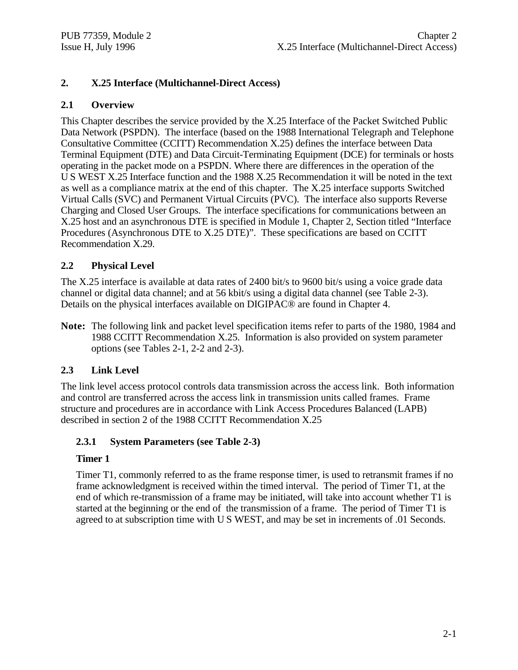#### **2. X.25 Interface (Multichannel-Direct Access)**

#### **2.1 Overview**

This Chapter describes the service provided by the X.25 Interface of the Packet Switched Public Data Network (PSPDN). The interface (based on the 1988 International Telegraph and Telephone Consultative Committee (CCITT) Recommendation X.25) defines the interface between Data Terminal Equipment (DTE) and Data Circuit-Terminating Equipment (DCE) for terminals or hosts operating in the packet mode on a PSPDN. Where there are differences in the operation of the U S WEST X.25 Interface function and the 1988 X.25 Recommendation it will be noted in the text as well as a compliance matrix at the end of this chapter. The X.25 interface supports Switched Virtual Calls (SVC) and Permanent Virtual Circuits (PVC). The interface also supports Reverse Charging and Closed User Groups. The interface specifications for communications between an X.25 host and an asynchronous DTE is specified in Module 1, Chapter 2, Section titled "Interface Procedures (Asynchronous DTE to X.25 DTE)". These specifications are based on CCITT Recommendation X.29.

#### **2.2 Physical Level**

The X.25 interface is available at data rates of 2400 bit/s to 9600 bit/s using a voice grade data channel or digital data channel; and at 56 kbit/s using a digital data channel (see Table 2-3). Details on the physical interfaces available on DIGIPAC® are found in Chapter 4.

**Note:** The following link and packet level specification items refer to parts of the 1980, 1984 and 1988 CCITT Recommendation X.25. Information is also provided on system parameter options (see Tables 2-1, 2-2 and 2-3).

#### **2.3 Link Level**

The link level access protocol controls data transmission across the access link. Both information and control are transferred across the access link in transmission units called frames. Frame structure and procedures are in accordance with Link Access Procedures Balanced (LAPB) described in section 2 of the 1988 CCITT Recommendation X.25

#### **2.3.1 System Parameters (see Table 2-3)**

#### **Timer 1**

Timer T1, commonly referred to as the frame response timer, is used to retransmit frames if no frame acknowledgment is received within the timed interval. The period of Timer T1, at the end of which re-transmission of a frame may be initiated, will take into account whether T1 is started at the beginning or the end of the transmission of a frame. The period of Timer T1 is agreed to at subscription time with U S WEST, and may be set in increments of .01 Seconds.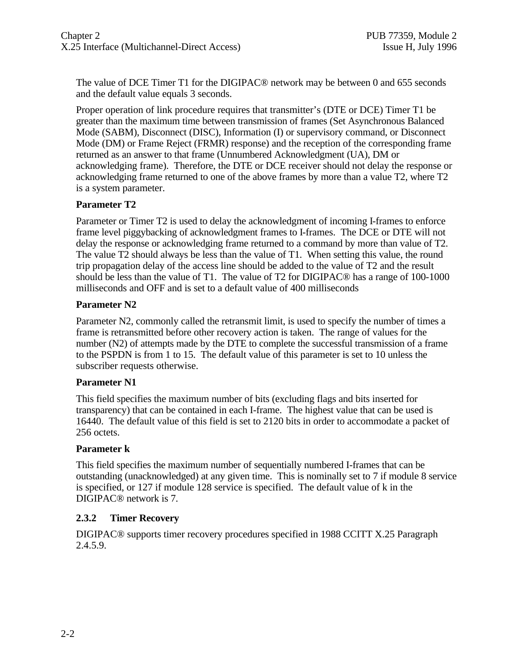The value of DCE Timer T1 for the DIGIPAC® network may be between 0 and 655 seconds and the default value equals 3 seconds.

Proper operation of link procedure requires that transmitter's (DTE or DCE) Timer T1 be greater than the maximum time between transmission of frames (Set Asynchronous Balanced Mode (SABM), Disconnect (DISC), Information (I) or supervisory command, or Disconnect Mode (DM) or Frame Reject (FRMR) response) and the reception of the corresponding frame returned as an answer to that frame (Unnumbered Acknowledgment (UA), DM or acknowledging frame). Therefore, the DTE or DCE receiver should not delay the response or acknowledging frame returned to one of the above frames by more than a value T2, where T2 is a system parameter.

#### **Parameter T2**

Parameter or Timer T2 is used to delay the acknowledgment of incoming I-frames to enforce frame level piggybacking of acknowledgment frames to I-frames. The DCE or DTE will not delay the response or acknowledging frame returned to a command by more than value of T2. The value T2 should always be less than the value of T1. When setting this value, the round trip propagation delay of the access line should be added to the value of T2 and the result should be less than the value of T1. The value of T2 for DIGIPAC® has a range of 100-1000 milliseconds and OFF and is set to a default value of 400 milliseconds

#### **Parameter N2**

Parameter N2, commonly called the retransmit limit, is used to specify the number of times a frame is retransmitted before other recovery action is taken. The range of values for the number (N2) of attempts made by the DTE to complete the successful transmission of a frame to the PSPDN is from 1 to 15. The default value of this parameter is set to 10 unless the subscriber requests otherwise.

#### **Parameter N1**

This field specifies the maximum number of bits (excluding flags and bits inserted for transparency) that can be contained in each I-frame. The highest value that can be used is 16440. The default value of this field is set to 2120 bits in order to accommodate a packet of 256 octets.

#### **Parameter k**

This field specifies the maximum number of sequentially numbered I-frames that can be outstanding (unacknowledged) at any given time. This is nominally set to 7 if module 8 service is specified, or 127 if module 128 service is specified. The default value of k in the DIGIPAC® network is 7.

#### **2.3.2 Timer Recovery**

DIGIPAC® supports timer recovery procedures specified in 1988 CCITT X.25 Paragraph 2.4.5.9.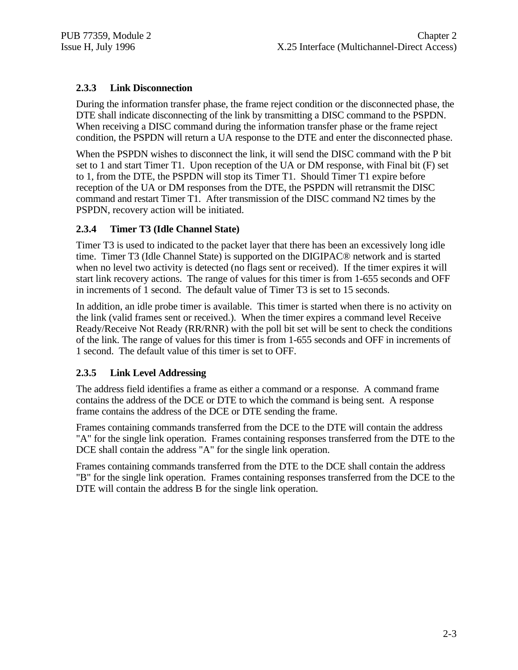#### **2.3.3 Link Disconnection**

During the information transfer phase, the frame reject condition or the disconnected phase, the DTE shall indicate disconnecting of the link by transmitting a DISC command to the PSPDN. When receiving a DISC command during the information transfer phase or the frame reject condition, the PSPDN will return a UA response to the DTE and enter the disconnected phase.

When the PSPDN wishes to disconnect the link, it will send the DISC command with the P bit set to 1 and start Timer T1. Upon reception of the UA or DM response, with Final bit (F) set to 1, from the DTE, the PSPDN will stop its Timer T1. Should Timer T1 expire before reception of the UA or DM responses from the DTE, the PSPDN will retransmit the DISC command and restart Timer T1. After transmission of the DISC command N2 times by the PSPDN, recovery action will be initiated.

#### **2.3.4 Timer T3 (Idle Channel State)**

Timer T3 is used to indicated to the packet layer that there has been an excessively long idle time. Timer T3 (Idle Channel State) is supported on the DIGIPAC® network and is started when no level two activity is detected (no flags sent or received). If the timer expires it will start link recovery actions. The range of values for this timer is from 1-655 seconds and OFF in increments of 1 second. The default value of Timer T3 is set to 15 seconds.

In addition, an idle probe timer is available. This timer is started when there is no activity on the link (valid frames sent or received.). When the timer expires a command level Receive Ready/Receive Not Ready (RR/RNR) with the poll bit set will be sent to check the conditions of the link. The range of values for this timer is from 1-655 seconds and OFF in increments of 1 second. The default value of this timer is set to OFF.

#### **2.3.5 Link Level Addressing**

The address field identifies a frame as either a command or a response. A command frame contains the address of the DCE or DTE to which the command is being sent. A response frame contains the address of the DCE or DTE sending the frame.

Frames containing commands transferred from the DCE to the DTE will contain the address "A" for the single link operation. Frames containing responses transferred from the DTE to the DCE shall contain the address "A" for the single link operation.

Frames containing commands transferred from the DTE to the DCE shall contain the address "B" for the single link operation. Frames containing responses transferred from the DCE to the DTE will contain the address B for the single link operation.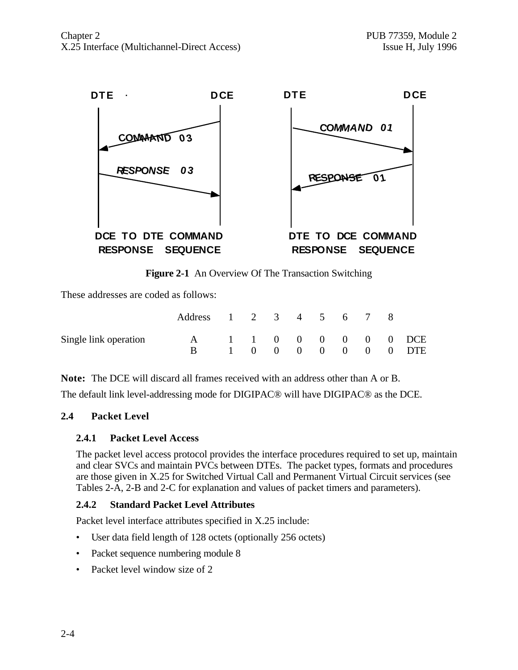

**Figure 2-1** An Overview Of The Transaction Switching

These addresses are coded as follows:

|                       | Address 1 2 3 4 5 6 7 8 |  |  |  |  |                                            |
|-----------------------|-------------------------|--|--|--|--|--------------------------------------------|
| Single link operation | $\mathbf{A}$            |  |  |  |  | 1 1 0 0 0 0 0 0 DCE<br>1 0 0 0 0 0 0 0 DTE |

**Note:** The DCE will discard all frames received with an address other than A or B. The default link level-addressing mode for DIGIPAC® will have DIGIPAC® as the DCE.

#### **2.4 Packet Level**

#### **2.4.1 Packet Level Access**

The packet level access protocol provides the interface procedures required to set up, maintain and clear SVCs and maintain PVCs between DTEs. The packet types, formats and procedures are those given in X.25 for Switched Virtual Call and Permanent Virtual Circuit services (see Tables 2-A, 2-B and 2-C for explanation and values of packet timers and parameters).

#### **2.4.2 Standard Packet Level Attributes**

Packet level interface attributes specified in X.25 include:

- User data field length of 128 octets (optionally 256 octets)
- Packet sequence numbering module 8
- Packet level window size of 2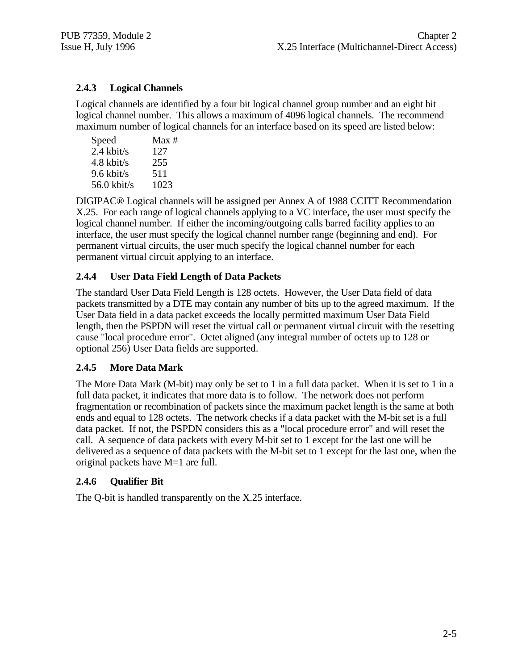#### **2.4.3 Logical Channels**

Logical channels are identified by a four bit logical channel group number and an eight bit logical channel number. This allows a maximum of 4096 logical channels. The recommend maximum number of logical channels for an interface based on its speed are listed below:

| Speed         | Max # |
|---------------|-------|
| $2.4$ kbit/s  | 127   |
| $4.8$ kbit/s  | 255   |
| $9.6$ kbit/s  | 511   |
| $56.0$ kbit/s | 1023  |

DIGIPAC® Logical channels will be assigned per Annex A of 1988 CCITT Recommendation X.25. For each range of logical channels applying to a VC interface, the user must specify the logical channel number. If either the incoming/outgoing calls barred facility applies to an interface, the user must specify the logical channel number range (beginning and end). For permanent virtual circuits, the user much specify the logical channel number for each permanent virtual circuit applying to an interface.

#### **2.4.4 User Data Field Length of Data Packets**

The standard User Data Field Length is 128 octets. However, the User Data field of data packets transmitted by a DTE may contain any number of bits up to the agreed maximum. If the User Data field in a data packet exceeds the locally permitted maximum User Data Field length, then the PSPDN will reset the virtual call or permanent virtual circuit with the resetting cause "local procedure error". Octet aligned (any integral number of octets up to 128 or optional 256) User Data fields are supported.

#### **2.4.5 More Data Mark**

The More Data Mark (M-bit) may only be set to 1 in a full data packet. When it is set to 1 in a full data packet, it indicates that more data is to follow. The network does not perform fragmentation or recombination of packets since the maximum packet length is the same at both ends and equal to 128 octets. The network checks if a data packet with the M-bit set is a full data packet. If not, the PSPDN considers this as a "local procedure error" and will reset the call. A sequence of data packets with every M-bit set to 1 except for the last one will be delivered as a sequence of data packets with the M-bit set to 1 except for the last one, when the original packets have M=1 are full.

#### **2.4.6 Qualifier Bit**

The Q-bit is handled transparently on the X.25 interface.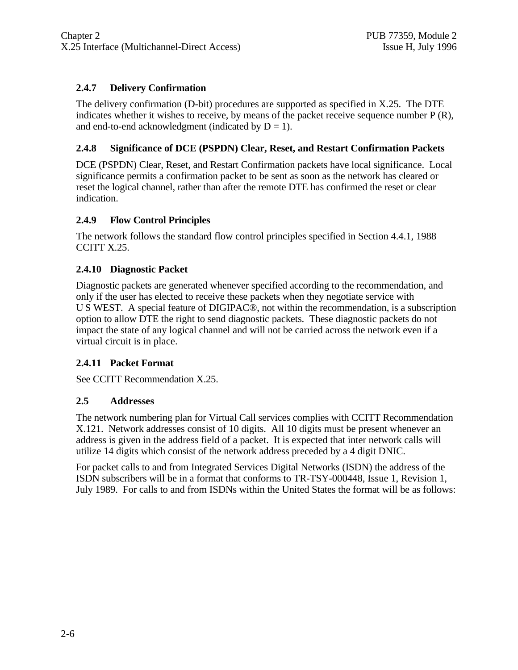#### **2.4.7 Delivery Confirmation**

The delivery confirmation (D-bit) procedures are supported as specified in X.25. The DTE indicates whether it wishes to receive, by means of the packet receive sequence number P (R), and end-to-end acknowledgment (indicated by  $D = 1$ ).

#### **2.4.8 Significance of DCE (PSPDN) Clear, Reset, and Restart Confirmation Packets**

DCE (PSPDN) Clear, Reset, and Restart Confirmation packets have local significance. Local significance permits a confirmation packet to be sent as soon as the network has cleared or reset the logical channel, rather than after the remote DTE has confirmed the reset or clear indication.

#### **2.4.9 Flow Control Principles**

The network follows the standard flow control principles specified in Section 4.4.1, 1988 CCITT X.25.

#### **2.4.10 Diagnostic Packet**

Diagnostic packets are generated whenever specified according to the recommendation, and only if the user has elected to receive these packets when they negotiate service with U S WEST. A special feature of DIGIPAC®, not within the recommendation, is a subscription option to allow DTE the right to send diagnostic packets. These diagnostic packets do not impact the state of any logical channel and will not be carried across the network even if a virtual circuit is in place.

#### **2.4.11 Packet Format**

See CCITT Recommendation X.25.

#### **2.5 Addresses**

The network numbering plan for Virtual Call services complies with CCITT Recommendation X.121. Network addresses consist of 10 digits. All 10 digits must be present whenever an address is given in the address field of a packet. It is expected that inter network calls will utilize 14 digits which consist of the network address preceded by a 4 digit DNIC.

For packet calls to and from Integrated Services Digital Networks (ISDN) the address of the ISDN subscribers will be in a format that conforms to TR-TSY-000448, Issue 1, Revision 1, July 1989. For calls to and from ISDNs within the United States the format will be as follows: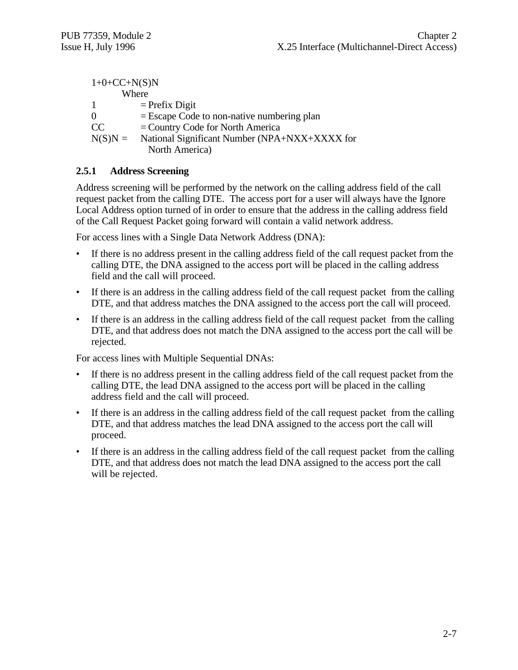| National Significant Number (NPA+NXX+XXXX for |
|-----------------------------------------------|
|                                               |
|                                               |

#### **2.5.1 Address Screening**

Address screening will be performed by the network on the calling address field of the call request packet from the calling DTE. The access port for a user will always have the Ignore Local Address option turned of in order to ensure that the address in the calling address field of the Call Request Packet going forward will contain a valid network address.

For access lines with a Single Data Network Address (DNA):

- If there is no address present in the calling address field of the call request packet from the calling DTE, the DNA assigned to the access port will be placed in the calling address field and the call will proceed.
- If there is an address in the calling address field of the call request packet from the calling DTE, and that address matches the DNA assigned to the access port the call will proceed.
- If there is an address in the calling address field of the call request packet from the calling DTE, and that address does not match the DNA assigned to the access port the call will be rejected.

For access lines with Multiple Sequential DNAs:

- If there is no address present in the calling address field of the call request packet from the calling DTE, the lead DNA assigned to the access port will be placed in the calling address field and the call will proceed.
- If there is an address in the calling address field of the call request packet from the calling DTE, and that address matches the lead DNA assigned to the access port the call will proceed.
- If there is an address in the calling address field of the call request packet from the calling DTE, and that address does not match the lead DNA assigned to the access port the call will be rejected.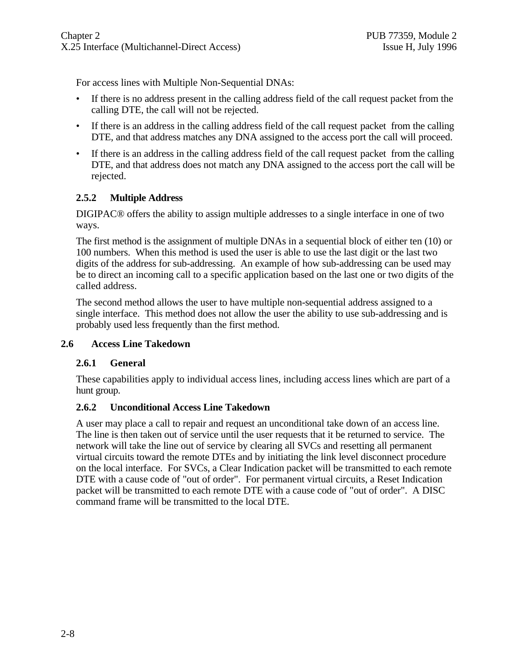For access lines with Multiple Non-Sequential DNAs:

- If there is no address present in the calling address field of the call request packet from the calling DTE, the call will not be rejected.
- If there is an address in the calling address field of the call request packet from the calling DTE, and that address matches any DNA assigned to the access port the call will proceed.
- If there is an address in the calling address field of the call request packet from the calling DTE, and that address does not match any DNA assigned to the access port the call will be rejected.

#### **2.5.2 Multiple Address**

DIGIPAC® offers the ability to assign multiple addresses to a single interface in one of two ways.

The first method is the assignment of multiple DNAs in a sequential block of either ten (10) or 100 numbers. When this method is used the user is able to use the last digit or the last two digits of the address for sub-addressing. An example of how sub-addressing can be used may be to direct an incoming call to a specific application based on the last one or two digits of the called address.

The second method allows the user to have multiple non-sequential address assigned to a single interface. This method does not allow the user the ability to use sub-addressing and is probably used less frequently than the first method.

#### **2.6 Access Line Takedown**

#### **2.6.1 General**

These capabilities apply to individual access lines, including access lines which are part of a hunt group.

#### **2.6.2 Unconditional Access Line Takedown**

A user may place a call to repair and request an unconditional take down of an access line. The line is then taken out of service until the user requests that it be returned to service. The network will take the line out of service by clearing all SVCs and resetting all permanent virtual circuits toward the remote DTEs and by initiating the link level disconnect procedure on the local interface. For SVCs, a Clear Indication packet will be transmitted to each remote DTE with a cause code of "out of order". For permanent virtual circuits, a Reset Indication packet will be transmitted to each remote DTE with a cause code of "out of order". A DISC command frame will be transmitted to the local DTE.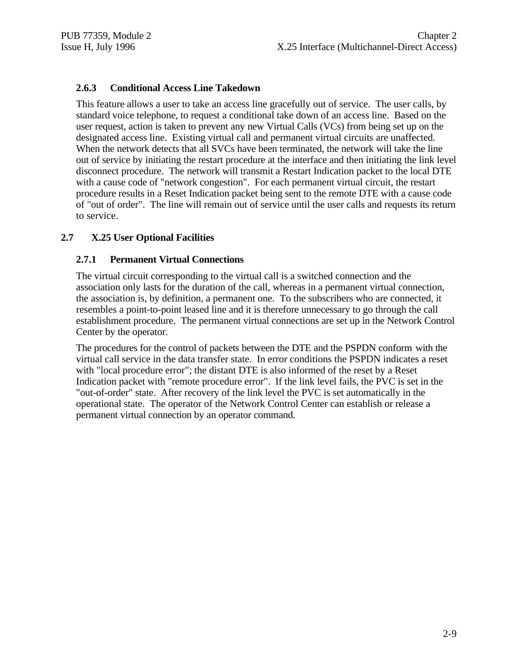#### **2.6.3 Conditional Access Line Takedown**

This feature allows a user to take an access line gracefully out of service. The user calls, by standard voice telephone, to request a conditional take down of an access line. Based on the user request, action is taken to prevent any new Virtual Calls (VCs) from being set up on the designated access line. Existing virtual call and permanent virtual circuits are unaffected. When the network detects that all SVCs have been terminated, the network will take the line out of service by initiating the restart procedure at the interface and then initiating the link level disconnect procedure. The network will transmit a Restart Indication packet to the local DTE with a cause code of "network congestion". For each permanent virtual circuit, the restart procedure results in a Reset Indication packet being sent to the remote DTE with a cause code of "out of order". The line will remain out of service until the user calls and requests its return to service.

#### **2.7 X.25 User Optional Facilities**

#### **2.7.1 Permanent Virtual Connections**

The virtual circuit corresponding to the virtual call is a switched connection and the association only lasts for the duration of the call, whereas in a permanent virtual connection, the association is, by definition, a permanent one. To the subscribers who are connected, it resembles a point-to-point leased line and it is therefore unnecessary to go through the call establishment procedure. The permanent virtual connections are set up in the Network Control Center by the operator.

The procedures for the control of packets between the DTE and the PSPDN conform with the virtual call service in the data transfer state. In error conditions the PSPDN indicates a reset with "local procedure error"; the distant DTE is also informed of the reset by a Reset Indication packet with "remote procedure error". If the link level fails, the PVC is set in the "out-of-order" state. After recovery of the link level the PVC is set automatically in the operational state. The operator of the Network Control Center can establish or release a permanent virtual connection by an operator command.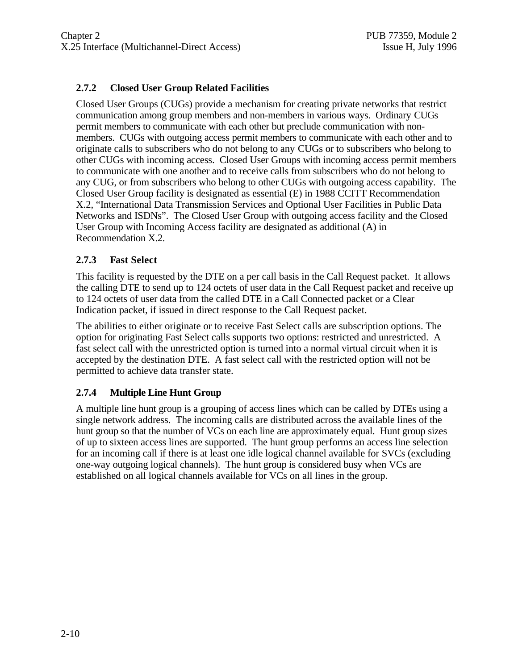#### **2.7.2 Closed User Group Related Facilities**

Closed User Groups (CUGs) provide a mechanism for creating private networks that restrict communication among group members and non-members in various ways. Ordinary CUGs permit members to communicate with each other but preclude communication with nonmembers. CUGs with outgoing access permit members to communicate with each other and to originate calls to subscribers who do not belong to any CUGs or to subscribers who belong to other CUGs with incoming access. Closed User Groups with incoming access permit members to communicate with one another and to receive calls from subscribers who do not belong to any CUG, or from subscribers who belong to other CUGs with outgoing access capability. The Closed User Group facility is designated as essential (E) in 1988 CCITT Recommendation X.2, "International Data Transmission Services and Optional User Facilities in Public Data Networks and ISDNs". The Closed User Group with outgoing access facility and the Closed User Group with Incoming Access facility are designated as additional (A) in Recommendation X.2.

#### **2.7.3 Fast Select**

This facility is requested by the DTE on a per call basis in the Call Request packet. It allows the calling DTE to send up to 124 octets of user data in the Call Request packet and receive up to 124 octets of user data from the called DTE in a Call Connected packet or a Clear Indication packet, if issued in direct response to the Call Request packet.

The abilities to either originate or to receive Fast Select calls are subscription options. The option for originating Fast Select calls supports two options: restricted and unrestricted. A fast select call with the unrestricted option is turned into a normal virtual circuit when it is accepted by the destination DTE. A fast select call with the restricted option will not be permitted to achieve data transfer state.

#### **2.7.4 Multiple Line Hunt Group**

A multiple line hunt group is a grouping of access lines which can be called by DTEs using a single network address. The incoming calls are distributed across the available lines of the hunt group so that the number of VCs on each line are approximately equal. Hunt group sizes of up to sixteen access lines are supported. The hunt group performs an access line selection for an incoming call if there is at least one idle logical channel available for SVCs (excluding one-way outgoing logical channels). The hunt group is considered busy when VCs are established on all logical channels available for VCs on all lines in the group.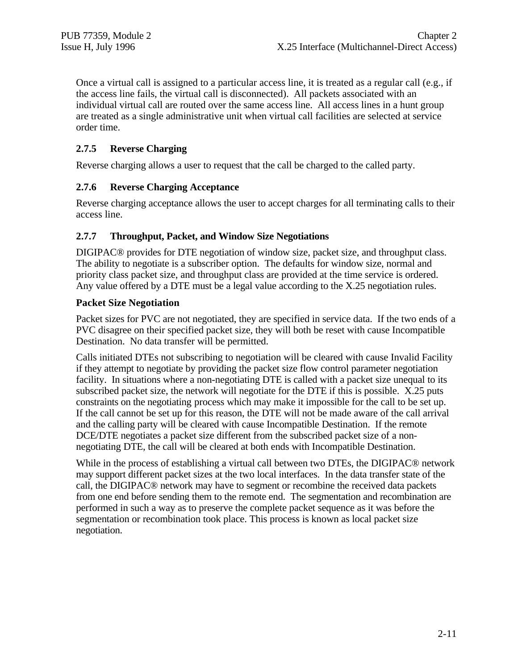Once a virtual call is assigned to a particular access line, it is treated as a regular call (e.g., if the access line fails, the virtual call is disconnected). All packets associated with an individual virtual call are routed over the same access line. All access lines in a hunt group are treated as a single administrative unit when virtual call facilities are selected at service order time.

#### **2.7.5 Reverse Charging**

Reverse charging allows a user to request that the call be charged to the called party.

#### **2.7.6 Reverse Charging Acceptance**

Reverse charging acceptance allows the user to accept charges for all terminating calls to their access line.

#### **2.7.7 Throughput, Packet, and Window Size Negotiations**

DIGIPAC® provides for DTE negotiation of window size, packet size, and throughput class. The ability to negotiate is a subscriber option. The defaults for window size, normal and priority class packet size, and throughput class are provided at the time service is ordered. Any value offered by a DTE must be a legal value according to the X.25 negotiation rules.

#### **Packet Size Negotiation**

Packet sizes for PVC are not negotiated, they are specified in service data. If the two ends of a PVC disagree on their specified packet size, they will both be reset with cause Incompatible Destination. No data transfer will be permitted.

Calls initiated DTEs not subscribing to negotiation will be cleared with cause Invalid Facility if they attempt to negotiate by providing the packet size flow control parameter negotiation facility. In situations where a non-negotiating DTE is called with a packet size unequal to its subscribed packet size, the network will negotiate for the DTE if this is possible. X.25 puts constraints on the negotiating process which may make it impossible for the call to be set up. If the call cannot be set up for this reason, the DTE will not be made aware of the call arrival and the calling party will be cleared with cause Incompatible Destination. If the remote DCE/DTE negotiates a packet size different from the subscribed packet size of a nonnegotiating DTE, the call will be cleared at both ends with Incompatible Destination.

While in the process of establishing a virtual call between two DTEs, the DIGIPAC® network may support different packet sizes at the two local interfaces. In the data transfer state of the call, the DIGIPAC® network may have to segment or recombine the received data packets from one end before sending them to the remote end. The segmentation and recombination are performed in such a way as to preserve the complete packet sequence as it was before the segmentation or recombination took place. This process is known as local packet size negotiation.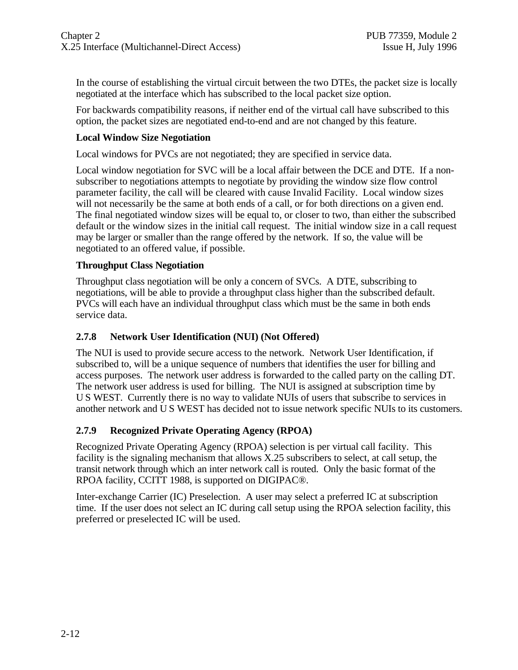In the course of establishing the virtual circuit between the two DTEs, the packet size is locally negotiated at the interface which has subscribed to the local packet size option.

For backwards compatibility reasons, if neither end of the virtual call have subscribed to this option, the packet sizes are negotiated end-to-end and are not changed by this feature.

#### **Local Window Size Negotiation**

Local windows for PVCs are not negotiated; they are specified in service data.

Local window negotiation for SVC will be a local affair between the DCE and DTE. If a nonsubscriber to negotiations attempts to negotiate by providing the window size flow control parameter facility, the call will be cleared with cause Invalid Facility. Local window sizes will not necessarily be the same at both ends of a call, or for both directions on a given end. The final negotiated window sizes will be equal to, or closer to two, than either the subscribed default or the window sizes in the initial call request. The initial window size in a call request may be larger or smaller than the range offered by the network. If so, the value will be negotiated to an offered value, if possible.

#### **Throughput Class Negotiation**

Throughput class negotiation will be only a concern of SVCs. A DTE, subscribing to negotiations, will be able to provide a throughput class higher than the subscribed default. PVCs will each have an individual throughput class which must be the same in both ends service data.

#### **2.7.8 Network User Identification (NUI) (Not Offered)**

The NUI is used to provide secure access to the network. Network User Identification, if subscribed to, will be a unique sequence of numbers that identifies the user for billing and access purposes. The network user address is forwarded to the called party on the calling DT. The network user address is used for billing. The NUI is assigned at subscription time by U S WEST. Currently there is no way to validate NUIs of users that subscribe to services in another network and U S WEST has decided not to issue network specific NUIs to its customers.

#### **2.7.9 Recognized Private Operating Agency (RPOA)**

Recognized Private Operating Agency (RPOA) selection is per virtual call facility. This facility is the signaling mechanism that allows X.25 subscribers to select, at call setup, the transit network through which an inter network call is routed. Only the basic format of the RPOA facility, CCITT 1988, is supported on DIGIPAC®.

Inter-exchange Carrier (IC) Preselection. A user may select a preferred IC at subscription time. If the user does not select an IC during call setup using the RPOA selection facility, this preferred or preselected IC will be used.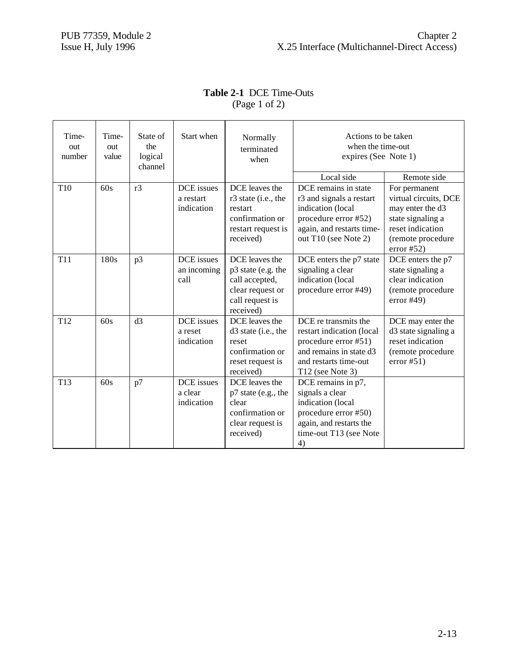## **Table 2-1** DCE Time-Outs (Page 1 of 2)

| Time-<br>out<br>number | Time-<br>out<br>value | Start when<br>State of<br>the<br>logical<br>channel |                                       | Normally<br>terminated<br>when                                                                             | Actions to be taken<br>when the time-out<br>expires (See Note 1)                                                                                    |                                                                                                                                        |
|------------------------|-----------------------|-----------------------------------------------------|---------------------------------------|------------------------------------------------------------------------------------------------------------|-----------------------------------------------------------------------------------------------------------------------------------------------------|----------------------------------------------------------------------------------------------------------------------------------------|
|                        |                       |                                                     |                                       |                                                                                                            | Local side                                                                                                                                          | Remote side                                                                                                                            |
| T <sub>10</sub>        | 60s                   | r3                                                  | DCE issues<br>a restart<br>indication | DCE leaves the<br>r3 state (i.e., the<br>restart<br>confirmation or<br>restart request is<br>received)     | DCE remains in state<br>r3 and signals a restart<br>indication (local<br>procedure error #52)<br>again, and restarts time-<br>out T10 (see Note 2)  | For permanent<br>virtual circuits, DCE<br>may enter the d3<br>state signaling a<br>reset indication<br>(remote procedure<br>error #52) |
| <b>T11</b>             | 180s                  | p3                                                  | DCE issues<br>an incoming<br>call     | DCE leaves the<br>p3 state (e.g. the<br>call accepted,<br>clear request or<br>call request is<br>received) | DCE enters the p7 state<br>signaling a clear<br>indication (local<br>procedure error #49)                                                           | DCE enters the p7<br>state signaling a<br>clear indication<br>(remote procedure<br>error #49)                                          |
| T <sub>12</sub>        | 60s                   | d3                                                  | DCE issues<br>a reset<br>indication   | DCE leaves the<br>$d3$ state (i.e., the<br>reset<br>confirmation or<br>reset request is<br>received)       | DCE re transmits the<br>restart indication (local<br>procedure error #51)<br>and remains in state d3<br>and restarts time-out<br>$T12$ (see Note 3) | DCE may enter the<br>d3 state signaling a<br>reset indication<br>(remote procedure<br>error #51)                                       |
| T <sub>13</sub>        | 60s                   | p7                                                  | DCE issues<br>a clear<br>indication   | DCE leaves the<br>p7 state (e.g., the<br>clear<br>confirmation or<br>clear request is<br>received)         | DCE remains in p7,<br>signals a clear<br>indication (local<br>procedure error #50)<br>again, and restarts the<br>time-out T13 (see Note<br>4)       |                                                                                                                                        |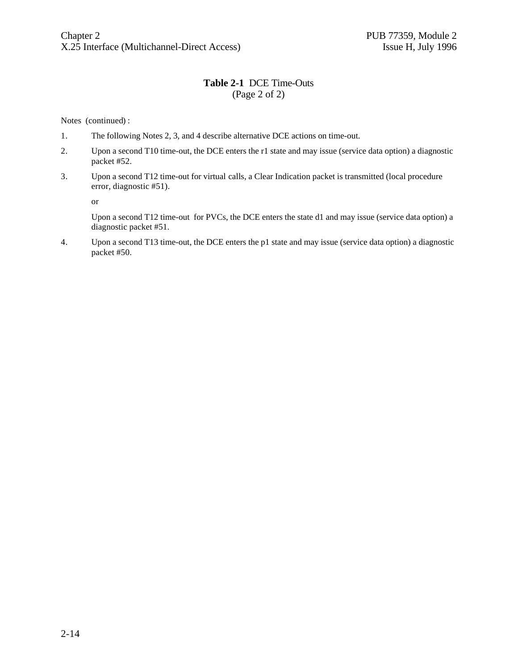#### **Table 2-1** DCE Time-Outs (Page 2 of 2)

Notes (continued) :

- 1. The following Notes 2, 3, and 4 describe alternative DCE actions on time-out.
- 2. Upon a second T10 time-out, the DCE enters the r1 state and may issue (service data option) a diagnostic packet #52.
- 3. Upon a second T12 time-out for virtual calls, a Clear Indication packet is transmitted (local procedure error, diagnostic #51).

or

Upon a second T12 time-out for PVCs, the DCE enters the state d1 and may issue (service data option) a diagnostic packet #51.

4. Upon a second T13 time-out, the DCE enters the p1 state and may issue (service data option) a diagnostic packet #50.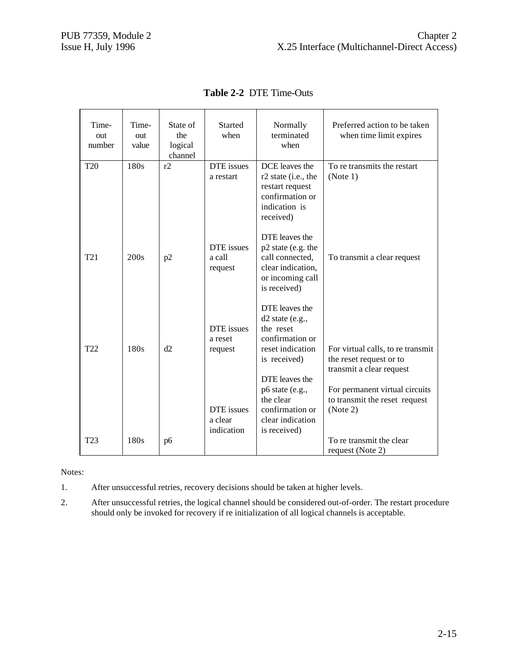| Time-<br>out<br>number | Time-<br>out<br>value | State of<br>the<br>logical<br>channel | <b>Started</b><br>when              | Normally<br>terminated<br>when                                                                                   | Preferred action to be taken<br>when time limit expires                                                                     |
|------------------------|-----------------------|---------------------------------------|-------------------------------------|------------------------------------------------------------------------------------------------------------------|-----------------------------------------------------------------------------------------------------------------------------|
| <b>T20</b>             | 180s                  | r2                                    | DTE issues<br>a restart             | DCE leaves the<br>r2 state (i.e., the<br>restart request<br>confirmation or<br>indication is<br>received)        | To re transmits the restart<br>(Note 1)                                                                                     |
| T <sub>21</sub>        | 200s                  | p2                                    | DTE issues<br>a call<br>request     | DTE leaves the<br>p2 state (e.g. the<br>call connected,<br>clear indication,<br>or incoming call<br>is received) | To transmit a clear request                                                                                                 |
| T <sub>22</sub>        | 180s                  | d2                                    | DTE issues<br>a reset<br>request    | DTE leaves the<br>$d2$ state (e.g.,<br>the reset<br>confirmation or<br>reset indication<br>is received)          | For virtual calls, to re transmit<br>the reset request or to<br>transmit a clear request                                    |
| T <sub>23</sub>        | 180s                  | p6                                    | DTE issues<br>a clear<br>indication | DTE leaves the<br>p6 state (e.g.,<br>the clear<br>confirmation or<br>clear indication<br>is received)            | For permanent virtual circuits<br>to transmit the reset request<br>(Note 2)<br>To re transmit the clear<br>request (Note 2) |

**Table 2-2** DTE Time-Outs

Notes:

1. After unsuccessful retries, recovery decisions should be taken at higher levels.

2. After unsuccessful retries, the logical channel should be considered out-of-order. The restart procedure should only be invoked for recovery if re initialization of all logical channels is acceptable.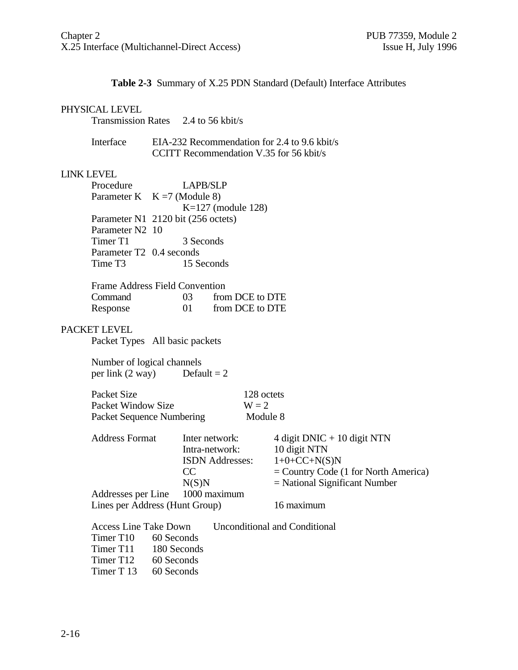#### **Table 2-3** Summary of X.25 PDN Standard (Default) Interface Attributes

#### PHYSICAL LEVEL

| <b>Transmission Rates</b> | 2.4 to 56 kbit/s |
|---------------------------|------------------|
|---------------------------|------------------|

| Interface | EIA-232 Recommendation for 2.4 to 9.6 kbit/s |
|-----------|----------------------------------------------|
|           | CCITT Recommendation V.35 for 56 kbit/s      |

#### LINK LEVEL

| Procedure                | <b>LAPB/SLP</b>                    |
|--------------------------|------------------------------------|
|                          | Parameter K $K = 7$ (Module 8)     |
|                          | $K=127$ (module 128)               |
|                          | Parameter N1 2120 bit (256 octets) |
| Parameter N2 10          |                                    |
| Timer T1                 | 3 Seconds                          |
| Parameter T2 0.4 seconds |                                    |
| Time T3                  | 15 Seconds                         |
|                          |                                    |

| <b>Frame Address Field Convention</b> |                 |                 |
|---------------------------------------|-----------------|-----------------|
| Command                               | 03 <sup>2</sup> | from DCE to DTE |
| Response                              | 01              | from DCE to DTE |

#### PACKET LEVEL

Packet Types All basic packets

Number of logical channels<br>per link  $(2 \text{ way})$  Default = 2 per link  $(2 \text{ way})$ 

| Packet Size               | 128 octets |  |
|---------------------------|------------|--|
| Packet Window Size        | $W = 2$    |  |
| Packet Sequence Numbering | Module 8   |  |

| <b>Address Format</b>          | Inter network:                  | 4 digit DNIC + 10 digit NTN            |
|--------------------------------|---------------------------------|----------------------------------------|
|                                | Intra-network:                  | 10 digit NTN                           |
|                                | <b>ISDN</b> Addresses:          | $1+0+C C+N(S)N$                        |
|                                | CC                              | $=$ Country Code (1 for North America) |
|                                | N(S)N                           | $=$ National Significant Number        |
|                                | Addresses per Line 1000 maximum |                                        |
| Lines per Address (Hunt Group) |                                 | 16 maximum                             |
|                                |                                 |                                        |
| <b>Access Line Take Down</b>   |                                 | Unconditional and Conditional          |
| Timer T <sub>10</sub>          | 60 Seconds                      |                                        |
| Timer T11 180 Seconds          |                                 |                                        |

Timer T12 60 Seconds

Timer T 13 60 Seconds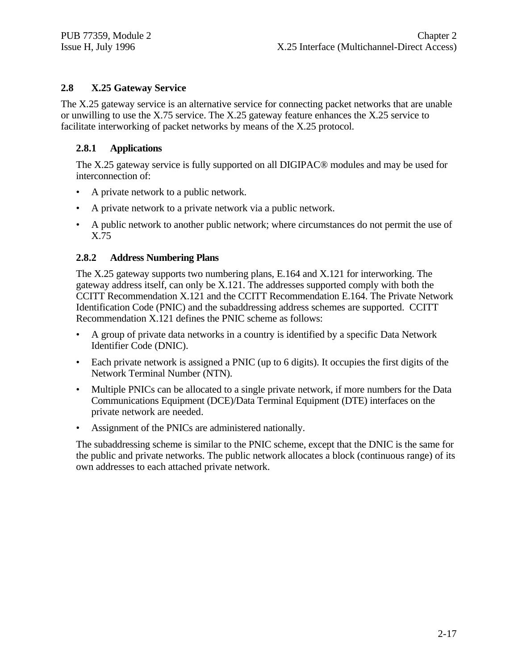#### **2.8 X.25 Gateway Service**

The X.25 gateway service is an alternative service for connecting packet networks that are unable or unwilling to use the X.75 service. The X.25 gateway feature enhances the X.25 service to facilitate interworking of packet networks by means of the X.25 protocol.

#### **2.8.1 Applications**

The X.25 gateway service is fully supported on all DIGIPAC® modules and may be used for interconnection of:

- A private network to a public network.
- A private network to a private network via a public network.
- A public network to another public network; where circumstances do not permit the use of X.75

#### **2.8.2 Address Numbering Plans**

The X.25 gateway supports two numbering plans, E.164 and X.121 for interworking. The gateway address itself, can only be X.121. The addresses supported comply with both the CCITT Recommendation X.121 and the CCITT Recommendation E.164. The Private Network Identification Code (PNIC) and the subaddressing address schemes are supported. CCITT Recommendation X.121 defines the PNIC scheme as follows:

- A group of private data networks in a country is identified by a specific Data Network Identifier Code (DNIC).
- Each private network is assigned a PNIC (up to 6 digits). It occupies the first digits of the Network Terminal Number (NTN).
- Multiple PNICs can be allocated to a single private network, if more numbers for the Data Communications Equipment (DCE)/Data Terminal Equipment (DTE) interfaces on the private network are needed.
- Assignment of the PNICs are administered nationally.

The subaddressing scheme is similar to the PNIC scheme, except that the DNIC is the same for the public and private networks. The public network allocates a block (continuous range) of its own addresses to each attached private network.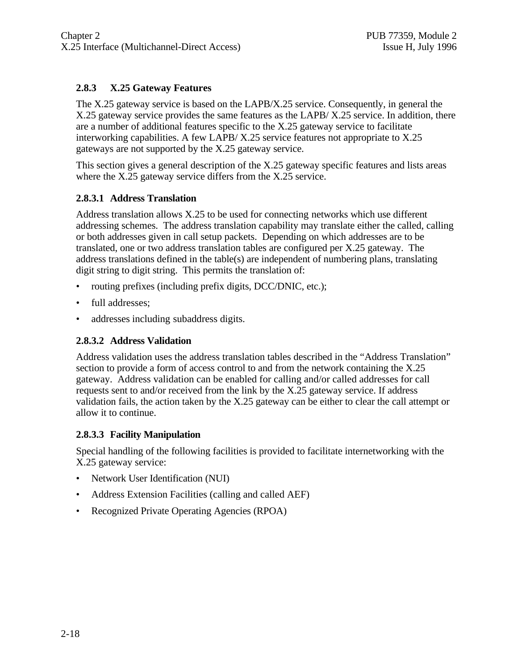#### **2.8.3 X.25 Gateway Features**

The X.25 gateway service is based on the LAPB/X.25 service. Consequently, in general the X.25 gateway service provides the same features as the LAPB/ X.25 service. In addition, there are a number of additional features specific to the X.25 gateway service to facilitate interworking capabilities. A few LAPB/ X.25 service features not appropriate to X.25 gateways are not supported by the X.25 gateway service.

This section gives a general description of the X.25 gateway specific features and lists areas where the X.25 gateway service differs from the X.25 service.

#### **2.8.3.1 Address Translation**

Address translation allows X.25 to be used for connecting networks which use different addressing schemes. The address translation capability may translate either the called, calling or both addresses given in call setup packets. Depending on which addresses are to be translated, one or two address translation tables are configured per X.25 gateway. The address translations defined in the table(s) are independent of numbering plans, translating digit string to digit string. This permits the translation of:

- routing prefixes (including prefix digits, DCC/DNIC, etc.);
- full addresses;
- addresses including subaddress digits.

#### **2.8.3.2 Address Validation**

Address validation uses the address translation tables described in the "Address Translation" section to provide a form of access control to and from the network containing the X.25 gateway. Address validation can be enabled for calling and/or called addresses for call requests sent to and/or received from the link by the X.25 gateway service. If address validation fails, the action taken by the X.25 gateway can be either to clear the call attempt or allow it to continue.

#### **2.8.3.3 Facility Manipulation**

Special handling of the following facilities is provided to facilitate internetworking with the X.25 gateway service:

- Network User Identification (NUI)
- Address Extension Facilities (calling and called AEF)
- Recognized Private Operating Agencies (RPOA)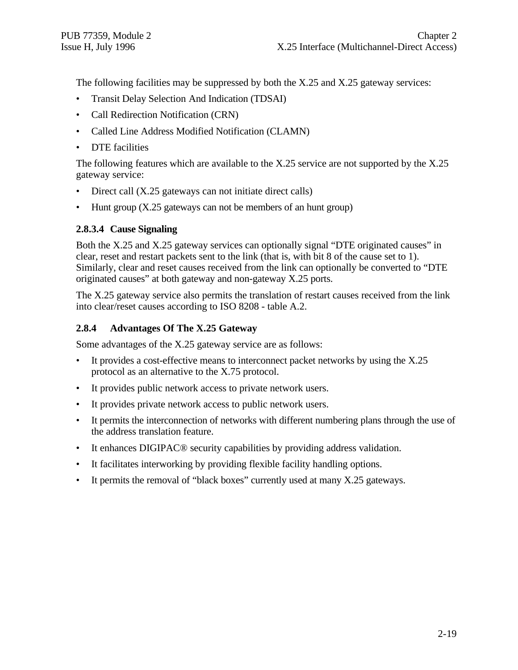The following facilities may be suppressed by both the X.25 and X.25 gateway services:

- Transit Delay Selection And Indication (TDSAI)
- Call Redirection Notification (CRN)
- Called Line Address Modified Notification (CLAMN)
- **DTE** facilities

The following features which are available to the X.25 service are not supported by the X.25 gateway service:

- Direct call (X.25 gateways can not initiate direct calls)
- Hunt group (X.25 gateways can not be members of an hunt group)

#### **2.8.3.4 Cause Signaling**

Both the X.25 and X.25 gateway services can optionally signal "DTE originated causes" in clear, reset and restart packets sent to the link (that is, with bit 8 of the cause set to 1). Similarly, clear and reset causes received from the link can optionally be converted to "DTE originated causes" at both gateway and non-gateway X.25 ports.

The X.25 gateway service also permits the translation of restart causes received from the link into clear/reset causes according to ISO 8208 - table A.2.

#### **2.8.4 Advantages Of The X.25 Gateway**

Some advantages of the X.25 gateway service are as follows:

- It provides a cost-effective means to interconnect packet networks by using the X.25 protocol as an alternative to the X.75 protocol.
- It provides public network access to private network users.
- It provides private network access to public network users.
- It permits the interconnection of networks with different numbering plans through the use of the address translation feature.
- It enhances DIGIPAC<sup>®</sup> security capabilities by providing address validation.
- It facilitates interworking by providing flexible facility handling options.
- It permits the removal of "black boxes" currently used at many X.25 gateways.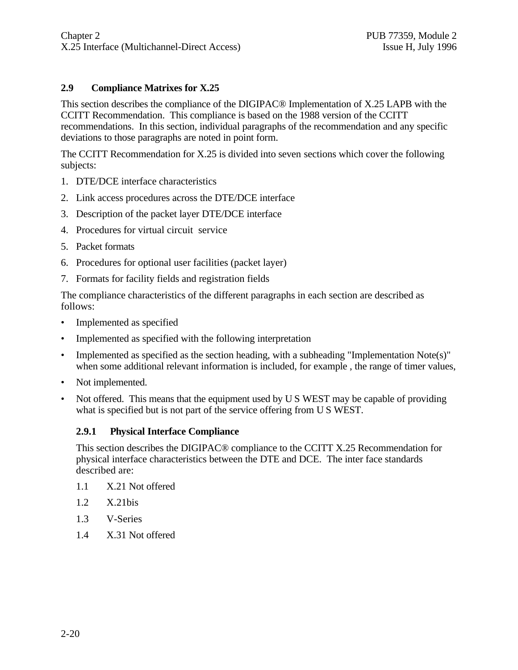#### **2.9 Compliance Matrixes for X.25**

This section describes the compliance of the DIGIPAC® Implementation of X.25 LAPB with the CCITT Recommendation. This compliance is based on the 1988 version of the CCITT recommendations. In this section, individual paragraphs of the recommendation and any specific deviations to those paragraphs are noted in point form.

The CCITT Recommendation for X.25 is divided into seven sections which cover the following subjects:

- 1. DTE/DCE interface characteristics
- 2. Link access procedures across the DTE/DCE interface
- 3. Description of the packet layer DTE/DCE interface
- 4. Procedures for virtual circuit service
- 5. Packet formats
- 6. Procedures for optional user facilities (packet layer)
- 7. Formats for facility fields and registration fields

The compliance characteristics of the different paragraphs in each section are described as follows:

- Implemented as specified
- Implemented as specified with the following interpretation
- Implemented as specified as the section heading, with a subheading "Implementation Note(s)" when some additional relevant information is included, for example , the range of timer values,
- Not implemented.
- Not offered. This means that the equipment used by U S WEST may be capable of providing what is specified but is not part of the service offering from U S WEST.

#### **2.9.1 Physical Interface Compliance**

This section describes the DIGIPAC® compliance to the CCITT X.25 Recommendation for physical interface characteristics between the DTE and DCE. The inter face standards described are:

- 1.1 X.21 Not offered
- 1.2 X.21bis
- 1.3 V-Series
- 1.4 X.31 Not offered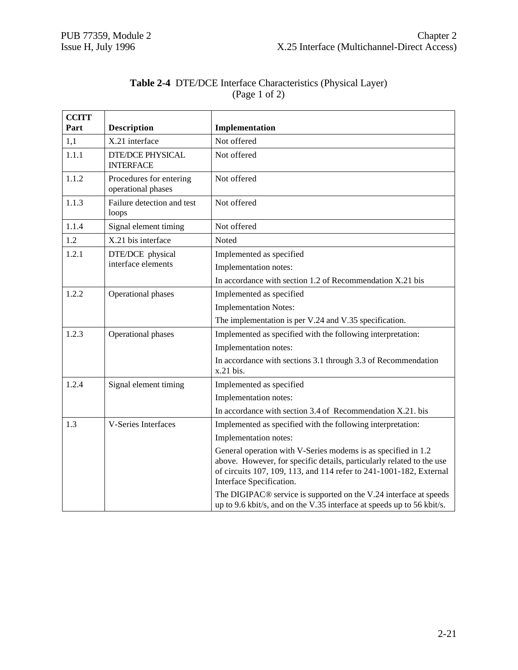|               | <b>Table 2-4 DTE/DCE Interface Characteristics (Physical Layer)</b> |  |
|---------------|---------------------------------------------------------------------|--|
| (Page 1 of 2) |                                                                     |  |

| <b>CCITT</b> |                                               |                                                                                                                                                                                                                                          |
|--------------|-----------------------------------------------|------------------------------------------------------------------------------------------------------------------------------------------------------------------------------------------------------------------------------------------|
| Part         | <b>Description</b>                            | Implementation                                                                                                                                                                                                                           |
| 1,1          | X.21 interface                                | Not offered                                                                                                                                                                                                                              |
| 1.1.1        | <b>DTE/DCE PHYSICAL</b><br><b>INTERFACE</b>   | Not offered                                                                                                                                                                                                                              |
| 1.1.2        | Procedures for entering<br>operational phases | Not offered                                                                                                                                                                                                                              |
| 1.1.3        | Failure detection and test<br>loops           | Not offered                                                                                                                                                                                                                              |
| 1.1.4        | Signal element timing                         | Not offered                                                                                                                                                                                                                              |
| 1.2          | X.21 bis interface                            | Noted                                                                                                                                                                                                                                    |
| 1.2.1        | DTE/DCE physical                              | Implemented as specified                                                                                                                                                                                                                 |
|              | interface elements                            | Implementation notes:                                                                                                                                                                                                                    |
|              |                                               | In accordance with section 1.2 of Recommendation X.21 bis                                                                                                                                                                                |
| 1.2.2        | Operational phases                            | Implemented as specified                                                                                                                                                                                                                 |
|              |                                               | <b>Implementation Notes:</b>                                                                                                                                                                                                             |
|              |                                               | The implementation is per V.24 and V.35 specification.                                                                                                                                                                                   |
| 1.2.3        | Operational phases                            | Implemented as specified with the following interpretation:                                                                                                                                                                              |
|              |                                               | Implementation notes:                                                                                                                                                                                                                    |
|              |                                               | In accordance with sections 3.1 through 3.3 of Recommendation<br>x.21 bis.                                                                                                                                                               |
| 1.2.4        | Signal element timing                         | Implemented as specified                                                                                                                                                                                                                 |
|              |                                               | Implementation notes:                                                                                                                                                                                                                    |
|              |                                               | In accordance with section 3.4 of Recommendation X.21. bis                                                                                                                                                                               |
| 1.3          | V-Series Interfaces                           | Implemented as specified with the following interpretation:                                                                                                                                                                              |
|              |                                               | Implementation notes:                                                                                                                                                                                                                    |
|              |                                               | General operation with V-Series modems is as specified in 1.2<br>above. However, for specific details, particularly related to the use<br>of circuits 107, 109, 113, and 114 refer to 241-1001-182, External<br>Interface Specification. |
|              |                                               | The DIGIPAC <sup>®</sup> service is supported on the V.24 interface at speeds<br>up to 9.6 kbit/s, and on the V.35 interface at speeds up to 56 kbit/s.                                                                                  |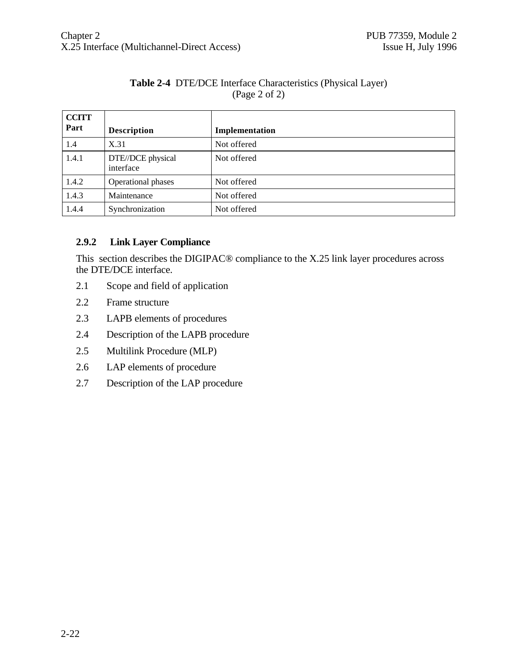#### **Table 2-4** DTE/DCE Interface Characteristics (Physical Layer) (Page 2 of 2)

| <b>CCITT</b> |                                |                |
|--------------|--------------------------------|----------------|
| Part         | <b>Description</b>             | Implementation |
| 1.4          | X.31                           | Not offered    |
| 1.4.1        | DTE//DCE physical<br>interface | Not offered    |
| 1.4.2        | Operational phases             | Not offered    |
| 1.4.3        | Maintenance                    | Not offered    |
| 1.4.4        | Synchronization                | Not offered    |

#### **2.9.2 Link Layer Compliance**

This section describes the DIGIPAC® compliance to the X.25 link layer procedures across the DTE/DCE interface.

- 2.1 Scope and field of application
- 2.2 Frame structure
- 2.3 LAPB elements of procedures
- 2.4 Description of the LAPB procedure
- 2.5 Multilink Procedure (MLP)
- 2.6 LAP elements of procedure
- 2.7 Description of the LAP procedure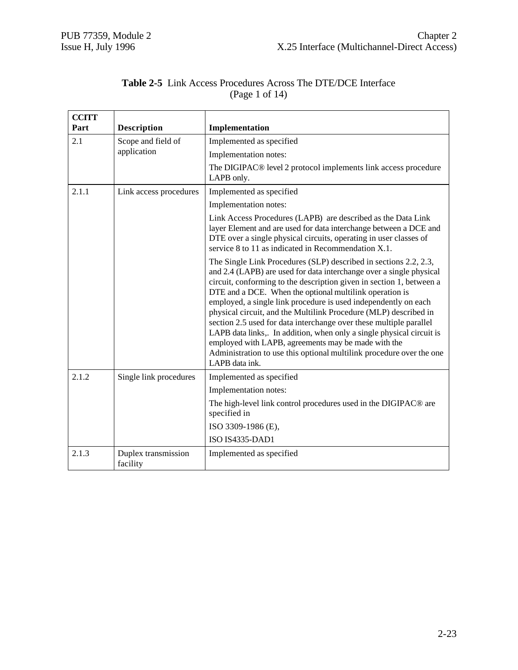|  |                | <b>Table 2-5</b> Link Access Procedures Across The DTE/DCE Interface |  |
|--|----------------|----------------------------------------------------------------------|--|
|  | (Page 1 of 14) |                                                                      |  |

| <b>CCITT</b><br>Part | <b>Description</b>              | Implementation                                                                                                                                                                                                                                                                                                                                                                                                                                                                                                                                                                                                                                                                                                    |
|----------------------|---------------------------------|-------------------------------------------------------------------------------------------------------------------------------------------------------------------------------------------------------------------------------------------------------------------------------------------------------------------------------------------------------------------------------------------------------------------------------------------------------------------------------------------------------------------------------------------------------------------------------------------------------------------------------------------------------------------------------------------------------------------|
| 2.1                  | Scope and field of              | Implemented as specified                                                                                                                                                                                                                                                                                                                                                                                                                                                                                                                                                                                                                                                                                          |
|                      | application                     | Implementation notes:                                                                                                                                                                                                                                                                                                                                                                                                                                                                                                                                                                                                                                                                                             |
|                      |                                 | The DIGIPAC® level 2 protocol implements link access procedure<br>LAPB only.                                                                                                                                                                                                                                                                                                                                                                                                                                                                                                                                                                                                                                      |
| 2.1.1                | Link access procedures          | Implemented as specified                                                                                                                                                                                                                                                                                                                                                                                                                                                                                                                                                                                                                                                                                          |
|                      |                                 | Implementation notes:                                                                                                                                                                                                                                                                                                                                                                                                                                                                                                                                                                                                                                                                                             |
|                      |                                 | Link Access Procedures (LAPB) are described as the Data Link<br>layer Element and are used for data interchange between a DCE and<br>DTE over a single physical circuits, operating in user classes of<br>service 8 to 11 as indicated in Recommendation X.1.                                                                                                                                                                                                                                                                                                                                                                                                                                                     |
|                      |                                 | The Single Link Procedures (SLP) described in sections 2.2, 2.3,<br>and 2.4 (LAPB) are used for data interchange over a single physical<br>circuit, conforming to the description given in section 1, between a<br>DTE and a DCE. When the optional multilink operation is<br>employed, a single link procedure is used independently on each<br>physical circuit, and the Multilink Procedure (MLP) described in<br>section 2.5 used for data interchange over these multiple parallel<br>LAPB data links,. In addition, when only a single physical circuit is<br>employed with LAPB, agreements may be made with the<br>Administration to use this optional multilink procedure over the one<br>LAPB data ink. |
| 2.1.2                | Single link procedures          | Implemented as specified                                                                                                                                                                                                                                                                                                                                                                                                                                                                                                                                                                                                                                                                                          |
|                      |                                 | Implementation notes:                                                                                                                                                                                                                                                                                                                                                                                                                                                                                                                                                                                                                                                                                             |
|                      |                                 | The high-level link control procedures used in the DIGIPAC® are<br>specified in                                                                                                                                                                                                                                                                                                                                                                                                                                                                                                                                                                                                                                   |
|                      |                                 | ISO 3309-1986 (E),                                                                                                                                                                                                                                                                                                                                                                                                                                                                                                                                                                                                                                                                                                |
|                      |                                 | <b>ISO IS4335-DAD1</b>                                                                                                                                                                                                                                                                                                                                                                                                                                                                                                                                                                                                                                                                                            |
| 2.1.3                | Duplex transmission<br>facility | Implemented as specified                                                                                                                                                                                                                                                                                                                                                                                                                                                                                                                                                                                                                                                                                          |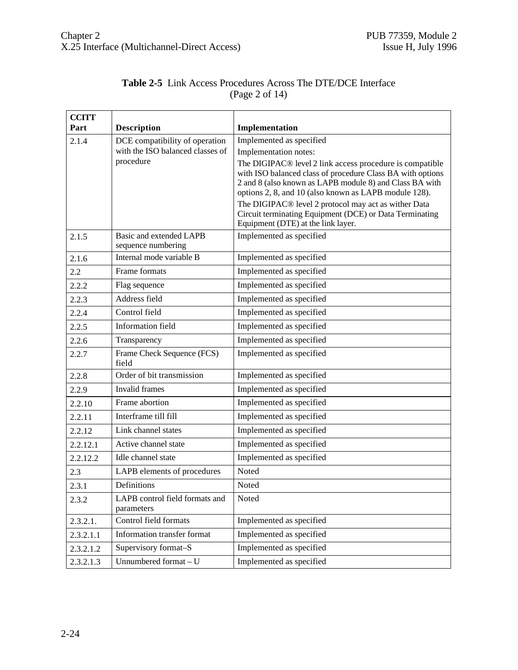| <b>Table 2-5</b> Link Access Procedures Across The DTE/DCE Interface |  |
|----------------------------------------------------------------------|--|
| (Page 2 of 14)                                                       |  |

| <b>CCITT</b> |                                                                    |                                                                                                                                                                                |
|--------------|--------------------------------------------------------------------|--------------------------------------------------------------------------------------------------------------------------------------------------------------------------------|
| Part         | <b>Description</b>                                                 | Implementation                                                                                                                                                                 |
| 2.1.4        | DCE compatibility of operation<br>with the ISO balanced classes of | Implemented as specified                                                                                                                                                       |
|              | procedure                                                          | Implementation notes:<br>The DIGIPAC <sup>®</sup> level 2 link access procedure is compatible                                                                                  |
|              |                                                                    | with ISO balanced class of procedure Class BA with options<br>2 and 8 (also known as LAPB module 8) and Class BA with<br>options 2, 8, and 10 (also known as LAPB module 128). |
|              |                                                                    | The DIGIPAC <sup>®</sup> level 2 protocol may act as wither Data<br>Circuit terminating Equipment (DCE) or Data Terminating<br>Equipment (DTE) at the link layer.              |
| 2.1.5        | Basic and extended LAPB<br>sequence numbering                      | Implemented as specified                                                                                                                                                       |
| 2.1.6        | Internal mode variable B                                           | Implemented as specified                                                                                                                                                       |
| 2.2          | Frame formats                                                      | Implemented as specified                                                                                                                                                       |
| 2.2.2        | Flag sequence                                                      | Implemented as specified                                                                                                                                                       |
| 2.2.3        | Address field                                                      | Implemented as specified                                                                                                                                                       |
| 2.2.4        | Control field                                                      | Implemented as specified                                                                                                                                                       |
| 2.2.5        | <b>Information field</b>                                           | Implemented as specified                                                                                                                                                       |
| 2.2.6        | Transparency                                                       | Implemented as specified                                                                                                                                                       |
| 2.2.7        | Frame Check Sequence (FCS)<br>field                                | Implemented as specified                                                                                                                                                       |
| 2.2.8        | Order of bit transmission                                          | Implemented as specified                                                                                                                                                       |
| 2.2.9        | Invalid frames                                                     | Implemented as specified                                                                                                                                                       |
| 2.2.10       | Frame abortion                                                     | Implemented as specified                                                                                                                                                       |
| 2.2.11       | Interframe till fill                                               | Implemented as specified                                                                                                                                                       |
| 2.2.12       | Link channel states                                                | Implemented as specified                                                                                                                                                       |
| 2.2.12.1     | Active channel state                                               | Implemented as specified                                                                                                                                                       |
| 2.2.12.2     | Idle channel state                                                 | Implemented as specified                                                                                                                                                       |
| 2.3          | LAPB elements of procedures                                        | Noted                                                                                                                                                                          |
| 2.3.1        | Definitions                                                        | Noted                                                                                                                                                                          |
| 2.3.2        | LAPB control field formats and<br>parameters                       | Noted                                                                                                                                                                          |
| 2.3.2.1.     | Control field formats                                              | Implemented as specified                                                                                                                                                       |
| 2.3.2.1.1    | Information transfer format                                        | Implemented as specified                                                                                                                                                       |
| 2.3.2.1.2    | Supervisory format-S                                               | Implemented as specified                                                                                                                                                       |
| 2.3.2.1.3    | Unnumbered format - U                                              | Implemented as specified                                                                                                                                                       |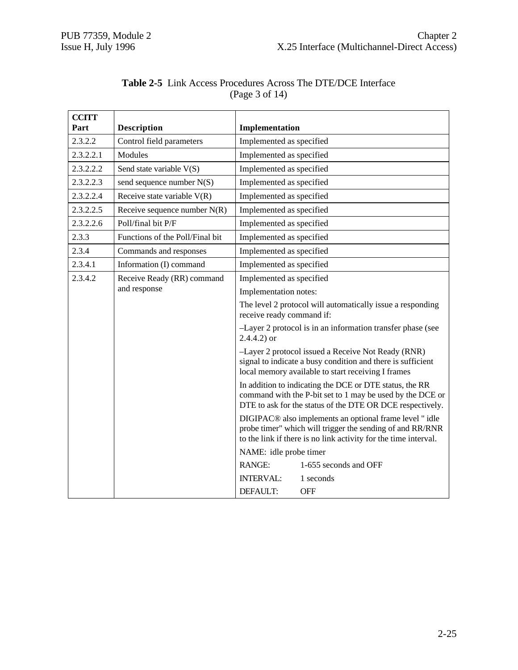| <b>CCITT</b><br>Part | <b>Description</b>              | Implementation                                                                                                                                                                                     |
|----------------------|---------------------------------|----------------------------------------------------------------------------------------------------------------------------------------------------------------------------------------------------|
| 2.3.2.2              | Control field parameters        | Implemented as specified                                                                                                                                                                           |
| 2.3.2.2.1            | Modules                         | Implemented as specified                                                                                                                                                                           |
| 2.3.2.2.2            | Send state variable V(S)        | Implemented as specified                                                                                                                                                                           |
| 2.3.2.2.3            | send sequence number N(S)       | Implemented as specified                                                                                                                                                                           |
| 2.3.2.2.4            | Receive state variable $V(R)$   | Implemented as specified                                                                                                                                                                           |
| 2.3.2.2.5            | Receive sequence number $N(R)$  | Implemented as specified                                                                                                                                                                           |
| 2.3.2.2.6            | Poll/final bit P/F              | Implemented as specified                                                                                                                                                                           |
| 2.3.3                | Functions of the Poll/Final bit | Implemented as specified                                                                                                                                                                           |
| 2.3.4                | Commands and responses          | Implemented as specified                                                                                                                                                                           |
| 2.3.4.1              | Information (I) command         | Implemented as specified                                                                                                                                                                           |
| 2.3.4.2              | Receive Ready (RR) command      | Implemented as specified                                                                                                                                                                           |
| and response         | Implementation notes:           |                                                                                                                                                                                                    |
|                      |                                 | The level 2 protocol will automatically issue a responding<br>receive ready command if:                                                                                                            |
|                      |                                 | -Layer 2 protocol is in an information transfer phase (see<br>$2.4.4.2$ ) or                                                                                                                       |
|                      |                                 | -Layer 2 protocol issued a Receive Not Ready (RNR)<br>signal to indicate a busy condition and there is sufficient<br>local memory available to start receiving I frames                            |
|                      |                                 | In addition to indicating the DCE or DTE status, the RR<br>command with the P-bit set to 1 may be used by the DCE or<br>DTE to ask for the status of the DTE OR DCE respectively.                  |
|                      |                                 | DIGIPAC <sup>®</sup> also implements an optional frame level "idle<br>probe timer" which will trigger the sending of and RR/RNR<br>to the link if there is no link activity for the time interval. |
|                      |                                 | NAME: idle probe timer                                                                                                                                                                             |
|                      |                                 | <b>RANGE:</b><br>1-655 seconds and OFF                                                                                                                                                             |
|                      |                                 | <b>INTERVAL:</b><br>1 seconds                                                                                                                                                                      |
|                      |                                 | <b>OFF</b><br>DEFAULT:                                                                                                                                                                             |

#### **Table 2-5** Link Access Procedures Across The DTE/DCE Interface (Page 3 of 14)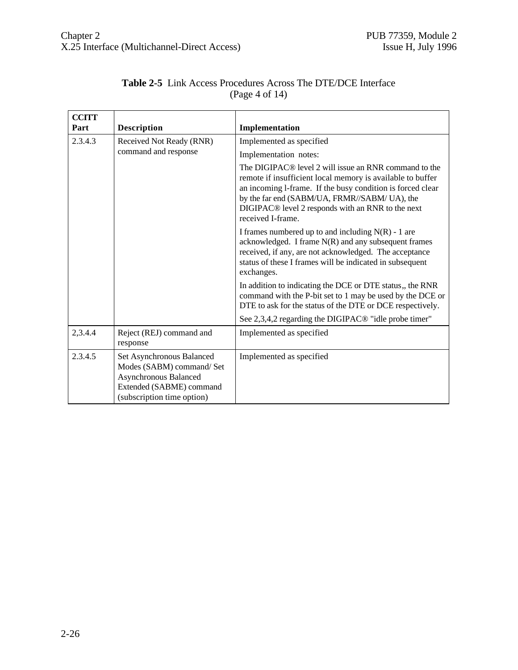| <b>CCITT</b><br>Part | <b>Description</b>                                                                                                                        | Implementation                                                                                                                                                                                                                                                                                                                      |
|----------------------|-------------------------------------------------------------------------------------------------------------------------------------------|-------------------------------------------------------------------------------------------------------------------------------------------------------------------------------------------------------------------------------------------------------------------------------------------------------------------------------------|
| 2.3.4.3              | Received Not Ready (RNR)                                                                                                                  | Implemented as specified                                                                                                                                                                                                                                                                                                            |
|                      | command and response                                                                                                                      | Implementation notes:                                                                                                                                                                                                                                                                                                               |
|                      |                                                                                                                                           | The DIGIPAC <sup>®</sup> level 2 will issue an RNR command to the<br>remote if insufficient local memory is available to buffer<br>an incoming 1-frame. If the busy condition is forced clear<br>by the far end (SABM/UA, FRMR//SABM/UA), the<br>DIGIPAC <sup>®</sup> level 2 responds with an RNR to the next<br>received I-frame. |
|                      |                                                                                                                                           | I frames numbered up to and including $N(R)$ - 1 are<br>acknowledged. I frame $N(R)$ and any subsequent frames<br>received, if any, are not acknowledged. The acceptance<br>status of these I frames will be indicated in subsequent<br>exchanges.                                                                                  |
|                      |                                                                                                                                           | In addition to indicating the DCE or DTE status, the RNR<br>command with the P-bit set to 1 may be used by the DCE or<br>DTE to ask for the status of the DTE or DCE respectively.                                                                                                                                                  |
|                      |                                                                                                                                           | See 2,3,4,2 regarding the DIGIPAC <sup>®</sup> "idle probe timer"                                                                                                                                                                                                                                                                   |
| 2,3.4.4              | Reject (REJ) command and<br>response                                                                                                      | Implemented as specified                                                                                                                                                                                                                                                                                                            |
| 2.3.4.5              | Set Asynchronous Balanced<br>Modes (SABM) command/ Set<br>Asynchronous Balanced<br>Extended (SABME) command<br>(subscription time option) | Implemented as specified                                                                                                                                                                                                                                                                                                            |

#### **Table 2-5** Link Access Procedures Across The DTE/DCE Interface (Page 4 of 14)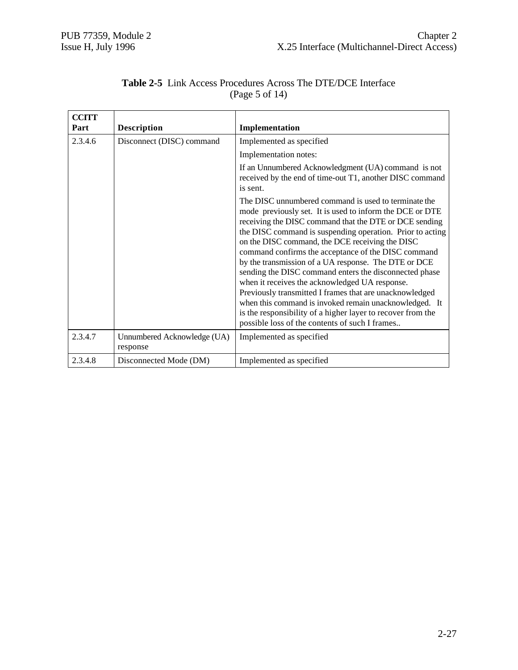| <b>CCITT</b> |                                         |                                                                                                                                                                                                                                                                                                                                                                                                                                                                                                                                                                                                                                                                                                                                                             |
|--------------|-----------------------------------------|-------------------------------------------------------------------------------------------------------------------------------------------------------------------------------------------------------------------------------------------------------------------------------------------------------------------------------------------------------------------------------------------------------------------------------------------------------------------------------------------------------------------------------------------------------------------------------------------------------------------------------------------------------------------------------------------------------------------------------------------------------------|
| Part         | <b>Description</b>                      | Implementation                                                                                                                                                                                                                                                                                                                                                                                                                                                                                                                                                                                                                                                                                                                                              |
| 2.3.4.6      | Disconnect (DISC) command               | Implemented as specified                                                                                                                                                                                                                                                                                                                                                                                                                                                                                                                                                                                                                                                                                                                                    |
|              |                                         | Implementation notes:                                                                                                                                                                                                                                                                                                                                                                                                                                                                                                                                                                                                                                                                                                                                       |
|              |                                         | If an Unnumbered Acknowledgment (UA) command is not<br>received by the end of time-out T1, another DISC command<br>is sent.                                                                                                                                                                                                                                                                                                                                                                                                                                                                                                                                                                                                                                 |
|              |                                         | The DISC unnumbered command is used to terminate the<br>mode previously set. It is used to inform the DCE or DTE<br>receiving the DISC command that the DTE or DCE sending<br>the DISC command is suspending operation. Prior to acting<br>on the DISC command, the DCE receiving the DISC<br>command confirms the acceptance of the DISC command<br>by the transmission of a UA response. The DTE or DCE<br>sending the DISC command enters the disconnected phase<br>when it receives the acknowledged UA response.<br>Previously transmitted I frames that are unacknowledged<br>when this command is invoked remain unacknowledged. It<br>is the responsibility of a higher layer to recover from the<br>possible loss of the contents of such I frames |
| 2.3.4.7      | Unnumbered Acknowledge (UA)<br>response | Implemented as specified                                                                                                                                                                                                                                                                                                                                                                                                                                                                                                                                                                                                                                                                                                                                    |
| 2.3.4.8      | Disconnected Mode (DM)                  | Implemented as specified                                                                                                                                                                                                                                                                                                                                                                                                                                                                                                                                                                                                                                                                                                                                    |

#### **Table 2-5** Link Access Procedures Across The DTE/DCE Interface (Page 5 of 14)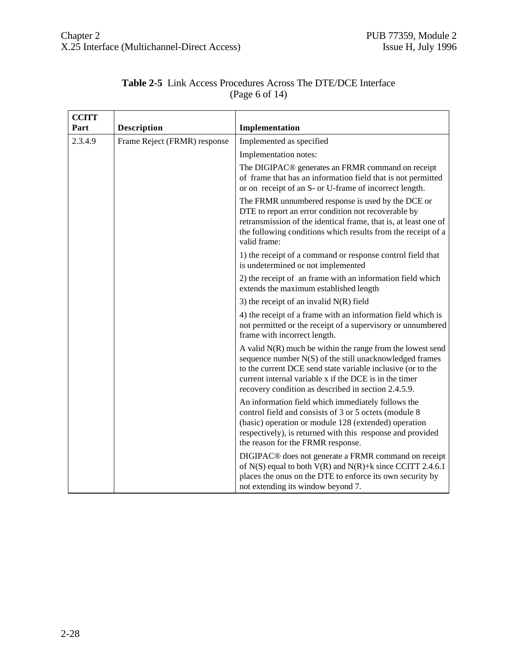| <b>CCITT</b> |                              |                                                                                                                                                                                                                                                                                                         |
|--------------|------------------------------|---------------------------------------------------------------------------------------------------------------------------------------------------------------------------------------------------------------------------------------------------------------------------------------------------------|
| Part         | <b>Description</b>           | Implementation                                                                                                                                                                                                                                                                                          |
| 2.3.4.9      | Frame Reject (FRMR) response | Implemented as specified                                                                                                                                                                                                                                                                                |
|              |                              | Implementation notes:                                                                                                                                                                                                                                                                                   |
|              |                              | The DIGIPAC <sup>®</sup> generates an FRMR command on receipt<br>of frame that has an information field that is not permitted<br>or on receipt of an S- or U-frame of incorrect length.                                                                                                                 |
|              |                              | The FRMR unnumbered response is used by the DCE or<br>DTE to report an error condition not recoverable by<br>retransmission of the identical frame, that is, at least one of<br>the following conditions which results from the receipt of a<br>valid frame:                                            |
|              |                              | 1) the receipt of a command or response control field that<br>is undetermined or not implemented                                                                                                                                                                                                        |
|              |                              | 2) the receipt of an frame with an information field which<br>extends the maximum established length                                                                                                                                                                                                    |
|              |                              | 3) the receipt of an invalid $N(R)$ field                                                                                                                                                                                                                                                               |
|              |                              | 4) the receipt of a frame with an information field which is<br>not permitted or the receipt of a supervisory or unnumbered<br>frame with incorrect length.                                                                                                                                             |
|              |                              | A valid $N(R)$ much be within the range from the lowest send<br>sequence number N(S) of the still unacknowledged frames<br>to the current DCE send state variable inclusive (or to the<br>current internal variable x if the DCE is in the timer<br>recovery condition as described in section 2.4.5.9. |
|              |                              | An information field which immediately follows the<br>control field and consists of 3 or 5 octets (module 8<br>(basic) operation or module 128 (extended) operation<br>respectively), is returned with this response and provided<br>the reason for the FRMR response.                                  |
|              |                              | DIGIPAC <sup>®</sup> does not generate a FRMR command on receipt<br>of N(S) equal to both $V(R)$ and $N(R)+k$ since CCITT 2.4.6.1<br>places the onus on the DTE to enforce its own security by<br>not extending its window beyond 7.                                                                    |

#### **Table 2-5** Link Access Procedures Across The DTE/DCE Interface (Page 6 of 14)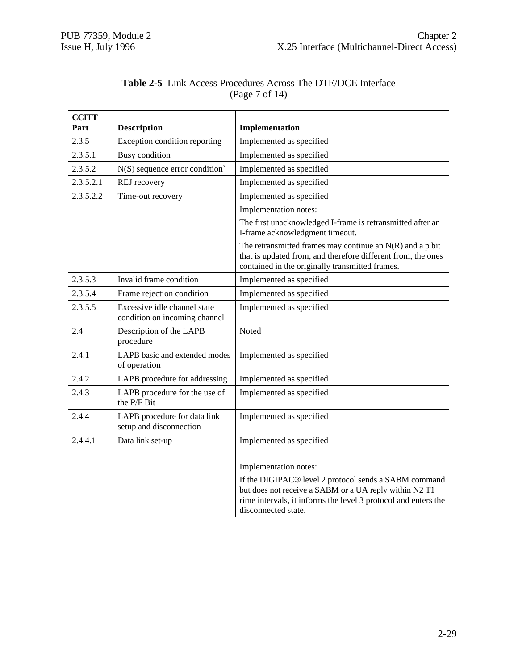| <b>CCITT</b> |                                                               |                                                                                                                                                                                |
|--------------|---------------------------------------------------------------|--------------------------------------------------------------------------------------------------------------------------------------------------------------------------------|
| Part         | <b>Description</b>                                            | Implementation                                                                                                                                                                 |
| 2.3.5        | Exception condition reporting                                 | Implemented as specified                                                                                                                                                       |
| 2.3.5.1      | <b>Busy</b> condition                                         | Implemented as specified                                                                                                                                                       |
| 2.3.5.2      | $N(S)$ sequence error condition                               | Implemented as specified                                                                                                                                                       |
| 2.3.5.2.1    | REJ recovery                                                  | Implemented as specified                                                                                                                                                       |
| 2.3.5.2.2    | Time-out recovery                                             | Implemented as specified                                                                                                                                                       |
|              |                                                               | Implementation notes:                                                                                                                                                          |
|              |                                                               | The first unacknowledged I-frame is retransmitted after an<br>I-frame acknowledgment timeout.                                                                                  |
|              |                                                               | The retransmitted frames may continue an $N(R)$ and a p bit<br>that is updated from, and therefore different from, the ones<br>contained in the originally transmitted frames. |
| 2.3.5.3      | Invalid frame condition                                       | Implemented as specified                                                                                                                                                       |
| 2.3.5.4      | Frame rejection condition                                     | Implemented as specified                                                                                                                                                       |
| 2.3.5.5      | Excessive idle channel state<br>condition on incoming channel | Implemented as specified                                                                                                                                                       |
| 2.4          | Description of the LAPB<br>procedure                          | Noted                                                                                                                                                                          |
| 2.4.1        | LAPB basic and extended modes<br>of operation                 | Implemented as specified                                                                                                                                                       |
| 2.4.2        | LAPB procedure for addressing                                 | Implemented as specified                                                                                                                                                       |
| 2.4.3        | LAPB procedure for the use of<br>the P/F Bit                  | Implemented as specified                                                                                                                                                       |
| 2.4.4        | LAPB procedure for data link<br>setup and disconnection       | Implemented as specified                                                                                                                                                       |
| 2.4.4.1      | Data link set-up                                              | Implemented as specified                                                                                                                                                       |
|              |                                                               | Implementation notes:                                                                                                                                                          |
|              |                                                               | If the DIGIPAC® level 2 protocol sends a SABM command                                                                                                                          |
|              |                                                               | but does not receive a SABM or a UA reply within N2 T1                                                                                                                         |
|              |                                                               | rime intervals, it informs the level 3 protocol and enters the<br>disconnected state.                                                                                          |

#### **Table 2-5** Link Access Procedures Across The DTE/DCE Interface (Page 7 of 14)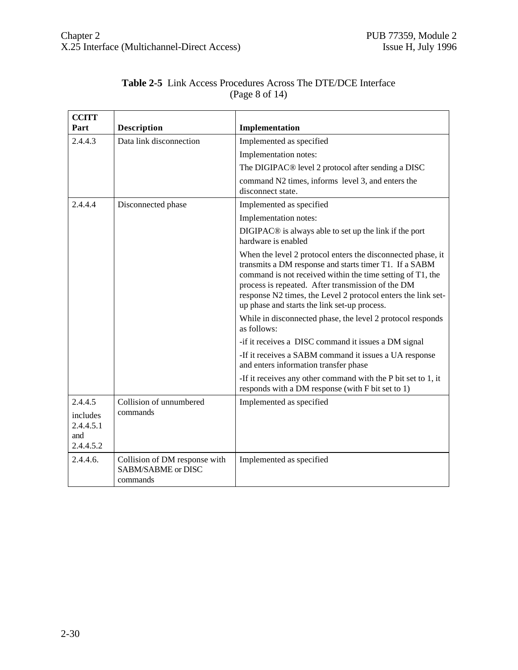| <b>CCITT</b>                              |                                                                 |                                                                                                                                                                                                                                                                                                                                                          |
|-------------------------------------------|-----------------------------------------------------------------|----------------------------------------------------------------------------------------------------------------------------------------------------------------------------------------------------------------------------------------------------------------------------------------------------------------------------------------------------------|
| Part                                      | <b>Description</b>                                              | Implementation                                                                                                                                                                                                                                                                                                                                           |
| 2.4.4.3                                   | Data link disconnection                                         | Implemented as specified                                                                                                                                                                                                                                                                                                                                 |
|                                           |                                                                 | Implementation notes:                                                                                                                                                                                                                                                                                                                                    |
|                                           |                                                                 | The DIGIPAC® level 2 protocol after sending a DISC                                                                                                                                                                                                                                                                                                       |
|                                           |                                                                 | command N2 times, informs level 3, and enters the<br>disconnect state.                                                                                                                                                                                                                                                                                   |
| 2.4.4.4                                   | Disconnected phase                                              | Implemented as specified                                                                                                                                                                                                                                                                                                                                 |
|                                           |                                                                 | Implementation notes:                                                                                                                                                                                                                                                                                                                                    |
|                                           |                                                                 | DIGIPAC <sup>®</sup> is always able to set up the link if the port<br>hardware is enabled                                                                                                                                                                                                                                                                |
|                                           |                                                                 | When the level 2 protocol enters the disconnected phase, it<br>transmits a DM response and starts timer T1. If a SABM<br>command is not received within the time setting of T1, the<br>process is repeated. After transmission of the DM<br>response N2 times, the Level 2 protocol enters the link set-<br>up phase and starts the link set-up process. |
|                                           |                                                                 | While in disconnected phase, the level 2 protocol responds<br>as follows:                                                                                                                                                                                                                                                                                |
|                                           |                                                                 | -if it receives a DISC command it issues a DM signal                                                                                                                                                                                                                                                                                                     |
|                                           |                                                                 | -If it receives a SABM command it issues a UA response<br>and enters information transfer phase                                                                                                                                                                                                                                                          |
|                                           |                                                                 | -If it receives any other command with the P bit set to 1, it<br>responds with a DM response (with F bit set to 1)                                                                                                                                                                                                                                       |
| 2.4.4.5                                   | Collision of unnumbered                                         | Implemented as specified                                                                                                                                                                                                                                                                                                                                 |
| includes<br>2.4.4.5.1<br>and<br>2.4.4.5.2 | commands                                                        |                                                                                                                                                                                                                                                                                                                                                          |
| 2.4.4.6.                                  | Collision of DM response with<br>SABM/SABME or DISC<br>commands | Implemented as specified                                                                                                                                                                                                                                                                                                                                 |

#### **Table 2-5** Link Access Procedures Across The DTE/DCE Interface (Page 8 of 14)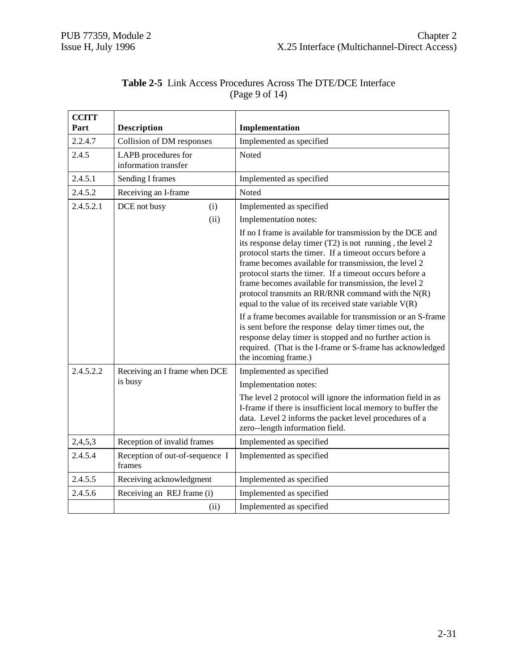| <b>CCITT</b><br>Part | <b>Description</b>                          | Implementation                                                                                                                                                                                                                                                                                                                                                                                                                                                                                                                                                                                                                                                                                                                         |
|----------------------|---------------------------------------------|----------------------------------------------------------------------------------------------------------------------------------------------------------------------------------------------------------------------------------------------------------------------------------------------------------------------------------------------------------------------------------------------------------------------------------------------------------------------------------------------------------------------------------------------------------------------------------------------------------------------------------------------------------------------------------------------------------------------------------------|
| 2.2.4.7              | Collision of DM responses                   | Implemented as specified                                                                                                                                                                                                                                                                                                                                                                                                                                                                                                                                                                                                                                                                                                               |
| 2.4.5                | LAPB procedures for<br>information transfer | Noted                                                                                                                                                                                                                                                                                                                                                                                                                                                                                                                                                                                                                                                                                                                                  |
| 2.4.5.1              | Sending I frames                            | Implemented as specified                                                                                                                                                                                                                                                                                                                                                                                                                                                                                                                                                                                                                                                                                                               |
| 2.4.5.2              | Receiving an I-frame                        | Noted                                                                                                                                                                                                                                                                                                                                                                                                                                                                                                                                                                                                                                                                                                                                  |
| 2.4.5.2.1            | DCE not busy<br>(i)                         | Implemented as specified                                                                                                                                                                                                                                                                                                                                                                                                                                                                                                                                                                                                                                                                                                               |
|                      | (ii)                                        | Implementation notes:                                                                                                                                                                                                                                                                                                                                                                                                                                                                                                                                                                                                                                                                                                                  |
|                      |                                             | If no I frame is available for transmission by the DCE and<br>its response delay timer (T2) is not running, the level 2<br>protocol starts the timer. If a timeout occurs before a<br>frame becomes available for transmission, the level 2<br>protocol starts the timer. If a timeout occurs before a<br>frame becomes available for transmission, the level 2<br>protocol transmits an RR/RNR command with the $N(R)$<br>equal to the value of its received state variable $V(R)$<br>If a frame becomes available for transmission or an S-frame<br>is sent before the response delay timer times out, the<br>response delay timer is stopped and no further action is<br>required. (That is the I-frame or S-frame has acknowledged |
| 2.4.5.2.2            | Receiving an I frame when DCE               | the incoming frame.)<br>Implemented as specified                                                                                                                                                                                                                                                                                                                                                                                                                                                                                                                                                                                                                                                                                       |
|                      | is busy                                     | Implementation notes:                                                                                                                                                                                                                                                                                                                                                                                                                                                                                                                                                                                                                                                                                                                  |
|                      |                                             | The level 2 protocol will ignore the information field in as<br>I-frame if there is insufficient local memory to buffer the<br>data. Level 2 informs the packet level procedures of a<br>zero--length information field.                                                                                                                                                                                                                                                                                                                                                                                                                                                                                                               |
| 2,4,5,3              | Reception of invalid frames                 | Implemented as specified                                                                                                                                                                                                                                                                                                                                                                                                                                                                                                                                                                                                                                                                                                               |
| 2.4.5.4              | Reception of out-of-sequence I<br>frames    | Implemented as specified                                                                                                                                                                                                                                                                                                                                                                                                                                                                                                                                                                                                                                                                                                               |
| 2.4.5.5              | Receiving acknowledgment                    | Implemented as specified                                                                                                                                                                                                                                                                                                                                                                                                                                                                                                                                                                                                                                                                                                               |
| 2.4.5.6              | Receiving an REJ frame (i)                  | Implemented as specified                                                                                                                                                                                                                                                                                                                                                                                                                                                                                                                                                                                                                                                                                                               |
|                      | (ii)                                        | Implemented as specified                                                                                                                                                                                                                                                                                                                                                                                                                                                                                                                                                                                                                                                                                                               |

| <b>Table 2-5</b> Link Access Procedures Across The DTE/DCE Interface |
|----------------------------------------------------------------------|
| (Page 9 of 14)                                                       |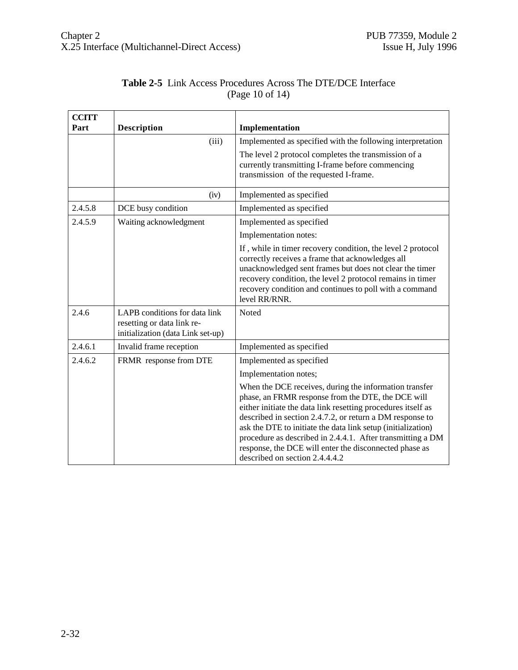| <b>CCITT</b><br>Part | <b>Description</b>                                                                               | Implementation                                                                                                                                                                                                                                                                                                                                                                                                                                                     |
|----------------------|--------------------------------------------------------------------------------------------------|--------------------------------------------------------------------------------------------------------------------------------------------------------------------------------------------------------------------------------------------------------------------------------------------------------------------------------------------------------------------------------------------------------------------------------------------------------------------|
|                      | (iii)                                                                                            | Implemented as specified with the following interpretation                                                                                                                                                                                                                                                                                                                                                                                                         |
|                      |                                                                                                  | The level 2 protocol completes the transmission of a<br>currently transmitting I-frame before commencing<br>transmission of the requested I-frame.                                                                                                                                                                                                                                                                                                                 |
|                      | (iv)                                                                                             | Implemented as specified                                                                                                                                                                                                                                                                                                                                                                                                                                           |
| 2.4.5.8              | DCE busy condition                                                                               | Implemented as specified                                                                                                                                                                                                                                                                                                                                                                                                                                           |
| 2.4.5.9              | Waiting acknowledgment                                                                           | Implemented as specified                                                                                                                                                                                                                                                                                                                                                                                                                                           |
|                      |                                                                                                  | Implementation notes:                                                                                                                                                                                                                                                                                                                                                                                                                                              |
|                      |                                                                                                  | If, while in timer recovery condition, the level 2 protocol<br>correctly receives a frame that acknowledges all<br>unacknowledged sent frames but does not clear the timer<br>recovery condition, the level 2 protocol remains in timer<br>recovery condition and continues to poll with a command<br>level RR/RNR.                                                                                                                                                |
| 2.4.6                | LAPB conditions for data link<br>resetting or data link re-<br>initialization (data Link set-up) | Noted                                                                                                                                                                                                                                                                                                                                                                                                                                                              |
| 2.4.6.1              | Invalid frame reception                                                                          | Implemented as specified                                                                                                                                                                                                                                                                                                                                                                                                                                           |
| 2.4.6.2              | FRMR response from DTE                                                                           | Implemented as specified                                                                                                                                                                                                                                                                                                                                                                                                                                           |
|                      |                                                                                                  | Implementation notes;                                                                                                                                                                                                                                                                                                                                                                                                                                              |
|                      |                                                                                                  | When the DCE receives, during the information transfer<br>phase, an FRMR response from the DTE, the DCE will<br>either initiate the data link resetting procedures itself as<br>described in section 2.4.7.2, or return a DM response to<br>ask the DTE to initiate the data link setup (initialization)<br>procedure as described in 2.4.4.1. After transmitting a DM<br>response, the DCE will enter the disconnected phase as<br>described on section 2.4.4.4.2 |

## **Table 2-5** Link Access Procedures Across The DTE/DCE Interface (Page 10 of 14)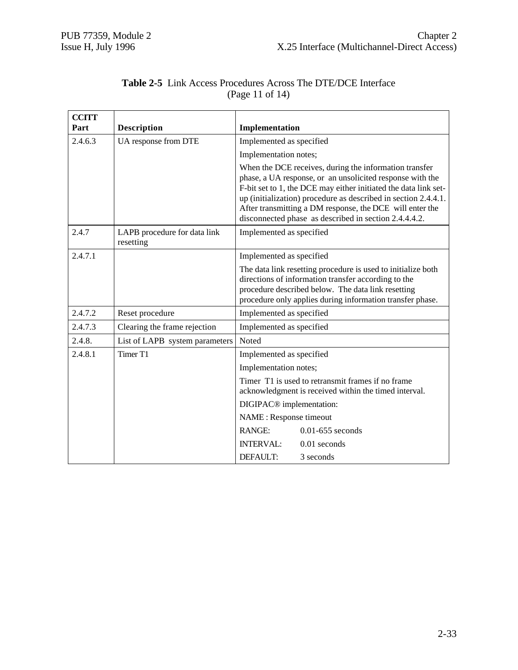| <b>CCITT</b><br>Part | <b>Description</b>                        | Implementation                                                                                                                                                                                                                                                                                                                                                                |
|----------------------|-------------------------------------------|-------------------------------------------------------------------------------------------------------------------------------------------------------------------------------------------------------------------------------------------------------------------------------------------------------------------------------------------------------------------------------|
| 2.4.6.3              | UA response from DTE                      | Implemented as specified                                                                                                                                                                                                                                                                                                                                                      |
|                      |                                           | Implementation notes;                                                                                                                                                                                                                                                                                                                                                         |
|                      |                                           | When the DCE receives, during the information transfer<br>phase, a UA response, or an unsolicited response with the<br>F-bit set to 1, the DCE may either initiated the data link set-<br>up (initialization) procedure as described in section 2.4.4.1.<br>After transmitting a DM response, the DCE will enter the<br>disconnected phase as described in section 2.4.4.4.2. |
| 2.4.7                | LAPB procedure for data link<br>resetting | Implemented as specified                                                                                                                                                                                                                                                                                                                                                      |
| 2.4.7.1              |                                           | Implemented as specified                                                                                                                                                                                                                                                                                                                                                      |
|                      |                                           | The data link resetting procedure is used to initialize both<br>directions of information transfer according to the<br>procedure described below. The data link resetting<br>procedure only applies during information transfer phase.                                                                                                                                        |
| 2.4.7.2              | Reset procedure                           | Implemented as specified                                                                                                                                                                                                                                                                                                                                                      |
| 2.4.7.3              | Clearing the frame rejection              | Implemented as specified                                                                                                                                                                                                                                                                                                                                                      |
| 2.4.8.               | List of LAPB system parameters            | Noted                                                                                                                                                                                                                                                                                                                                                                         |
| 2.4.8.1              | Timer <sub>T1</sub>                       | Implemented as specified                                                                                                                                                                                                                                                                                                                                                      |
|                      |                                           | Implementation notes;                                                                                                                                                                                                                                                                                                                                                         |
|                      |                                           | Timer T1 is used to retransmit frames if no frame<br>acknowledgment is received within the timed interval.                                                                                                                                                                                                                                                                    |
|                      |                                           | DIGIPAC <sup>®</sup> implementation:                                                                                                                                                                                                                                                                                                                                          |
|                      |                                           | NAME : Response timeout                                                                                                                                                                                                                                                                                                                                                       |
|                      |                                           | <b>RANGE:</b><br>$0.01 - 655$ seconds                                                                                                                                                                                                                                                                                                                                         |
|                      |                                           | <b>INTERVAL:</b><br>$0.01$ seconds                                                                                                                                                                                                                                                                                                                                            |
|                      |                                           | DEFAULT:<br>3 seconds                                                                                                                                                                                                                                                                                                                                                         |

#### **Table 2-5** Link Access Procedures Across The DTE/DCE Interface (Page 11 of 14)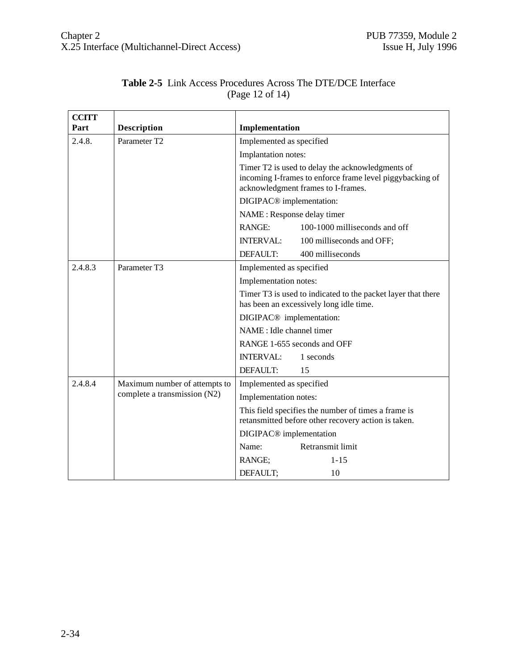| <b>CCITT</b> |                                                               |                                                                                                                                                    |
|--------------|---------------------------------------------------------------|----------------------------------------------------------------------------------------------------------------------------------------------------|
| Part         | <b>Description</b>                                            | Implementation                                                                                                                                     |
| 2.4.8.       | Parameter T2                                                  | Implemented as specified                                                                                                                           |
|              |                                                               | Implantation notes:                                                                                                                                |
|              |                                                               | Timer T2 is used to delay the acknowledgments of<br>incoming I-frames to enforce frame level piggybacking of<br>acknowledgment frames to I-frames. |
|              |                                                               | DIGIPAC <sup>®</sup> implementation:                                                                                                               |
|              |                                                               | NAME : Response delay timer                                                                                                                        |
|              |                                                               | <b>RANGE:</b><br>100-1000 milliseconds and off                                                                                                     |
|              |                                                               | <b>INTERVAL:</b><br>100 milliseconds and OFF;                                                                                                      |
|              |                                                               | DEFAULT:<br>400 milliseconds                                                                                                                       |
| 2.4.8.3      | Parameter T3                                                  | Implemented as specified                                                                                                                           |
|              |                                                               | Implementation notes:                                                                                                                              |
|              |                                                               | Timer T3 is used to indicated to the packet layer that there<br>has been an excessively long idle time.                                            |
|              |                                                               | DIGIPAC <sup>®</sup> implementation:                                                                                                               |
|              |                                                               | NAME : Idle channel timer                                                                                                                          |
|              |                                                               | RANGE 1-655 seconds and OFF                                                                                                                        |
|              |                                                               | <b>INTERVAL:</b><br>1 seconds                                                                                                                      |
|              |                                                               | DEFAULT:<br>15                                                                                                                                     |
| 2.4.8.4      | Maximum number of attempts to<br>complete a transmission (N2) | Implemented as specified                                                                                                                           |
|              |                                                               | Implementation notes:                                                                                                                              |
|              |                                                               | This field specifies the number of times a frame is<br>retansmitted before other recovery action is taken.                                         |
|              |                                                               | DIGIPAC <sup>®</sup> implementation                                                                                                                |
|              |                                                               | Retransmit limit<br>Name:                                                                                                                          |
|              |                                                               | RANGE;<br>$1 - 15$                                                                                                                                 |
|              |                                                               | DEFAULT;<br>10                                                                                                                                     |

#### **Table 2-5** Link Access Procedures Across The DTE/DCE Interface (Page 12 of 14)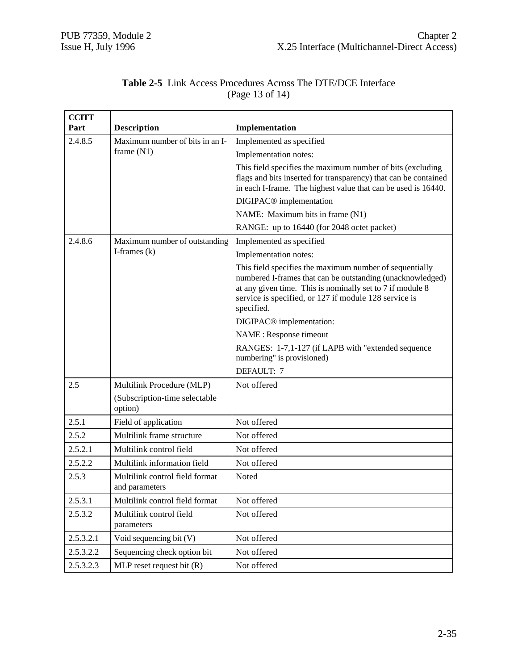| <b>CCITT</b> |                                                  |                                                                                                                                                                                                                                                           |
|--------------|--------------------------------------------------|-----------------------------------------------------------------------------------------------------------------------------------------------------------------------------------------------------------------------------------------------------------|
| Part         | Description                                      | Implementation                                                                                                                                                                                                                                            |
| 2.4.8.5      | Maximum number of bits in an I-                  | Implemented as specified                                                                                                                                                                                                                                  |
|              | frame $(N1)$                                     | Implementation notes:                                                                                                                                                                                                                                     |
|              |                                                  | This field specifies the maximum number of bits (excluding<br>flags and bits inserted for transparency) that can be contained<br>in each I-frame. The highest value that can be used is 16440.                                                            |
|              |                                                  | DIGIPAC <sup>®</sup> implementation                                                                                                                                                                                                                       |
|              |                                                  | NAME: Maximum bits in frame (N1)                                                                                                                                                                                                                          |
|              |                                                  | RANGE: up to 16440 (for 2048 octet packet)                                                                                                                                                                                                                |
| 2.4.8.6      | Maximum number of outstanding                    | Implemented as specified                                                                                                                                                                                                                                  |
|              | I-frames $(k)$                                   | Implementation notes:                                                                                                                                                                                                                                     |
|              |                                                  | This field specifies the maximum number of sequentially<br>numbered I-frames that can be outstanding (unacknowledged)<br>at any given time. This is nominally set to 7 if module 8<br>service is specified, or 127 if module 128 service is<br>specified. |
|              |                                                  | DIGIPAC <sup>®</sup> implementation:                                                                                                                                                                                                                      |
|              |                                                  | NAME : Response timeout                                                                                                                                                                                                                                   |
|              |                                                  | RANGES: 1-7,1-127 (if LAPB with "extended sequence<br>numbering" is provisioned)                                                                                                                                                                          |
|              |                                                  | DEFAULT: 7                                                                                                                                                                                                                                                |
| 2.5          | Multilink Procedure (MLP)                        | Not offered                                                                                                                                                                                                                                               |
|              | (Subscription-time selectable<br>option)         |                                                                                                                                                                                                                                                           |
| 2.5.1        | Field of application                             | Not offered                                                                                                                                                                                                                                               |
| 2.5.2        | Multilink frame structure                        | Not offered                                                                                                                                                                                                                                               |
| 2.5.2.1      | Multilink control field                          | Not offered                                                                                                                                                                                                                                               |
| 2.5.2.2      | Multilink information field                      | Not offered                                                                                                                                                                                                                                               |
| 2.5.3        | Multilink control field format<br>and parameters | Noted                                                                                                                                                                                                                                                     |
| 2.5.3.1      | Multilink control field format                   | Not offered                                                                                                                                                                                                                                               |
| 2.5.3.2      | Multilink control field<br>parameters            | Not offered                                                                                                                                                                                                                                               |
| 2.5.3.2.1    | Void sequencing bit (V)                          | Not offered                                                                                                                                                                                                                                               |
| 2.5.3.2.2    | Sequencing check option bit                      | Not offered                                                                                                                                                                                                                                               |
| 2.5.3.2.3    | MLP reset request bit $(R)$                      | Not offered                                                                                                                                                                                                                                               |

## **Table 2-5** Link Access Procedures Across The DTE/DCE Interface (Page 13 of 14)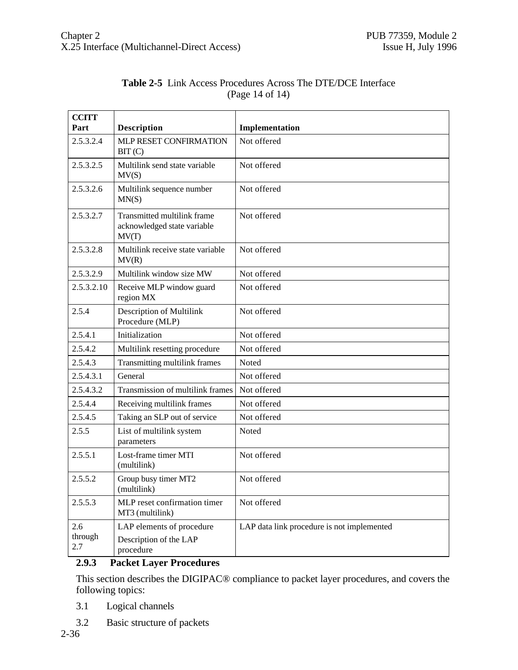| <b>CCITT</b>   |                                                                     |                                            |
|----------------|---------------------------------------------------------------------|--------------------------------------------|
| Part           | <b>Description</b>                                                  | Implementation                             |
| 2.5.3.2.4      | MLP RESET CONFIRMATION<br>BIT(C)                                    | Not offered                                |
| 2.5.3.2.5      | Multilink send state variable<br>MV(S)                              | Not offered                                |
| 2.5.3.2.6      | Multilink sequence number<br>MN(S)                                  | Not offered                                |
| 2.5.3.2.7      | Transmitted multilink frame<br>acknowledged state variable<br>MV(T) | Not offered                                |
| 2.5.3.2.8      | Multilink receive state variable<br>MV(R)                           | Not offered                                |
| 2.5.3.2.9      | Multilink window size MW                                            | Not offered                                |
| 2.5.3.2.10     | Receive MLP window guard<br>region MX                               | Not offered                                |
| 2.5.4          | Description of Multilink<br>Procedure (MLP)                         | Not offered                                |
| 2.5.4.1        | Initialization                                                      | Not offered                                |
| 2.5.4.2        | Multilink resetting procedure                                       | Not offered                                |
| 2.5.4.3        | Transmitting multilink frames                                       | Noted                                      |
| 2.5.4.3.1      | General                                                             | Not offered                                |
| 2.5.4.3.2      | Transmission of multilink frames                                    | Not offered                                |
| 2.5.4.4        | Receiving multilink frames                                          | Not offered                                |
| 2.5.4.5        | Taking an SLP out of service                                        | Not offered                                |
| 2.5.5          | List of multilink system<br>parameters                              | Noted                                      |
| 2.5.5.1        | Lost-frame timer MTI<br>(multilink)                                 | Not offered                                |
| 2.5.5.2        | Group busy timer MT2<br>(multilink)                                 | Not offered                                |
| 2.5.5.3        | MLP reset confirmation timer<br>MT3 (multilink)                     | Not offered                                |
| 2.6            | LAP elements of procedure                                           | LAP data link procedure is not implemented |
| through<br>2.7 | Description of the LAP<br>procedure                                 |                                            |

#### **Table 2-5** Link Access Procedures Across The DTE/DCE Interface (Page 14 of 14)

#### **2.9.3 Packet Layer Procedures**

This section describes the DIGIPAC® compliance to packet layer procedures, and covers the following topics:

- 3.1 Logical channels
- 3.2 Basic structure of packets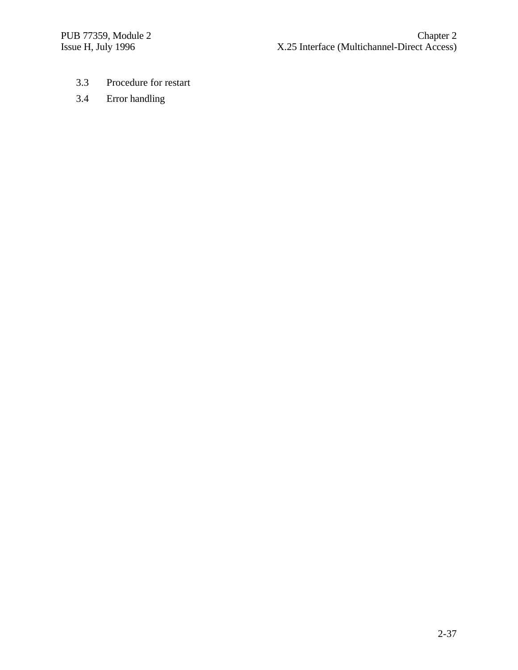- 3.3 Procedure for restart
- 3.4 Error handling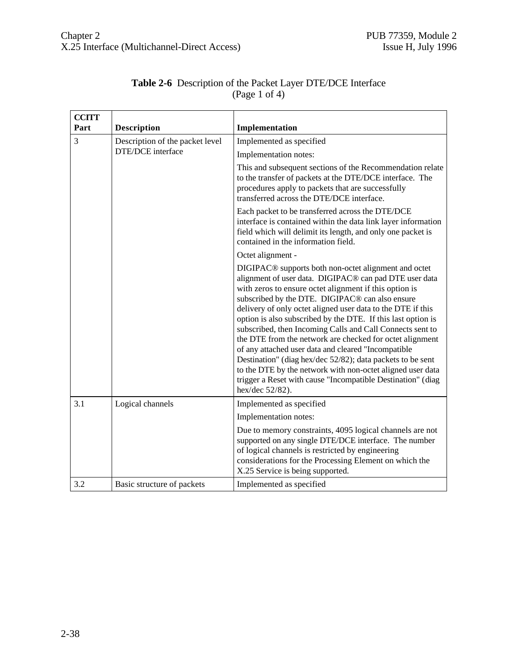| <b>CCITT</b> |                                 |                                                                                                                                                                                                                                                                                                                                                                                                                                                                                                                                                                                                                                                                                                                                                                      |
|--------------|---------------------------------|----------------------------------------------------------------------------------------------------------------------------------------------------------------------------------------------------------------------------------------------------------------------------------------------------------------------------------------------------------------------------------------------------------------------------------------------------------------------------------------------------------------------------------------------------------------------------------------------------------------------------------------------------------------------------------------------------------------------------------------------------------------------|
| Part         | <b>Description</b>              | Implementation                                                                                                                                                                                                                                                                                                                                                                                                                                                                                                                                                                                                                                                                                                                                                       |
| 3            | Description of the packet level | Implemented as specified                                                                                                                                                                                                                                                                                                                                                                                                                                                                                                                                                                                                                                                                                                                                             |
|              | DTE/DCE interface               | Implementation notes:                                                                                                                                                                                                                                                                                                                                                                                                                                                                                                                                                                                                                                                                                                                                                |
|              |                                 | This and subsequent sections of the Recommendation relate<br>to the transfer of packets at the DTE/DCE interface. The<br>procedures apply to packets that are successfully<br>transferred across the DTE/DCE interface.                                                                                                                                                                                                                                                                                                                                                                                                                                                                                                                                              |
|              |                                 | Each packet to be transferred across the DTE/DCE<br>interface is contained within the data link layer information<br>field which will delimit its length, and only one packet is<br>contained in the information field.                                                                                                                                                                                                                                                                                                                                                                                                                                                                                                                                              |
|              |                                 | Octet alignment -                                                                                                                                                                                                                                                                                                                                                                                                                                                                                                                                                                                                                                                                                                                                                    |
|              |                                 | DIGIPAC <sup>®</sup> supports both non-octet alignment and octet<br>alignment of user data. DIGIPAC® can pad DTE user data<br>with zeros to ensure octet alignment if this option is<br>subscribed by the DTE. DIGIPAC® can also ensure<br>delivery of only octet aligned user data to the DTE if this<br>option is also subscribed by the DTE. If this last option is<br>subscribed, then Incoming Calls and Call Connects sent to<br>the DTE from the network are checked for octet alignment<br>of any attached user data and cleared "Incompatible<br>Destination" (diag hex/dec 52/82); data packets to be sent<br>to the DTE by the network with non-octet aligned user data<br>trigger a Reset with cause "Incompatible Destination" (diag<br>hex/dec 52/82). |
| 3.1          | Logical channels                | Implemented as specified                                                                                                                                                                                                                                                                                                                                                                                                                                                                                                                                                                                                                                                                                                                                             |
|              |                                 | Implementation notes:                                                                                                                                                                                                                                                                                                                                                                                                                                                                                                                                                                                                                                                                                                                                                |
|              |                                 | Due to memory constraints, 4095 logical channels are not<br>supported on any single DTE/DCE interface. The number<br>of logical channels is restricted by engineering<br>considerations for the Processing Element on which the<br>X.25 Service is being supported.                                                                                                                                                                                                                                                                                                                                                                                                                                                                                                  |
| 3.2          | Basic structure of packets      | Implemented as specified                                                                                                                                                                                                                                                                                                                                                                                                                                                                                                                                                                                                                                                                                                                                             |

# **Table 2-6** Description of the Packet Layer DTE/DCE Interface (Page 1 of 4)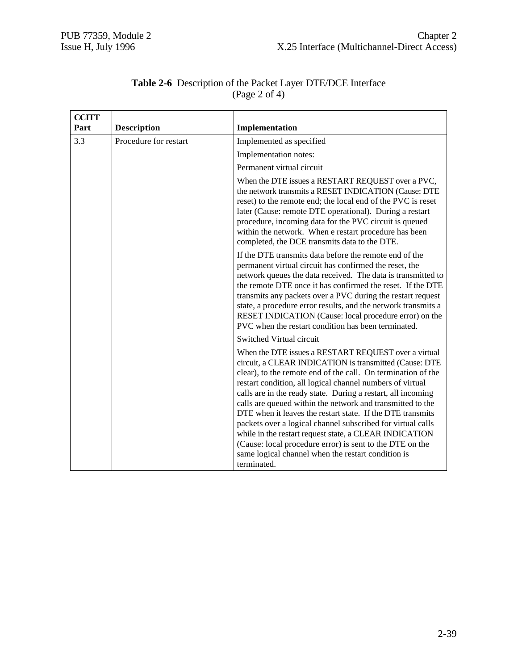| <b>CCITT</b> |                       |                                                                                                                                                                                                                                                                                                                                                                                                                                                                                                                                                                                                                                                                                                   |
|--------------|-----------------------|---------------------------------------------------------------------------------------------------------------------------------------------------------------------------------------------------------------------------------------------------------------------------------------------------------------------------------------------------------------------------------------------------------------------------------------------------------------------------------------------------------------------------------------------------------------------------------------------------------------------------------------------------------------------------------------------------|
| Part         | <b>Description</b>    | Implementation                                                                                                                                                                                                                                                                                                                                                                                                                                                                                                                                                                                                                                                                                    |
| 3.3          | Procedure for restart | Implemented as specified                                                                                                                                                                                                                                                                                                                                                                                                                                                                                                                                                                                                                                                                          |
|              |                       | Implementation notes:                                                                                                                                                                                                                                                                                                                                                                                                                                                                                                                                                                                                                                                                             |
|              |                       | Permanent virtual circuit                                                                                                                                                                                                                                                                                                                                                                                                                                                                                                                                                                                                                                                                         |
|              |                       | When the DTE issues a RESTART REQUEST over a PVC,<br>the network transmits a RESET INDICATION (Cause: DTE<br>reset) to the remote end; the local end of the PVC is reset<br>later (Cause: remote DTE operational). During a restart<br>procedure, incoming data for the PVC circuit is queued<br>within the network. When e restart procedure has been<br>completed, the DCE transmits data to the DTE.                                                                                                                                                                                                                                                                                           |
|              |                       | If the DTE transmits data before the remote end of the<br>permanent virtual circuit has confirmed the reset, the<br>network queues the data received. The data is transmitted to<br>the remote DTE once it has confirmed the reset. If the DTE<br>transmits any packets over a PVC during the restart request<br>state, a procedure error results, and the network transmits a<br>RESET INDICATION (Cause: local procedure error) on the<br>PVC when the restart condition has been terminated.                                                                                                                                                                                                   |
|              |                       | Switched Virtual circuit                                                                                                                                                                                                                                                                                                                                                                                                                                                                                                                                                                                                                                                                          |
|              |                       | When the DTE issues a RESTART REQUEST over a virtual<br>circuit, a CLEAR INDICATION is transmitted (Cause: DTE<br>clear), to the remote end of the call. On termination of the<br>restart condition, all logical channel numbers of virtual<br>calls are in the ready state. During a restart, all incoming<br>calls are queued within the network and transmitted to the<br>DTE when it leaves the restart state. If the DTE transmits<br>packets over a logical channel subscribed for virtual calls<br>while in the restart request state, a CLEAR INDICATION<br>(Cause: local procedure error) is sent to the DTE on the<br>same logical channel when the restart condition is<br>terminated. |

#### **Table 2-6** Description of the Packet Layer DTE/DCE Interface (Page 2 of 4)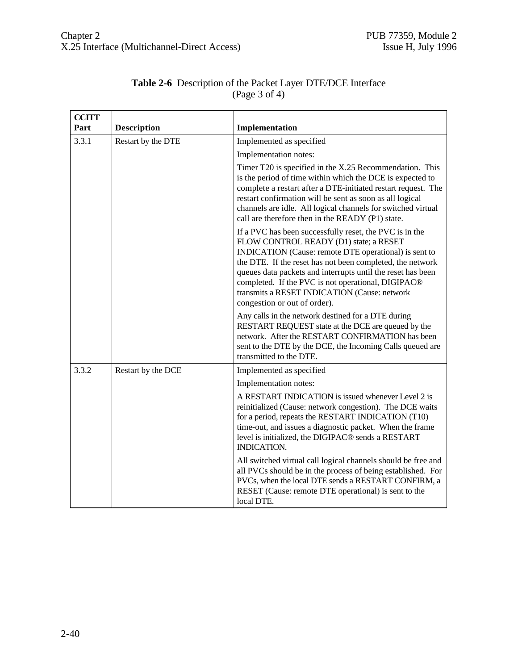| <b>CCITT</b> |                    |                                                                                                                                                                                                                                                                                                                                                                                                                              |
|--------------|--------------------|------------------------------------------------------------------------------------------------------------------------------------------------------------------------------------------------------------------------------------------------------------------------------------------------------------------------------------------------------------------------------------------------------------------------------|
| Part         | <b>Description</b> | Implementation                                                                                                                                                                                                                                                                                                                                                                                                               |
| 3.3.1        | Restart by the DTE | Implemented as specified                                                                                                                                                                                                                                                                                                                                                                                                     |
|              |                    | Implementation notes:                                                                                                                                                                                                                                                                                                                                                                                                        |
|              |                    | Timer T20 is specified in the X.25 Recommendation. This<br>is the period of time within which the DCE is expected to<br>complete a restart after a DTE-initiated restart request. The<br>restart confirmation will be sent as soon as all logical<br>channels are idle. All logical channels for switched virtual<br>call are therefore then in the READY (P1) state.                                                        |
|              |                    | If a PVC has been successfully reset, the PVC is in the<br>FLOW CONTROL READY (D1) state; a RESET<br>INDICATION (Cause: remote DTE operational) is sent to<br>the DTE. If the reset has not been completed, the network<br>queues data packets and interrupts until the reset has been<br>completed. If the PVC is not operational, DIGIPAC®<br>transmits a RESET INDICATION (Cause: network<br>congestion or out of order). |
|              |                    | Any calls in the network destined for a DTE during<br>RESTART REQUEST state at the DCE are queued by the<br>network. After the RESTART CONFIRMATION has been<br>sent to the DTE by the DCE, the Incoming Calls queued are<br>transmitted to the DTE.                                                                                                                                                                         |
| 3.3.2        | Restart by the DCE | Implemented as specified                                                                                                                                                                                                                                                                                                                                                                                                     |
|              |                    | Implementation notes:                                                                                                                                                                                                                                                                                                                                                                                                        |
|              |                    | A RESTART INDICATION is issued whenever Level 2 is<br>reinitialized (Cause: network congestion). The DCE waits<br>for a period, repeats the RESTART INDICATION (T10)<br>time-out, and issues a diagnostic packet. When the frame<br>level is initialized, the DIGIPAC® sends a RESTART<br>INDICATION.                                                                                                                        |
|              |                    | All switched virtual call logical channels should be free and<br>all PVCs should be in the process of being established. For<br>PVCs, when the local DTE sends a RESTART CONFIRM, a<br>RESET (Cause: remote DTE operational) is sent to the<br>local DTE.                                                                                                                                                                    |

# **Table 2-6** Description of the Packet Layer DTE/DCE Interface (Page 3 of 4)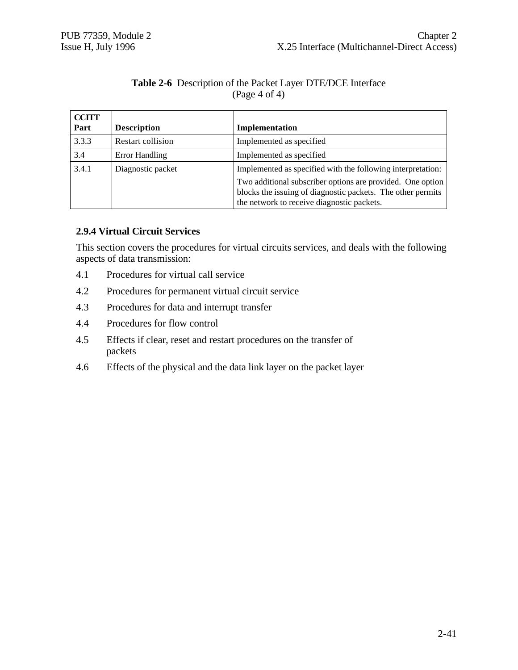#### **Table 2-6** Description of the Packet Layer DTE/DCE Interface (Page 4 of 4)

| <b>CCITT</b><br>Part | <b>Description</b> | Implementation                                                                                                                                                          |
|----------------------|--------------------|-------------------------------------------------------------------------------------------------------------------------------------------------------------------------|
| 3.3.3                | Restart collision  | Implemented as specified                                                                                                                                                |
| 3.4                  | Error Handling     | Implemented as specified                                                                                                                                                |
| 3.4.1                | Diagnostic packet  | Implemented as specified with the following interpretation:                                                                                                             |
|                      |                    | Two additional subscriber options are provided. One option<br>blocks the issuing of diagnostic packets. The other permits<br>the network to receive diagnostic packets. |

# **2.9.4 Virtual Circuit Services**

This section covers the procedures for virtual circuits services, and deals with the following aspects of data transmission:

- 4.1 Procedures for virtual call service
- 4.2 Procedures for permanent virtual circuit service
- 4.3 Procedures for data and interrupt transfer
- 4.4 Procedures for flow control
- 4.5 Effects if clear, reset and restart procedures on the transfer of packets
- 4.6 Effects of the physical and the data link layer on the packet layer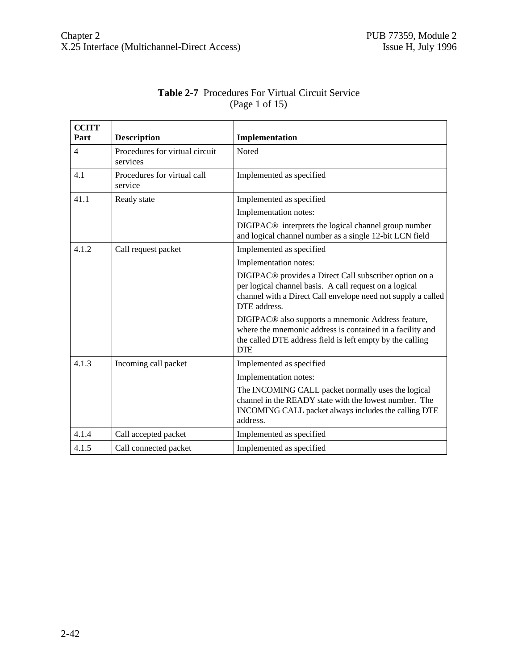| <b>CCITT</b><br>Part | <b>Description</b>                         | Implementation                                                                                                                                                                                               |
|----------------------|--------------------------------------------|--------------------------------------------------------------------------------------------------------------------------------------------------------------------------------------------------------------|
| $\overline{4}$       | Procedures for virtual circuit<br>services | Noted                                                                                                                                                                                                        |
| 4.1                  | Procedures for virtual call<br>service     | Implemented as specified                                                                                                                                                                                     |
| 41.1                 | Ready state                                | Implemented as specified                                                                                                                                                                                     |
|                      |                                            | Implementation notes:                                                                                                                                                                                        |
|                      |                                            | DIGIPAC <sup>®</sup> interprets the logical channel group number<br>and logical channel number as a single 12-bit LCN field                                                                                  |
| 4.1.2                | Call request packet                        | Implemented as specified                                                                                                                                                                                     |
|                      |                                            | Implementation notes:                                                                                                                                                                                        |
|                      |                                            | DIGIPAC <sup>®</sup> provides a Direct Call subscriber option on a<br>per logical channel basis. A call request on a logical<br>channel with a Direct Call envelope need not supply a called<br>DTE address. |
|                      |                                            | DIGIPAC <sup>®</sup> also supports a mnemonic Address feature,<br>where the mnemonic address is contained in a facility and<br>the called DTE address field is left empty by the calling<br><b>DTE</b>       |
| 4.1.3                | Incoming call packet                       | Implemented as specified                                                                                                                                                                                     |
|                      |                                            | Implementation notes:                                                                                                                                                                                        |
|                      |                                            | The INCOMING CALL packet normally uses the logical<br>channel in the READY state with the lowest number. The<br>INCOMING CALL packet always includes the calling DTE<br>address.                             |
| 4.1.4                | Call accepted packet                       | Implemented as specified                                                                                                                                                                                     |
| 4.1.5                | Call connected packet                      | Implemented as specified                                                                                                                                                                                     |

#### **Table 2-7** Procedures For Virtual Circuit Service (Page 1 of 15)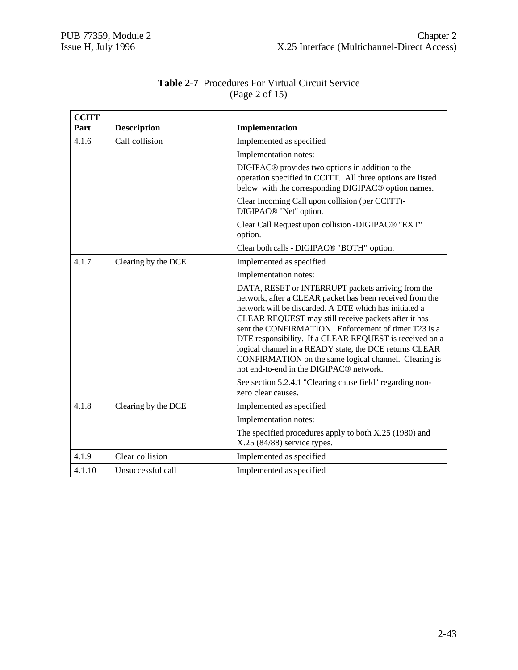| <b>CCITT</b> |                     |                                                                                                                                                                                                                                                                                                                                                                                                                                                                                                                                |
|--------------|---------------------|--------------------------------------------------------------------------------------------------------------------------------------------------------------------------------------------------------------------------------------------------------------------------------------------------------------------------------------------------------------------------------------------------------------------------------------------------------------------------------------------------------------------------------|
| Part         | <b>Description</b>  | Implementation                                                                                                                                                                                                                                                                                                                                                                                                                                                                                                                 |
| 4.1.6        | Call collision      | Implemented as specified                                                                                                                                                                                                                                                                                                                                                                                                                                                                                                       |
|              |                     | Implementation notes:                                                                                                                                                                                                                                                                                                                                                                                                                                                                                                          |
|              |                     | DIGIPAC <sup>®</sup> provides two options in addition to the<br>operation specified in CCITT. All three options are listed<br>below with the corresponding DIGIPAC® option names.                                                                                                                                                                                                                                                                                                                                              |
|              |                     | Clear Incoming Call upon collision (per CCITT)-<br>DIGIPAC <sup>®</sup> "Net" option.                                                                                                                                                                                                                                                                                                                                                                                                                                          |
|              |                     | Clear Call Request upon collision -DIGIPAC <sup>®</sup> "EXT"<br>option.                                                                                                                                                                                                                                                                                                                                                                                                                                                       |
|              |                     | Clear both calls - DIGIPAC <sup>®</sup> "BOTH" option.                                                                                                                                                                                                                                                                                                                                                                                                                                                                         |
| 4.1.7        | Clearing by the DCE | Implemented as specified                                                                                                                                                                                                                                                                                                                                                                                                                                                                                                       |
|              |                     | Implementation notes:                                                                                                                                                                                                                                                                                                                                                                                                                                                                                                          |
|              |                     | DATA, RESET or INTERRUPT packets arriving from the<br>network, after a CLEAR packet has been received from the<br>network will be discarded. A DTE which has initiated a<br>CLEAR REQUEST may still receive packets after it has<br>sent the CONFIRMATION. Enforcement of timer T23 is a<br>DTE responsibility. If a CLEAR REQUEST is received on a<br>logical channel in a READY state, the DCE returns CLEAR<br>CONFIRMATION on the same logical channel. Clearing is<br>not end-to-end in the DIGIPAC <sup>®</sup> network. |
|              |                     | See section 5.2.4.1 "Clearing cause field" regarding non-<br>zero clear causes.                                                                                                                                                                                                                                                                                                                                                                                                                                                |
| 4.1.8        | Clearing by the DCE | Implemented as specified                                                                                                                                                                                                                                                                                                                                                                                                                                                                                                       |
|              |                     | Implementation notes:                                                                                                                                                                                                                                                                                                                                                                                                                                                                                                          |
|              |                     | The specified procedures apply to both X.25 (1980) and<br>X.25 (84/88) service types.                                                                                                                                                                                                                                                                                                                                                                                                                                          |
| 4.1.9        | Clear collision     | Implemented as specified                                                                                                                                                                                                                                                                                                                                                                                                                                                                                                       |
| 4.1.10       | Unsuccessful call   | Implemented as specified                                                                                                                                                                                                                                                                                                                                                                                                                                                                                                       |

## **Table 2-7** Procedures For Virtual Circuit Service (Page 2 of 15)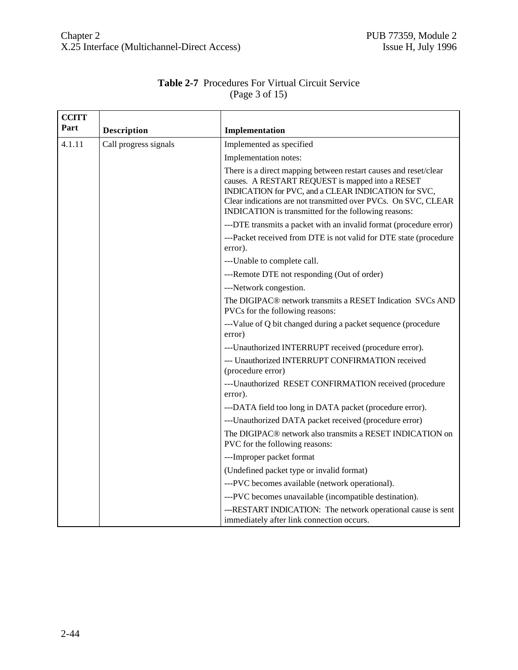|                | <b>Table 2-7</b> Procedures For Virtual Circuit Service |
|----------------|---------------------------------------------------------|
| (Page 3 of 15) |                                                         |

| <b>CCITT</b><br>Part |                       |                                                                                                                                                                                                                                                                                                       |
|----------------------|-----------------------|-------------------------------------------------------------------------------------------------------------------------------------------------------------------------------------------------------------------------------------------------------------------------------------------------------|
|                      | <b>Description</b>    | Implementation                                                                                                                                                                                                                                                                                        |
| 4.1.11               | Call progress signals | Implemented as specified                                                                                                                                                                                                                                                                              |
|                      |                       | Implementation notes:                                                                                                                                                                                                                                                                                 |
|                      |                       | There is a direct mapping between restart causes and reset/clear<br>causes. A RESTART REQUEST is mapped into a RESET<br>INDICATION for PVC, and a CLEAR INDICATION for SVC,<br>Clear indications are not transmitted over PVCs. On SVC, CLEAR<br>INDICATION is transmitted for the following reasons: |
|                      |                       | ---DTE transmits a packet with an invalid format (procedure error)                                                                                                                                                                                                                                    |
|                      |                       | ---Packet received from DTE is not valid for DTE state (procedure<br>error).                                                                                                                                                                                                                          |
|                      |                       | ---Unable to complete call.                                                                                                                                                                                                                                                                           |
|                      |                       | ---Remote DTE not responding (Out of order)                                                                                                                                                                                                                                                           |
|                      |                       | ---Network congestion.                                                                                                                                                                                                                                                                                |
|                      |                       | The DIGIPAC® network transmits a RESET Indication SVCs AND<br>PVCs for the following reasons:                                                                                                                                                                                                         |
|                      |                       | ---Value of Q bit changed during a packet sequence (procedure<br>error)                                                                                                                                                                                                                               |
|                      |                       | ---Unauthorized INTERRUPT received (procedure error).                                                                                                                                                                                                                                                 |
|                      |                       | --- Unauthorized INTERRUPT CONFIRMATION received<br>(procedure error)                                                                                                                                                                                                                                 |
|                      |                       | ---Unauthorized RESET CONFIRMATION received (procedure<br>error).                                                                                                                                                                                                                                     |
|                      |                       | ---DATA field too long in DATA packet (procedure error).                                                                                                                                                                                                                                              |
|                      |                       | ---Unauthorized DATA packet received (procedure error)                                                                                                                                                                                                                                                |
|                      |                       | The DIGIPAC <sup>®</sup> network also transmits a RESET INDICATION on<br>PVC for the following reasons:                                                                                                                                                                                               |
|                      |                       | ---Improper packet format                                                                                                                                                                                                                                                                             |
|                      |                       | (Undefined packet type or invalid format)                                                                                                                                                                                                                                                             |
|                      |                       | ---PVC becomes available (network operational).                                                                                                                                                                                                                                                       |
|                      |                       | ---PVC becomes unavailable (incompatible destination).                                                                                                                                                                                                                                                |
|                      |                       | ---RESTART INDICATION: The network operational cause is sent<br>immediately after link connection occurs.                                                                                                                                                                                             |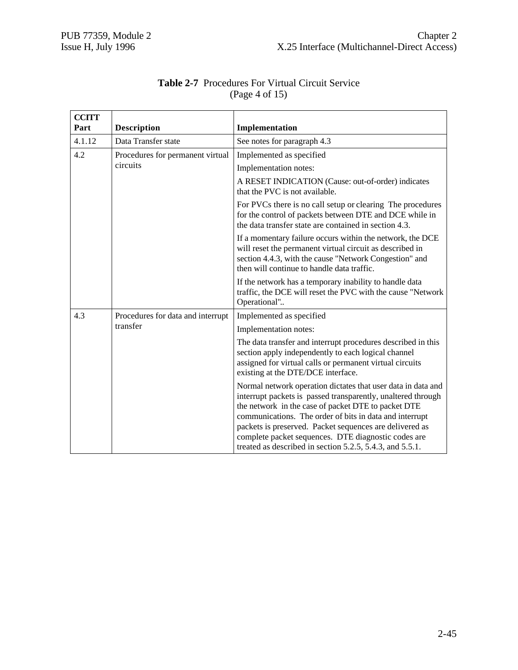| <b>CCITT</b><br>Part | <b>Description</b>                | Implementation                                                                                                                                                                                                                                                                                                                                                                                                               |
|----------------------|-----------------------------------|------------------------------------------------------------------------------------------------------------------------------------------------------------------------------------------------------------------------------------------------------------------------------------------------------------------------------------------------------------------------------------------------------------------------------|
|                      |                                   |                                                                                                                                                                                                                                                                                                                                                                                                                              |
| 4.1.12               | Data Transfer state               | See notes for paragraph 4.3                                                                                                                                                                                                                                                                                                                                                                                                  |
| 4.2                  | Procedures for permanent virtual  | Implemented as specified                                                                                                                                                                                                                                                                                                                                                                                                     |
|                      | circuits                          | Implementation notes:                                                                                                                                                                                                                                                                                                                                                                                                        |
|                      |                                   | A RESET INDICATION (Cause: out-of-order) indicates<br>that the PVC is not available.                                                                                                                                                                                                                                                                                                                                         |
|                      |                                   | For PVCs there is no call setup or clearing The procedures<br>for the control of packets between DTE and DCE while in<br>the data transfer state are contained in section 4.3.                                                                                                                                                                                                                                               |
|                      |                                   | If a momentary failure occurs within the network, the DCE<br>will reset the permanent virtual circuit as described in<br>section 4.4.3, with the cause "Network Congestion" and<br>then will continue to handle data traffic.                                                                                                                                                                                                |
|                      |                                   | If the network has a temporary inability to handle data<br>traffic, the DCE will reset the PVC with the cause "Network"<br>Operational"                                                                                                                                                                                                                                                                                      |
| 4.3                  | Procedures for data and interrupt | Implemented as specified                                                                                                                                                                                                                                                                                                                                                                                                     |
|                      | transfer                          | Implementation notes:                                                                                                                                                                                                                                                                                                                                                                                                        |
|                      |                                   | The data transfer and interrupt procedures described in this<br>section apply independently to each logical channel<br>assigned for virtual calls or permanent virtual circuits<br>existing at the DTE/DCE interface.                                                                                                                                                                                                        |
|                      |                                   | Normal network operation dictates that user data in data and<br>interrupt packets is passed transparently, unaltered through<br>the network in the case of packet DTE to packet DTE<br>communications. The order of bits in data and interrupt<br>packets is preserved. Packet sequences are delivered as<br>complete packet sequences. DTE diagnostic codes are<br>treated as described in section 5.2.5, 5.4.3, and 5.5.1. |

## **Table 2-7** Procedures For Virtual Circuit Service (Page 4 of 15)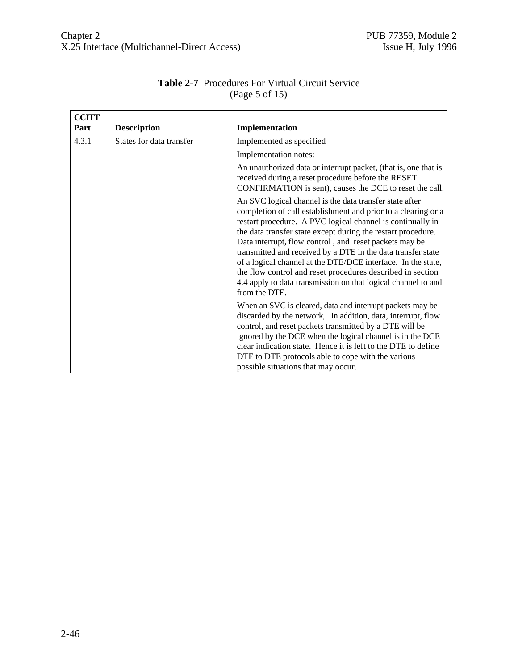| <b>CCITT</b><br>Part | <b>Description</b>       | Implementation                                                                                                                                                                                                                                                                                                                                                                                                                                                                                                                                                                                   |
|----------------------|--------------------------|--------------------------------------------------------------------------------------------------------------------------------------------------------------------------------------------------------------------------------------------------------------------------------------------------------------------------------------------------------------------------------------------------------------------------------------------------------------------------------------------------------------------------------------------------------------------------------------------------|
| 4.3.1                | States for data transfer | Implemented as specified                                                                                                                                                                                                                                                                                                                                                                                                                                                                                                                                                                         |
|                      |                          | Implementation notes:                                                                                                                                                                                                                                                                                                                                                                                                                                                                                                                                                                            |
|                      |                          | An unauthorized data or interrupt packet, (that is, one that is<br>received during a reset procedure before the RESET<br>CONFIRMATION is sent), causes the DCE to reset the call.                                                                                                                                                                                                                                                                                                                                                                                                                |
|                      |                          | An SVC logical channel is the data transfer state after<br>completion of call establishment and prior to a clearing or a<br>restart procedure. A PVC logical channel is continually in<br>the data transfer state except during the restart procedure.<br>Data interrupt, flow control, and reset packets may be<br>transmitted and received by a DTE in the data transfer state<br>of a logical channel at the DTE/DCE interface. In the state,<br>the flow control and reset procedures described in section<br>4.4 apply to data transmission on that logical channel to and<br>from the DTE. |
|                      |                          | When an SVC is cleared, data and interrupt packets may be<br>discarded by the network. In addition, data, interrupt, flow<br>control, and reset packets transmitted by a DTE will be<br>ignored by the DCE when the logical channel is in the DCE<br>clear indication state. Hence it is left to the DTE to define<br>DTE to DTE protocols able to cope with the various<br>possible situations that may occur.                                                                                                                                                                                  |

# **Table 2-7** Procedures For Virtual Circuit Service (Page 5 of 15)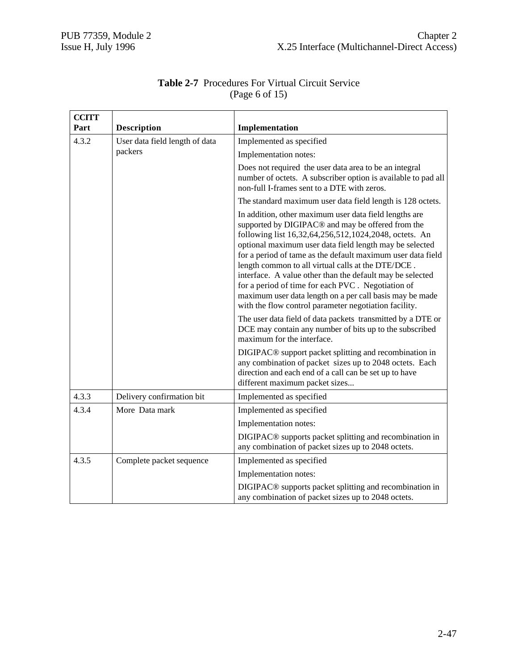| <b>CCITT</b> |                                |                                                                                                                                                                                                                                                                                                                                                                                                                                                                                                                                                                                                         |
|--------------|--------------------------------|---------------------------------------------------------------------------------------------------------------------------------------------------------------------------------------------------------------------------------------------------------------------------------------------------------------------------------------------------------------------------------------------------------------------------------------------------------------------------------------------------------------------------------------------------------------------------------------------------------|
| Part         | <b>Description</b>             | Implementation                                                                                                                                                                                                                                                                                                                                                                                                                                                                                                                                                                                          |
| 4.3.2        | User data field length of data | Implemented as specified                                                                                                                                                                                                                                                                                                                                                                                                                                                                                                                                                                                |
|              | packers                        | Implementation notes:                                                                                                                                                                                                                                                                                                                                                                                                                                                                                                                                                                                   |
|              |                                | Does not required the user data area to be an integral<br>number of octets. A subscriber option is available to pad all<br>non-full I-frames sent to a DTE with zeros.                                                                                                                                                                                                                                                                                                                                                                                                                                  |
|              |                                | The standard maximum user data field length is 128 octets.                                                                                                                                                                                                                                                                                                                                                                                                                                                                                                                                              |
|              |                                | In addition, other maximum user data field lengths are<br>supported by DIGIPAC <sup>®</sup> and may be offered from the<br>following list 16,32,64,256,512,1024,2048, octets. An<br>optional maximum user data field length may be selected<br>for a period of tame as the default maximum user data field<br>length common to all virtual calls at the DTE/DCE.<br>interface. A value other than the default may be selected<br>for a period of time for each PVC. Negotiation of<br>maximum user data length on a per call basis may be made<br>with the flow control parameter negotiation facility. |
|              |                                | The user data field of data packets transmitted by a DTE or<br>DCE may contain any number of bits up to the subscribed<br>maximum for the interface.                                                                                                                                                                                                                                                                                                                                                                                                                                                    |
|              |                                | DIGIPAC <sup>®</sup> support packet splitting and recombination in<br>any combination of packet sizes up to 2048 octets. Each<br>direction and each end of a call can be set up to have<br>different maximum packet sizes                                                                                                                                                                                                                                                                                                                                                                               |
| 4.3.3        | Delivery confirmation bit      | Implemented as specified                                                                                                                                                                                                                                                                                                                                                                                                                                                                                                                                                                                |
| 4.3.4        | More Data mark                 | Implemented as specified                                                                                                                                                                                                                                                                                                                                                                                                                                                                                                                                                                                |
|              |                                | Implementation notes:                                                                                                                                                                                                                                                                                                                                                                                                                                                                                                                                                                                   |
|              |                                | DIGIPAC <sup>®</sup> supports packet splitting and recombination in<br>any combination of packet sizes up to 2048 octets.                                                                                                                                                                                                                                                                                                                                                                                                                                                                               |
| 4.3.5        | Complete packet sequence       | Implemented as specified                                                                                                                                                                                                                                                                                                                                                                                                                                                                                                                                                                                |
|              |                                | Implementation notes:                                                                                                                                                                                                                                                                                                                                                                                                                                                                                                                                                                                   |
|              |                                | DIGIPAC <sup>®</sup> supports packet splitting and recombination in<br>any combination of packet sizes up to 2048 octets.                                                                                                                                                                                                                                                                                                                                                                                                                                                                               |

# **Table 2-7** Procedures For Virtual Circuit Service (Page 6 of 15)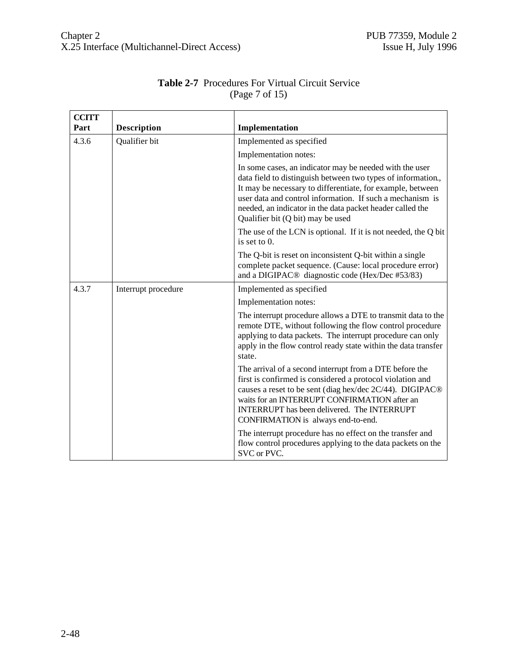| <b>CCITT</b> |                     |                                                                                                                                                                                                                                                                                                                                                      |
|--------------|---------------------|------------------------------------------------------------------------------------------------------------------------------------------------------------------------------------------------------------------------------------------------------------------------------------------------------------------------------------------------------|
| Part         | Description         | Implementation                                                                                                                                                                                                                                                                                                                                       |
| 4.3.6        | Qualifier bit       | Implemented as specified                                                                                                                                                                                                                                                                                                                             |
|              |                     | Implementation notes:                                                                                                                                                                                                                                                                                                                                |
|              |                     | In some cases, an indicator may be needed with the user<br>data field to distinguish between two types of information.,<br>It may be necessary to differentiate, for example, between<br>user data and control information. If such a mechanism is<br>needed, an indicator in the data packet header called the<br>Qualifier bit (Q bit) may be used |
|              |                     | The use of the LCN is optional. If it is not needed, the Q bit<br>is set to 0.                                                                                                                                                                                                                                                                       |
|              |                     | The Q-bit is reset on inconsistent Q-bit within a single<br>complete packet sequence. (Cause: local procedure error)<br>and a DIGIPAC <sup>®</sup> diagnostic code (Hex/Dec #53/83)                                                                                                                                                                  |
| 4.3.7        | Interrupt procedure | Implemented as specified                                                                                                                                                                                                                                                                                                                             |
|              |                     | Implementation notes:                                                                                                                                                                                                                                                                                                                                |
|              |                     | The interrupt procedure allows a DTE to transmit data to the<br>remote DTE, without following the flow control procedure<br>applying to data packets. The interrupt procedure can only<br>apply in the flow control ready state within the data transfer<br>state.                                                                                   |
|              |                     | The arrival of a second interrupt from a DTE before the<br>first is confirmed is considered a protocol violation and<br>causes a reset to be sent (diag hex/dec 2C/44). DIGIPAC®<br>waits for an INTERRUPT CONFIRMATION after an<br>INTERRUPT has been delivered. The INTERRUPT<br>CONFIRMATION is always end-to-end.                                |
|              |                     | The interrupt procedure has no effect on the transfer and<br>flow control procedures applying to the data packets on the<br>SVC or PVC.                                                                                                                                                                                                              |

## **Table 2-7** Procedures For Virtual Circuit Service (Page 7 of 15)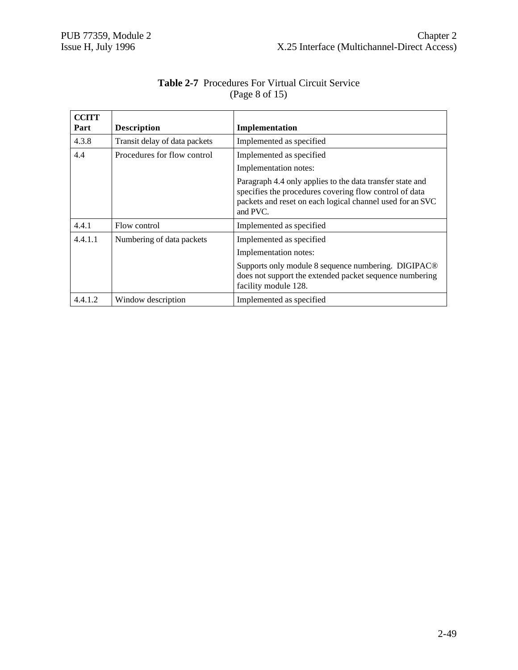| <b>CCITT</b> |                               |                                                                                                                                                                                              |
|--------------|-------------------------------|----------------------------------------------------------------------------------------------------------------------------------------------------------------------------------------------|
| Part         | <b>Description</b>            | Implementation                                                                                                                                                                               |
| 4.3.8        | Transit delay of data packets | Implemented as specified                                                                                                                                                                     |
| 4.4          | Procedures for flow control   | Implemented as specified                                                                                                                                                                     |
|              |                               | Implementation notes:                                                                                                                                                                        |
|              |                               | Paragraph 4.4 only applies to the data transfer state and<br>specifies the procedures covering flow control of data<br>packets and reset on each logical channel used for an SVC<br>and PVC. |
| 4.4.1        | Flow control                  | Implemented as specified                                                                                                                                                                     |
| 4.4.1.1      | Numbering of data packets     | Implemented as specified                                                                                                                                                                     |
|              |                               | Implementation notes:                                                                                                                                                                        |
|              |                               | Supports only module 8 sequence numbering. DIGIPAC <sup>®</sup><br>does not support the extended packet sequence numbering<br>facility module 128.                                           |
| 4.4.1.2      | Window description            | Implemented as specified                                                                                                                                                                     |

# **Table 2-7** Procedures For Virtual Circuit Service (Page 8 of 15)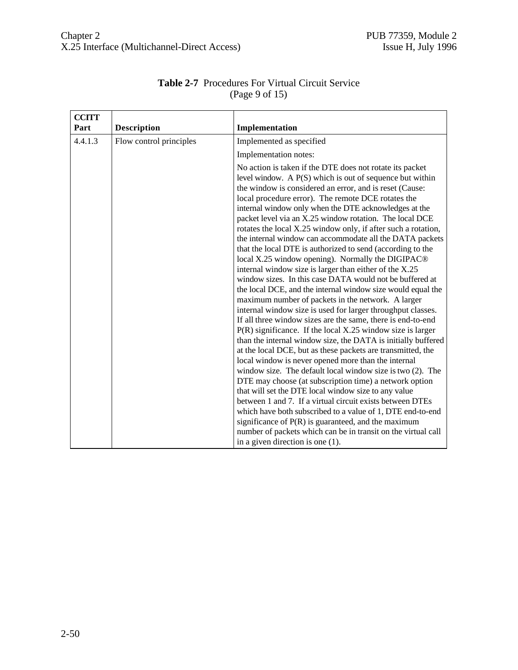| <b>CCITT</b> |                         |                                                                                                                                                                                                                                                                                                                                                                                                                                                                                                                                                                                                                                                                                                                                                                                                                                                                                                                                                                                                                                                                                                                                                                                                                                                                                                                                                                                                                                                                                                                                                                                                                                                                                                                                   |
|--------------|-------------------------|-----------------------------------------------------------------------------------------------------------------------------------------------------------------------------------------------------------------------------------------------------------------------------------------------------------------------------------------------------------------------------------------------------------------------------------------------------------------------------------------------------------------------------------------------------------------------------------------------------------------------------------------------------------------------------------------------------------------------------------------------------------------------------------------------------------------------------------------------------------------------------------------------------------------------------------------------------------------------------------------------------------------------------------------------------------------------------------------------------------------------------------------------------------------------------------------------------------------------------------------------------------------------------------------------------------------------------------------------------------------------------------------------------------------------------------------------------------------------------------------------------------------------------------------------------------------------------------------------------------------------------------------------------------------------------------------------------------------------------------|
| Part         | <b>Description</b>      | Implementation                                                                                                                                                                                                                                                                                                                                                                                                                                                                                                                                                                                                                                                                                                                                                                                                                                                                                                                                                                                                                                                                                                                                                                                                                                                                                                                                                                                                                                                                                                                                                                                                                                                                                                                    |
| 4.4.1.3      | Flow control principles | Implemented as specified                                                                                                                                                                                                                                                                                                                                                                                                                                                                                                                                                                                                                                                                                                                                                                                                                                                                                                                                                                                                                                                                                                                                                                                                                                                                                                                                                                                                                                                                                                                                                                                                                                                                                                          |
|              |                         | Implementation notes:                                                                                                                                                                                                                                                                                                                                                                                                                                                                                                                                                                                                                                                                                                                                                                                                                                                                                                                                                                                                                                                                                                                                                                                                                                                                                                                                                                                                                                                                                                                                                                                                                                                                                                             |
|              |                         | No action is taken if the DTE does not rotate its packet<br>level window. A P(S) which is out of sequence but within<br>the window is considered an error, and is reset (Cause:<br>local procedure error). The remote DCE rotates the<br>internal window only when the DTE acknowledges at the<br>packet level via an X.25 window rotation. The local DCE<br>rotates the local X.25 window only, if after such a rotation,<br>the internal window can accommodate all the DATA packets<br>that the local DTE is authorized to send (according to the<br>local X.25 window opening). Normally the DIGIPAC <sup>®</sup><br>internal window size is larger than either of the X.25<br>window sizes. In this case DATA would not be buffered at<br>the local DCE, and the internal window size would equal the<br>maximum number of packets in the network. A larger<br>internal window size is used for larger throughput classes.<br>If all three window sizes are the same, there is end-to-end<br>$P(R)$ significance. If the local X.25 window size is larger<br>than the internal window size, the DATA is initially buffered<br>at the local DCE, but as these packets are transmitted, the<br>local window is never opened more than the internal<br>window size. The default local window size is two (2). The<br>DTE may choose (at subscription time) a network option<br>that will set the DTE local window size to any value<br>between 1 and 7. If a virtual circuit exists between DTEs<br>which have both subscribed to a value of 1, DTE end-to-end<br>significance of $P(R)$ is guaranteed, and the maximum<br>number of packets which can be in transit on the virtual call<br>in a given direction is one $(1)$ . |

## **Table 2-7** Procedures For Virtual Circuit Service (Page 9 of 15)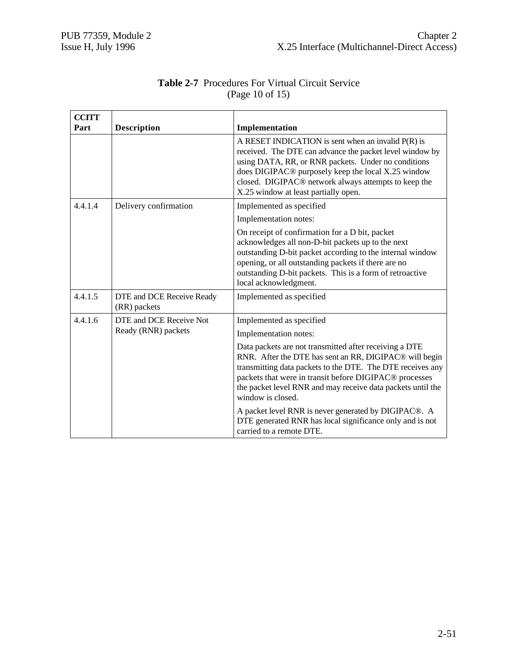| <b>CCITT</b> |                                           |                                                                                                                                                                                                                                                                                                                                                       |
|--------------|-------------------------------------------|-------------------------------------------------------------------------------------------------------------------------------------------------------------------------------------------------------------------------------------------------------------------------------------------------------------------------------------------------------|
| Part         | <b>Description</b>                        | Implementation                                                                                                                                                                                                                                                                                                                                        |
|              |                                           | A RESET INDICATION is sent when an invalid $P(R)$ is<br>received. The DTE can advance the packet level window by<br>using DATA, RR, or RNR packets. Under no conditions<br>does DIGIPAC <sup>®</sup> purposely keep the local X.25 window<br>closed. DIGIPAC <sup>®</sup> network always attempts to keep the<br>X.25 window at least partially open. |
| 4.4.1.4      | Delivery confirmation                     | Implemented as specified                                                                                                                                                                                                                                                                                                                              |
|              |                                           | Implementation notes:                                                                                                                                                                                                                                                                                                                                 |
|              |                                           | On receipt of confirmation for a D bit, packet<br>acknowledges all non-D-bit packets up to the next<br>outstanding D-bit packet according to the internal window<br>opening, or all outstanding packets if there are no<br>outstanding D-bit packets. This is a form of retroactive<br>local acknowledgment.                                          |
| 4.4.1.5      | DTE and DCE Receive Ready<br>(RR) packets | Implemented as specified                                                                                                                                                                                                                                                                                                                              |
| 4.4.1.6      | DTE and DCE Receive Not                   | Implemented as specified                                                                                                                                                                                                                                                                                                                              |
|              | Ready (RNR) packets                       | Implementation notes:                                                                                                                                                                                                                                                                                                                                 |
|              |                                           | Data packets are not transmitted after receiving a DTE<br>RNR. After the DTE has sent an RR, DIGIPAC <sup>®</sup> will begin<br>transmitting data packets to the DTE. The DTE receives any<br>packets that were in transit before DIGIPAC <sup>®</sup> processes<br>the packet level RNR and may receive data packets until the<br>window is closed.  |
|              |                                           | A packet level RNR is never generated by DIGIPAC®. A<br>DTE generated RNR has local significance only and is not<br>carried to a remote DTE.                                                                                                                                                                                                          |

# **Table 2-7** Procedures For Virtual Circuit Service (Page 10 of 15)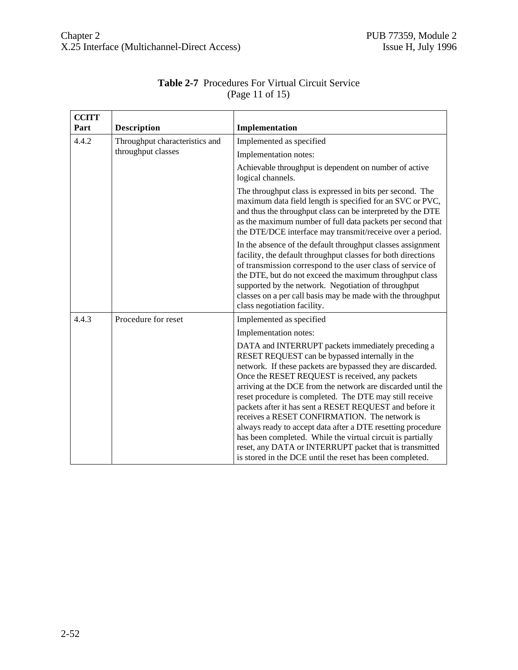| <b>CCITT</b> |                                |                                                                                                                                                                                                                                                                                                                                                                                                                                                                                                                                                                                                                                                                                                                   |
|--------------|--------------------------------|-------------------------------------------------------------------------------------------------------------------------------------------------------------------------------------------------------------------------------------------------------------------------------------------------------------------------------------------------------------------------------------------------------------------------------------------------------------------------------------------------------------------------------------------------------------------------------------------------------------------------------------------------------------------------------------------------------------------|
| Part         | <b>Description</b>             | Implementation                                                                                                                                                                                                                                                                                                                                                                                                                                                                                                                                                                                                                                                                                                    |
| 4.4.2        | Throughput characteristics and | Implemented as specified                                                                                                                                                                                                                                                                                                                                                                                                                                                                                                                                                                                                                                                                                          |
|              | throughput classes             | Implementation notes:                                                                                                                                                                                                                                                                                                                                                                                                                                                                                                                                                                                                                                                                                             |
|              |                                | Achievable throughput is dependent on number of active<br>logical channels.                                                                                                                                                                                                                                                                                                                                                                                                                                                                                                                                                                                                                                       |
|              |                                | The throughput class is expressed in bits per second. The<br>maximum data field length is specified for an SVC or PVC,<br>and thus the throughput class can be interpreted by the DTE<br>as the maximum number of full data packets per second that<br>the DTE/DCE interface may transmit/receive over a period.                                                                                                                                                                                                                                                                                                                                                                                                  |
|              |                                | In the absence of the default throughput classes assignment<br>facility, the default throughput classes for both directions<br>of transmission correspond to the user class of service of<br>the DTE, but do not exceed the maximum throughput class<br>supported by the network. Negotiation of throughput<br>classes on a per call basis may be made with the throughput<br>class negotiation facility.                                                                                                                                                                                                                                                                                                         |
| 4.4.3        | Procedure for reset            | Implemented as specified                                                                                                                                                                                                                                                                                                                                                                                                                                                                                                                                                                                                                                                                                          |
|              |                                | Implementation notes:                                                                                                                                                                                                                                                                                                                                                                                                                                                                                                                                                                                                                                                                                             |
|              |                                | DATA and INTERRUPT packets immediately preceding a<br>RESET REQUEST can be bypassed internally in the<br>network. If these packets are bypassed they are discarded.<br>Once the RESET REQUEST is received, any packets<br>arriving at the DCE from the network are discarded until the<br>reset procedure is completed. The DTE may still receive<br>packets after it has sent a RESET REQUEST and before it<br>receives a RESET CONFIRMATION. The network is<br>always ready to accept data after a DTE resetting procedure<br>has been completed. While the virtual circuit is partially<br>reset, any DATA or INTERRUPT packet that is transmitted<br>is stored in the DCE until the reset has been completed. |

# **Table 2-7** Procedures For Virtual Circuit Service (Page 11 of 15)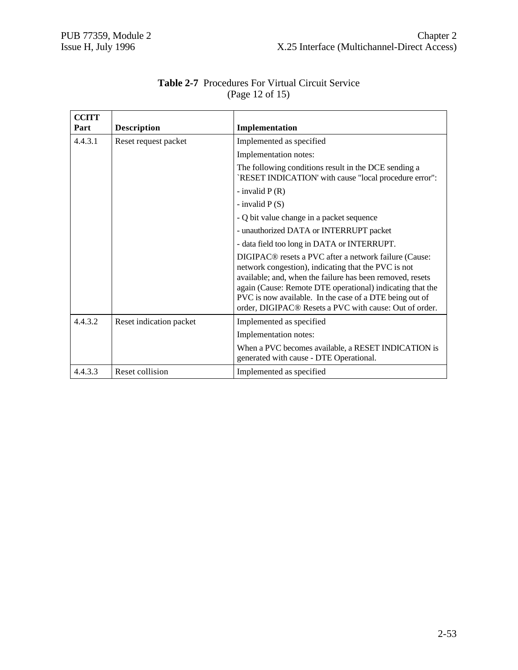| <b>CCITT</b><br>Part | <b>Description</b>      | Implementation                                                                                                                                                                                                                                                                                                                                                          |
|----------------------|-------------------------|-------------------------------------------------------------------------------------------------------------------------------------------------------------------------------------------------------------------------------------------------------------------------------------------------------------------------------------------------------------------------|
| 4.4.3.1              | Reset request packet    | Implemented as specified                                                                                                                                                                                                                                                                                                                                                |
|                      |                         | Implementation notes:                                                                                                                                                                                                                                                                                                                                                   |
|                      |                         | The following conditions result in the DCE sending a<br>`RESET INDICATION' with cause "local procedure error":                                                                                                                                                                                                                                                          |
|                      |                         | - invalid $P(R)$                                                                                                                                                                                                                                                                                                                                                        |
|                      |                         | - invalid $P(S)$                                                                                                                                                                                                                                                                                                                                                        |
|                      |                         | - Q bit value change in a packet sequence                                                                                                                                                                                                                                                                                                                               |
|                      |                         | - unauthorized DATA or INTERRUPT packet                                                                                                                                                                                                                                                                                                                                 |
|                      |                         | - data field too long in DATA or INTERRUPT.                                                                                                                                                                                                                                                                                                                             |
|                      |                         | DIGIPAC <sup>®</sup> resets a PVC after a network failure (Cause:<br>network congestion), indicating that the PVC is not<br>available; and, when the failure has been removed, resets<br>again (Cause: Remote DTE operational) indicating that the<br>PVC is now available. In the case of a DTE being out of<br>order, DIGIPAC® Resets a PVC with cause: Out of order. |
| 4.4.3.2              | Reset indication packet | Implemented as specified                                                                                                                                                                                                                                                                                                                                                |
|                      |                         | Implementation notes:                                                                                                                                                                                                                                                                                                                                                   |
|                      |                         | When a PVC becomes available, a RESET INDICATION is<br>generated with cause - DTE Operational.                                                                                                                                                                                                                                                                          |
| 4.4.3.3              | Reset collision         | Implemented as specified                                                                                                                                                                                                                                                                                                                                                |

## **Table 2-7** Procedures For Virtual Circuit Service (Page 12 of 15)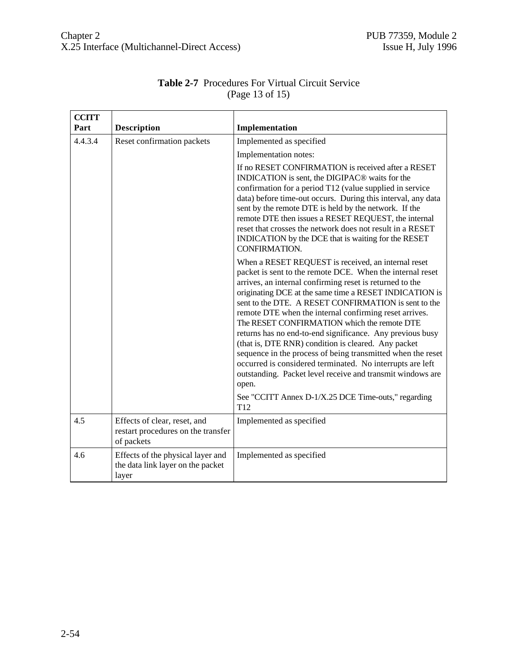| <b>CCITT</b><br>Part | <b>Description</b>                                                              | Implementation                                                                                                                                                                                                                                                                                                                                                                                                                                                                                                                                                                                                                                                                                                                                                                        |
|----------------------|---------------------------------------------------------------------------------|---------------------------------------------------------------------------------------------------------------------------------------------------------------------------------------------------------------------------------------------------------------------------------------------------------------------------------------------------------------------------------------------------------------------------------------------------------------------------------------------------------------------------------------------------------------------------------------------------------------------------------------------------------------------------------------------------------------------------------------------------------------------------------------|
| 4.4.3.4              | Reset confirmation packets                                                      | Implemented as specified                                                                                                                                                                                                                                                                                                                                                                                                                                                                                                                                                                                                                                                                                                                                                              |
|                      |                                                                                 | Implementation notes:                                                                                                                                                                                                                                                                                                                                                                                                                                                                                                                                                                                                                                                                                                                                                                 |
|                      |                                                                                 | If no RESET CONFIRMATION is received after a RESET<br>INDICATION is sent, the DIGIPAC <sup>®</sup> waits for the<br>confirmation for a period T12 (value supplied in service<br>data) before time-out occurs. During this interval, any data<br>sent by the remote DTE is held by the network. If the<br>remote DTE then issues a RESET REQUEST, the internal<br>reset that crosses the network does not result in a RESET<br>INDICATION by the DCE that is waiting for the RESET<br>CONFIRMATION.                                                                                                                                                                                                                                                                                    |
|                      |                                                                                 | When a RESET REQUEST is received, an internal reset<br>packet is sent to the remote DCE. When the internal reset<br>arrives, an internal confirming reset is returned to the<br>originating DCE at the same time a RESET INDICATION is<br>sent to the DTE. A RESET CONFIRMATION is sent to the<br>remote DTE when the internal confirming reset arrives.<br>The RESET CONFIRMATION which the remote DTE<br>returns has no end-to-end significance. Any previous busy<br>(that is, DTE RNR) condition is cleared. Any packet<br>sequence in the process of being transmitted when the reset<br>occurred is considered terminated. No interrupts are left<br>outstanding. Packet level receive and transmit windows are<br>open.<br>See "CCITT Annex D-1/X.25 DCE Time-outs," regarding |
| 4.5                  | Effects of clear, reset, and                                                    | T <sub>12</sub><br>Implemented as specified                                                                                                                                                                                                                                                                                                                                                                                                                                                                                                                                                                                                                                                                                                                                           |
|                      | restart procedures on the transfer<br>of packets                                |                                                                                                                                                                                                                                                                                                                                                                                                                                                                                                                                                                                                                                                                                                                                                                                       |
| 4.6                  | Effects of the physical layer and<br>the data link layer on the packet<br>layer | Implemented as specified                                                                                                                                                                                                                                                                                                                                                                                                                                                                                                                                                                                                                                                                                                                                                              |

# **Table 2-7** Procedures For Virtual Circuit Service (Page 13 of 15)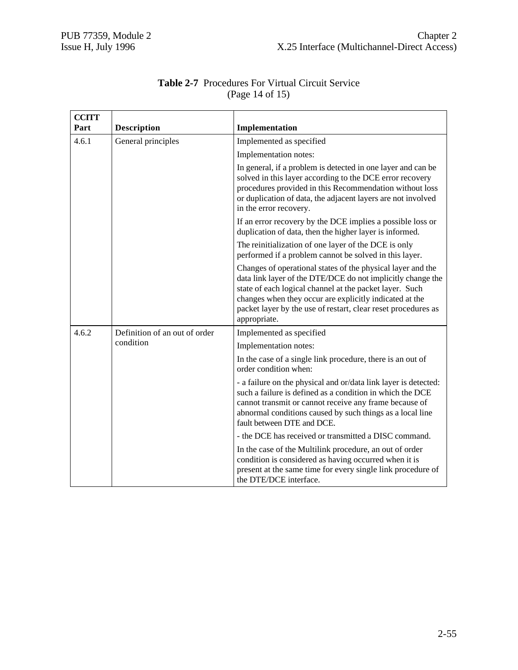| <b>CCITT</b> |                                            |                                                                                                                                                                                                                                                                                                                                   |
|--------------|--------------------------------------------|-----------------------------------------------------------------------------------------------------------------------------------------------------------------------------------------------------------------------------------------------------------------------------------------------------------------------------------|
| Part         | <b>Description</b>                         | Implementation                                                                                                                                                                                                                                                                                                                    |
| 4.6.1        | General principles                         | Implemented as specified                                                                                                                                                                                                                                                                                                          |
|              |                                            | Implementation notes:                                                                                                                                                                                                                                                                                                             |
|              |                                            | In general, if a problem is detected in one layer and can be<br>solved in this layer according to the DCE error recovery<br>procedures provided in this Recommendation without loss<br>or duplication of data, the adjacent layers are not involved<br>in the error recovery.                                                     |
|              |                                            | If an error recovery by the DCE implies a possible loss or<br>duplication of data, then the higher layer is informed.                                                                                                                                                                                                             |
|              |                                            | The reinitialization of one layer of the DCE is only<br>performed if a problem cannot be solved in this layer.                                                                                                                                                                                                                    |
|              |                                            | Changes of operational states of the physical layer and the<br>data link layer of the DTE/DCE do not implicitly change the<br>state of each logical channel at the packet layer. Such<br>changes when they occur are explicitly indicated at the<br>packet layer by the use of restart, clear reset procedures as<br>appropriate. |
| 4.6.2        | Definition of an out of order<br>condition | Implemented as specified                                                                                                                                                                                                                                                                                                          |
|              |                                            | Implementation notes:                                                                                                                                                                                                                                                                                                             |
|              |                                            | In the case of a single link procedure, there is an out of<br>order condition when:                                                                                                                                                                                                                                               |
|              |                                            | - a failure on the physical and or/data link layer is detected:<br>such a failure is defined as a condition in which the DCE<br>cannot transmit or cannot receive any frame because of<br>abnormal conditions caused by such things as a local line<br>fault between DTE and DCE.                                                 |
|              |                                            | - the DCE has received or transmitted a DISC command.                                                                                                                                                                                                                                                                             |
|              |                                            | In the case of the Multilink procedure, an out of order<br>condition is considered as having occurred when it is<br>present at the same time for every single link procedure of<br>the DTE/DCE interface.                                                                                                                         |

| <b>Table 2-7</b> Procedures For Virtual Circuit Service |
|---------------------------------------------------------|
| (Page 14 of 15)                                         |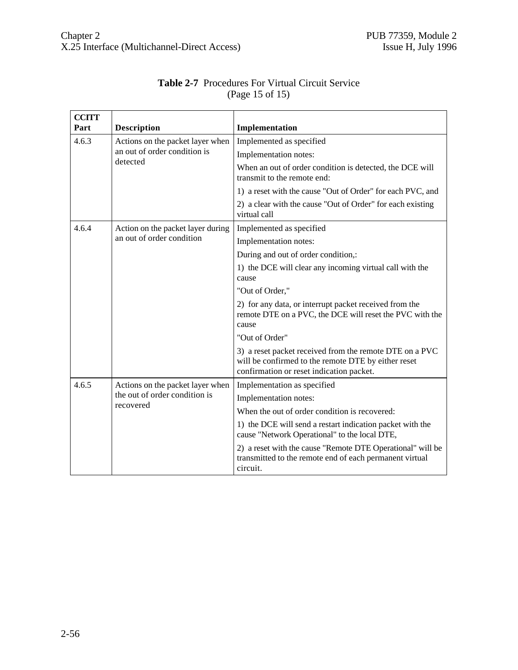$\mathbf{r}$ 

| <b>CCITT</b> |                                                                                |                                                                                                                                                            |
|--------------|--------------------------------------------------------------------------------|------------------------------------------------------------------------------------------------------------------------------------------------------------|
| Part         | <b>Description</b>                                                             | Implementation                                                                                                                                             |
| 4.6.3        | Actions on the packet layer when                                               | Implemented as specified                                                                                                                                   |
|              | an out of order condition is<br>detected                                       | Implementation notes:                                                                                                                                      |
|              |                                                                                | When an out of order condition is detected, the DCE will<br>transmit to the remote end:                                                                    |
|              |                                                                                | 1) a reset with the cause "Out of Order" for each PVC, and                                                                                                 |
|              |                                                                                | 2) a clear with the cause "Out of Order" for each existing<br>virtual call                                                                                 |
| 4.6.4        | Action on the packet layer during                                              | Implemented as specified                                                                                                                                   |
|              | an out of order condition                                                      | Implementation notes:                                                                                                                                      |
|              |                                                                                | During and out of order condition,:                                                                                                                        |
|              |                                                                                | 1) the DCE will clear any incoming virtual call with the<br>cause                                                                                          |
|              |                                                                                | "Out of Order,"                                                                                                                                            |
|              |                                                                                | 2) for any data, or interrupt packet received from the<br>remote DTE on a PVC, the DCE will reset the PVC with the<br>cause                                |
|              |                                                                                | "Out of Order"                                                                                                                                             |
|              |                                                                                | 3) a reset packet received from the remote DTE on a PVC<br>will be confirmed to the remote DTE by either reset<br>confirmation or reset indication packet. |
| 4.6.5        | Actions on the packet layer when<br>the out of order condition is<br>recovered | Implementation as specified                                                                                                                                |
|              |                                                                                | Implementation notes:                                                                                                                                      |
|              |                                                                                | When the out of order condition is recovered:                                                                                                              |
|              |                                                                                | 1) the DCE will send a restart indication packet with the<br>cause "Network Operational" to the local DTE,                                                 |
|              |                                                                                | 2) a reset with the cause "Remote DTE Operational" will be<br>transmitted to the remote end of each permanent virtual<br>circuit.                          |

# **Table 2-7** Procedures For Virtual Circuit Service (Page 15 of 15)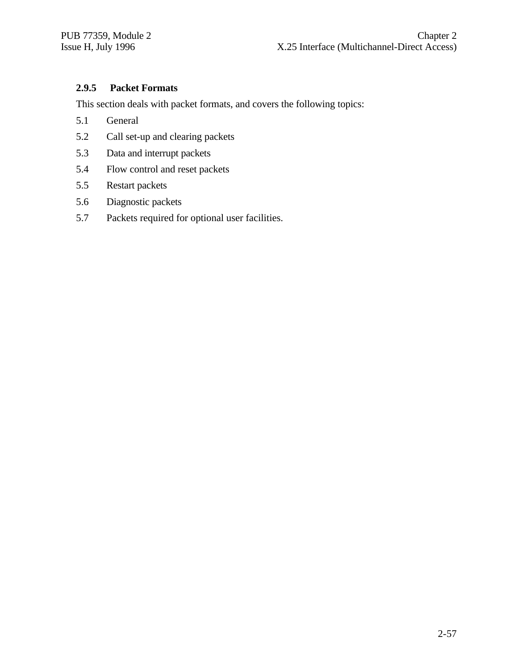## **2.9.5 Packet Formats**

This section deals with packet formats, and covers the following topics:

- 5.1 General
- 5.2 Call set-up and clearing packets
- 5.3 Data and interrupt packets
- 5.4 Flow control and reset packets
- 5.5 Restart packets
- 5.6 Diagnostic packets
- 5.7 Packets required for optional user facilities.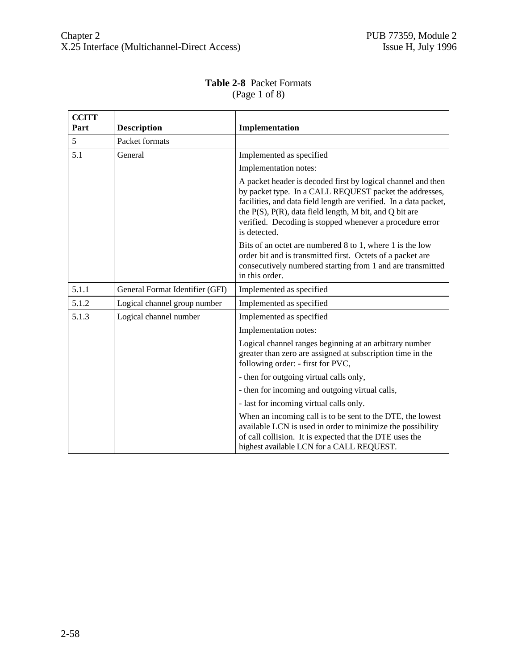| <b>CCITT</b><br>Part | <b>Description</b>              | Implementation                                                                                                                                                                                                                                                                                                                            |
|----------------------|---------------------------------|-------------------------------------------------------------------------------------------------------------------------------------------------------------------------------------------------------------------------------------------------------------------------------------------------------------------------------------------|
| 5                    | Packet formats                  |                                                                                                                                                                                                                                                                                                                                           |
| 5.1                  | General                         | Implemented as specified                                                                                                                                                                                                                                                                                                                  |
|                      |                                 | Implementation notes:                                                                                                                                                                                                                                                                                                                     |
|                      |                                 | A packet header is decoded first by logical channel and then<br>by packet type. In a CALL REQUEST packet the addresses,<br>facilities, and data field length are verified. In a data packet,<br>the $P(S)$ , $P(R)$ , data field length, M bit, and Q bit are<br>verified. Decoding is stopped whenever a procedure error<br>is detected. |
|                      |                                 | Bits of an octet are numbered 8 to 1, where 1 is the low<br>order bit and is transmitted first. Octets of a packet are<br>consecutively numbered starting from 1 and are transmitted<br>in this order.                                                                                                                                    |
| 5.1.1                | General Format Identifier (GFI) | Implemented as specified                                                                                                                                                                                                                                                                                                                  |
| 5.1.2                | Logical channel group number    | Implemented as specified                                                                                                                                                                                                                                                                                                                  |
| 5.1.3                | Logical channel number          | Implemented as specified                                                                                                                                                                                                                                                                                                                  |
|                      |                                 | Implementation notes:                                                                                                                                                                                                                                                                                                                     |
|                      |                                 | Logical channel ranges beginning at an arbitrary number<br>greater than zero are assigned at subscription time in the<br>following order: - first for PVC,                                                                                                                                                                                |
|                      |                                 | - then for outgoing virtual calls only,                                                                                                                                                                                                                                                                                                   |
|                      |                                 | - then for incoming and outgoing virtual calls,                                                                                                                                                                                                                                                                                           |
|                      |                                 | - last for incoming virtual calls only.                                                                                                                                                                                                                                                                                                   |
|                      |                                 | When an incoming call is to be sent to the DTE, the lowest<br>available LCN is used in order to minimize the possibility<br>of call collision. It is expected that the DTE uses the<br>highest available LCN for a CALL REQUEST.                                                                                                          |

#### **Table 2-8** Packet Formats (Page 1 of 8)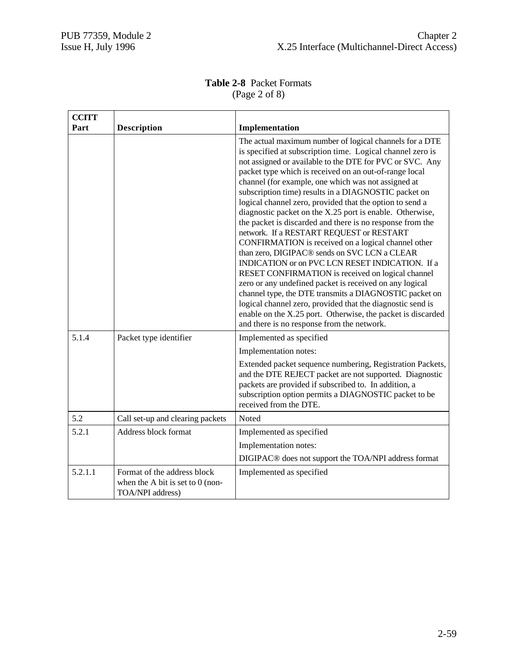## **Table 2-8** Packet Formats (Page 2 of 8)

| <b>CCITT</b> |                                                                                       |                                                                                                                                                                                                                                                                                                                                                                                                                                                                                                                                                                                                                                                                                                                                                                                                                                                                                                                                                                                                                                                                                                                        |
|--------------|---------------------------------------------------------------------------------------|------------------------------------------------------------------------------------------------------------------------------------------------------------------------------------------------------------------------------------------------------------------------------------------------------------------------------------------------------------------------------------------------------------------------------------------------------------------------------------------------------------------------------------------------------------------------------------------------------------------------------------------------------------------------------------------------------------------------------------------------------------------------------------------------------------------------------------------------------------------------------------------------------------------------------------------------------------------------------------------------------------------------------------------------------------------------------------------------------------------------|
| Part         | <b>Description</b>                                                                    | Implementation                                                                                                                                                                                                                                                                                                                                                                                                                                                                                                                                                                                                                                                                                                                                                                                                                                                                                                                                                                                                                                                                                                         |
|              |                                                                                       | The actual maximum number of logical channels for a DTE<br>is specified at subscription time. Logical channel zero is<br>not assigned or available to the DTE for PVC or SVC. Any<br>packet type which is received on an out-of-range local<br>channel (for example, one which was not assigned at<br>subscription time) results in a DIAGNOSTIC packet on<br>logical channel zero, provided that the option to send a<br>diagnostic packet on the X.25 port is enable. Otherwise,<br>the packet is discarded and there is no response from the<br>network. If a RESTART REQUEST or RESTART<br>CONFIRMATION is received on a logical channel other<br>than zero, DIGIPAC <sup>®</sup> sends on SVC LCN a CLEAR<br>INDICATION or on PVC LCN RESET INDICATION. If a<br>RESET CONFIRMATION is received on logical channel<br>zero or any undefined packet is received on any logical<br>channel type, the DTE transmits a DIAGNOSTIC packet on<br>logical channel zero, provided that the diagnostic send is<br>enable on the X.25 port. Otherwise, the packet is discarded<br>and there is no response from the network. |
| 5.1.4        | Packet type identifier                                                                | Implemented as specified                                                                                                                                                                                                                                                                                                                                                                                                                                                                                                                                                                                                                                                                                                                                                                                                                                                                                                                                                                                                                                                                                               |
|              |                                                                                       | Implementation notes:<br>Extended packet sequence numbering, Registration Packets,<br>and the DTE REJECT packet are not supported. Diagnostic<br>packets are provided if subscribed to. In addition, a<br>subscription option permits a DIAGNOSTIC packet to be<br>received from the DTE.                                                                                                                                                                                                                                                                                                                                                                                                                                                                                                                                                                                                                                                                                                                                                                                                                              |
| 5.2          | Call set-up and clearing packets                                                      | Noted                                                                                                                                                                                                                                                                                                                                                                                                                                                                                                                                                                                                                                                                                                                                                                                                                                                                                                                                                                                                                                                                                                                  |
| 5.2.1        | Address block format                                                                  | Implemented as specified                                                                                                                                                                                                                                                                                                                                                                                                                                                                                                                                                                                                                                                                                                                                                                                                                                                                                                                                                                                                                                                                                               |
|              |                                                                                       | Implementation notes:                                                                                                                                                                                                                                                                                                                                                                                                                                                                                                                                                                                                                                                                                                                                                                                                                                                                                                                                                                                                                                                                                                  |
|              |                                                                                       | DIGIPAC <sup>®</sup> does not support the TOA/NPI address format                                                                                                                                                                                                                                                                                                                                                                                                                                                                                                                                                                                                                                                                                                                                                                                                                                                                                                                                                                                                                                                       |
| 5.2.1.1      | Format of the address block<br>when the A bit is set to $0$ (non-<br>TOA/NPI address) | Implemented as specified                                                                                                                                                                                                                                                                                                                                                                                                                                                                                                                                                                                                                                                                                                                                                                                                                                                                                                                                                                                                                                                                                               |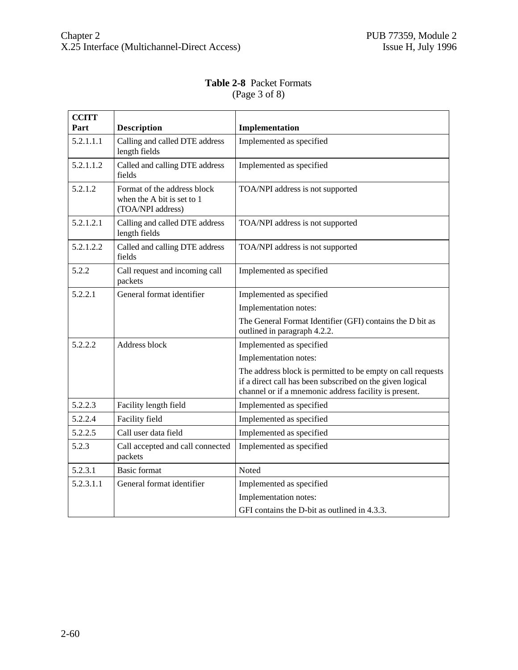#### **Table 2-8** Packet Formats (Page 3 of 8)

| <b>CCITT</b> |                                                                                |                                                                                                                                                                                   |
|--------------|--------------------------------------------------------------------------------|-----------------------------------------------------------------------------------------------------------------------------------------------------------------------------------|
| Part         | <b>Description</b>                                                             | Implementation                                                                                                                                                                    |
| 5.2.1.1.1    | Calling and called DTE address<br>length fields                                | Implemented as specified                                                                                                                                                          |
| 5.2.1.1.2    | Called and calling DTE address<br>fields                                       | Implemented as specified                                                                                                                                                          |
| 5.2.1.2      | Format of the address block<br>when the A bit is set to 1<br>(TOA/NPI address) | TOA/NPI address is not supported                                                                                                                                                  |
| 5.2.1.2.1    | Calling and called DTE address<br>length fields                                | TOA/NPI address is not supported                                                                                                                                                  |
| 5.2.1.2.2    | Called and calling DTE address<br>fields                                       | TOA/NPI address is not supported                                                                                                                                                  |
| 5.2.2        | Call request and incoming call<br>packets                                      | Implemented as specified                                                                                                                                                          |
| 5.2.2.1      | General format identifier                                                      | Implemented as specified                                                                                                                                                          |
|              |                                                                                | Implementation notes:                                                                                                                                                             |
|              |                                                                                | The General Format Identifier (GFI) contains the D bit as<br>outlined in paragraph 4.2.2.                                                                                         |
| 5.2.2.2      | Address block                                                                  | Implemented as specified                                                                                                                                                          |
|              |                                                                                | Implementation notes:                                                                                                                                                             |
|              |                                                                                | The address block is permitted to be empty on call requests<br>if a direct call has been subscribed on the given logical<br>channel or if a mnemonic address facility is present. |
| 5.2.2.3      | Facility length field                                                          | Implemented as specified                                                                                                                                                          |
| 5.2.2.4      | Facility field                                                                 | Implemented as specified                                                                                                                                                          |
| 5.2.2.5      | Call user data field                                                           | Implemented as specified                                                                                                                                                          |
| 5.2.3        | Call accepted and call connected<br>packets                                    | Implemented as specified                                                                                                                                                          |
| 5.2.3.1      | <b>Basic format</b>                                                            | Noted                                                                                                                                                                             |
| 5.2.3.1.1    | General format identifier                                                      | Implemented as specified                                                                                                                                                          |
|              |                                                                                | Implementation notes:                                                                                                                                                             |
|              |                                                                                | GFI contains the D-bit as outlined in 4.3.3.                                                                                                                                      |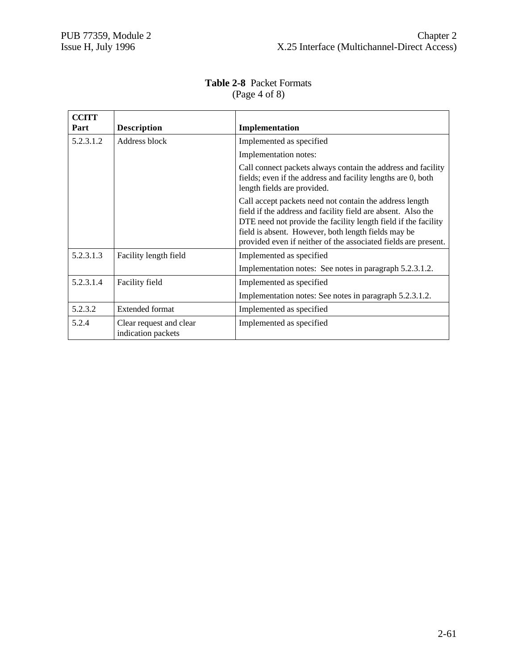| <b>CCITT</b> |                                               |                                                                                                                                                                                                                                                                                                                    |
|--------------|-----------------------------------------------|--------------------------------------------------------------------------------------------------------------------------------------------------------------------------------------------------------------------------------------------------------------------------------------------------------------------|
| Part         | <b>Description</b>                            | Implementation                                                                                                                                                                                                                                                                                                     |
| 5.2.3.1.2    | Address block                                 | Implemented as specified                                                                                                                                                                                                                                                                                           |
|              |                                               | Implementation notes:                                                                                                                                                                                                                                                                                              |
|              |                                               | Call connect packets always contain the address and facility<br>fields; even if the address and facility lengths are 0, both<br>length fields are provided.                                                                                                                                                        |
|              |                                               | Call accept packets need not contain the address length<br>field if the address and facility field are absent. Also the<br>DTE need not provide the facility length field if the facility<br>field is absent. However, both length fields may be<br>provided even if neither of the associated fields are present. |
| 5.2.3.1.3    | Facility length field                         | Implemented as specified                                                                                                                                                                                                                                                                                           |
|              |                                               | Implementation notes: See notes in paragraph 5.2.3.1.2.                                                                                                                                                                                                                                                            |
| 5.2.3.1.4    | Facility field                                | Implemented as specified                                                                                                                                                                                                                                                                                           |
|              |                                               | Implementation notes: See notes in paragraph 5.2.3.1.2.                                                                                                                                                                                                                                                            |
| 5.2.3.2      | <b>Extended format</b>                        | Implemented as specified                                                                                                                                                                                                                                                                                           |
| 5.2.4        | Clear request and clear<br>indication packets | Implemented as specified                                                                                                                                                                                                                                                                                           |

## **Table 2-8** Packet Formats (Page 4 of 8)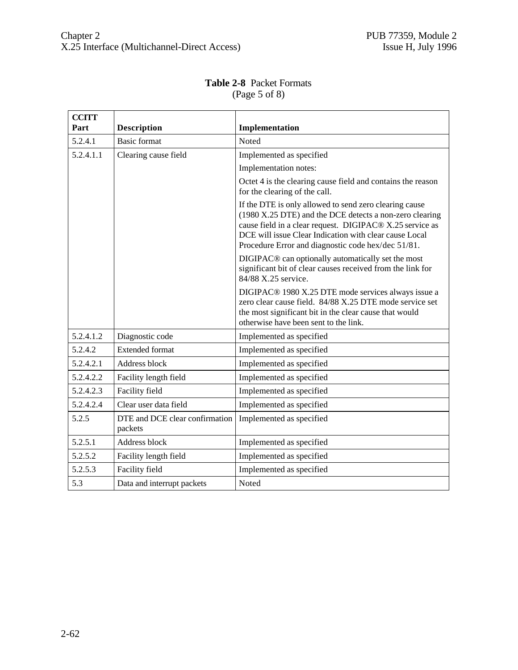| <b>Table 2-8 Packet Formats</b> |
|---------------------------------|
| $({\rm Page}\,5\,of\,8)$        |
|                                 |

| <b>CCITT</b> |                                           |                                                                                                                                                                                                                                                                                               |
|--------------|-------------------------------------------|-----------------------------------------------------------------------------------------------------------------------------------------------------------------------------------------------------------------------------------------------------------------------------------------------|
| Part         | <b>Description</b>                        | Implementation                                                                                                                                                                                                                                                                                |
| 5.2.4.1      | <b>Basic format</b>                       | Noted                                                                                                                                                                                                                                                                                         |
| 5.2.4.1.1    | Clearing cause field                      | Implemented as specified                                                                                                                                                                                                                                                                      |
|              |                                           | Implementation notes:                                                                                                                                                                                                                                                                         |
|              |                                           | Octet 4 is the clearing cause field and contains the reason<br>for the clearing of the call.                                                                                                                                                                                                  |
|              |                                           | If the DTE is only allowed to send zero clearing cause<br>(1980 X.25 DTE) and the DCE detects a non-zero clearing<br>cause field in a clear request. DIGIPAC® X.25 service as<br>DCE will issue Clear Indication with clear cause Local<br>Procedure Error and diagnostic code hex/dec 51/81. |
|              |                                           | DIGIPAC <sup>®</sup> can optionally automatically set the most<br>significant bit of clear causes received from the link for<br>84/88 X.25 service.                                                                                                                                           |
|              |                                           | DIGIPAC <sup>®</sup> 1980 X.25 DTE mode services always issue a<br>zero clear cause field. 84/88 X.25 DTE mode service set<br>the most significant bit in the clear cause that would<br>otherwise have been sent to the link.                                                                 |
| 5.2.4.1.2    | Diagnostic code                           | Implemented as specified                                                                                                                                                                                                                                                                      |
| 5.2.4.2      | <b>Extended format</b>                    | Implemented as specified                                                                                                                                                                                                                                                                      |
| 5.2.4.2.1    | Address block                             | Implemented as specified                                                                                                                                                                                                                                                                      |
| 5.2.4.2.2    | Facility length field                     | Implemented as specified                                                                                                                                                                                                                                                                      |
| 5.2.4.2.3    | Facility field                            | Implemented as specified                                                                                                                                                                                                                                                                      |
| 5.2.4.2.4    | Clear user data field                     | Implemented as specified                                                                                                                                                                                                                                                                      |
| 5.2.5        | DTE and DCE clear confirmation<br>packets | Implemented as specified                                                                                                                                                                                                                                                                      |
| 5.2.5.1      | Address block                             | Implemented as specified                                                                                                                                                                                                                                                                      |
| 5.2.5.2      | Facility length field                     | Implemented as specified                                                                                                                                                                                                                                                                      |
| 5.2.5.3      | Facility field                            | Implemented as specified                                                                                                                                                                                                                                                                      |
| 5.3          | Data and interrupt packets                | Noted                                                                                                                                                                                                                                                                                         |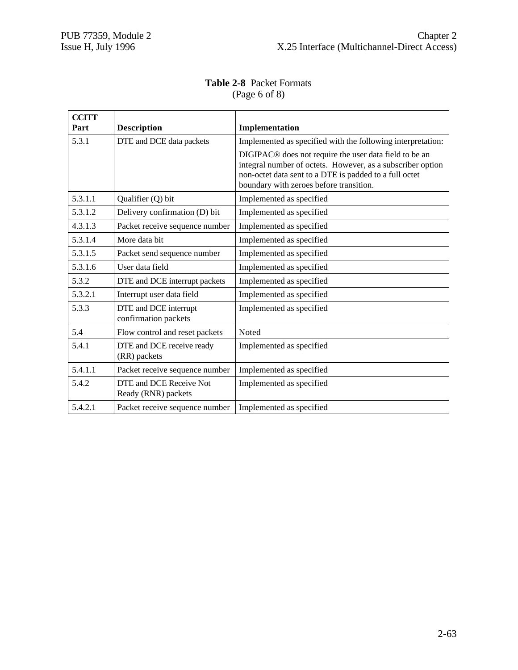## **Table 2-8** Packet Formats (Page 6 of 8)

| <b>CCITT</b> |                                                |                                                                                                                                                                                                                                       |
|--------------|------------------------------------------------|---------------------------------------------------------------------------------------------------------------------------------------------------------------------------------------------------------------------------------------|
| Part         | <b>Description</b>                             | Implementation                                                                                                                                                                                                                        |
| 5.3.1        | DTE and DCE data packets                       | Implemented as specified with the following interpretation:                                                                                                                                                                           |
|              |                                                | DIGIPAC <sup>®</sup> does not require the user data field to be an<br>integral number of octets. However, as a subscriber option<br>non-octet data sent to a DTE is padded to a full octet<br>boundary with zeroes before transition. |
| 5.3.1.1      | Qualifier (Q) bit                              | Implemented as specified                                                                                                                                                                                                              |
| 5.3.1.2      | Delivery confirmation (D) bit                  | Implemented as specified                                                                                                                                                                                                              |
| 4.3.1.3      | Packet receive sequence number                 | Implemented as specified                                                                                                                                                                                                              |
| 5.3.1.4      | More data bit                                  | Implemented as specified                                                                                                                                                                                                              |
| 5.3.1.5      | Packet send sequence number                    | Implemented as specified                                                                                                                                                                                                              |
| 5.3.1.6      | User data field                                | Implemented as specified                                                                                                                                                                                                              |
| 5.3.2        | DTE and DCE interrupt packets                  | Implemented as specified                                                                                                                                                                                                              |
| 5.3.2.1      | Interrupt user data field                      | Implemented as specified                                                                                                                                                                                                              |
| 5.3.3        | DTE and DCE interrupt<br>confirmation packets  | Implemented as specified                                                                                                                                                                                                              |
| 5.4          | Flow control and reset packets                 | Noted                                                                                                                                                                                                                                 |
| 5.4.1        | DTE and DCE receive ready<br>(RR) packets      | Implemented as specified                                                                                                                                                                                                              |
| 5.4.1.1      | Packet receive sequence number                 | Implemented as specified                                                                                                                                                                                                              |
| 5.4.2        | DTE and DCE Receive Not<br>Ready (RNR) packets | Implemented as specified                                                                                                                                                                                                              |
| 5.4.2.1      | Packet receive sequence number                 | Implemented as specified                                                                                                                                                                                                              |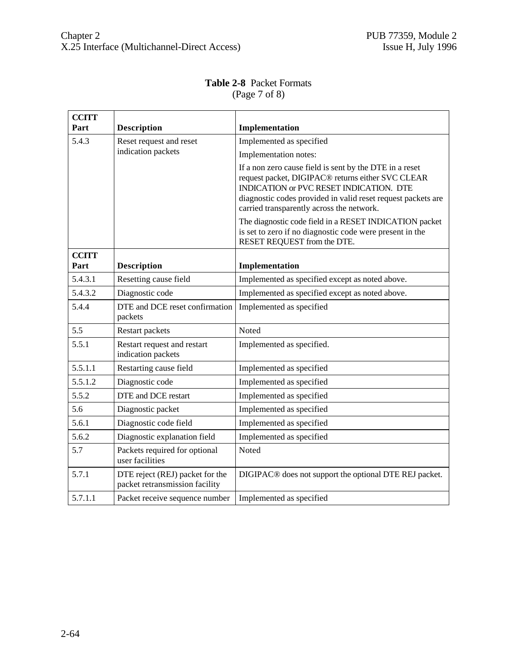# **Table 2-8** Packet Formats (Page 7 of 8)

| <b>CCITT</b> |                                                                   |                                                                                                                                                                                                                                                                                  |
|--------------|-------------------------------------------------------------------|----------------------------------------------------------------------------------------------------------------------------------------------------------------------------------------------------------------------------------------------------------------------------------|
| Part         | <b>Description</b>                                                | Implementation                                                                                                                                                                                                                                                                   |
| 5.4.3        | Reset request and reset                                           | Implemented as specified                                                                                                                                                                                                                                                         |
|              | indication packets                                                | Implementation notes:                                                                                                                                                                                                                                                            |
|              |                                                                   | If a non zero cause field is sent by the DTE in a reset<br>request packet, DIGIPAC <sup>®</sup> returns either SVC CLEAR<br>INDICATION or PVC RESET INDICATION. DTE<br>diagnostic codes provided in valid reset request packets are<br>carried transparently across the network. |
|              |                                                                   | The diagnostic code field in a RESET INDICATION packet<br>is set to zero if no diagnostic code were present in the<br>RESET REQUEST from the DTE.                                                                                                                                |
| <b>CCITT</b> |                                                                   |                                                                                                                                                                                                                                                                                  |
| Part         | <b>Description</b>                                                | Implementation                                                                                                                                                                                                                                                                   |
| 5.4.3.1      | Resetting cause field                                             | Implemented as specified except as noted above.                                                                                                                                                                                                                                  |
| 5.4.3.2      | Diagnostic code                                                   | Implemented as specified except as noted above.                                                                                                                                                                                                                                  |
| 5.4.4        | DTE and DCE reset confirmation<br>packets                         | Implemented as specified                                                                                                                                                                                                                                                         |
| 5.5          | Restart packets                                                   | Noted                                                                                                                                                                                                                                                                            |
| 5.5.1        | Restart request and restart<br>indication packets                 | Implemented as specified.                                                                                                                                                                                                                                                        |
| 5.5.1.1      | Restarting cause field                                            | Implemented as specified                                                                                                                                                                                                                                                         |
| 5.5.1.2      | Diagnostic code                                                   | Implemented as specified                                                                                                                                                                                                                                                         |
| 5.5.2        | DTE and DCE restart                                               | Implemented as specified                                                                                                                                                                                                                                                         |
| 5.6          | Diagnostic packet                                                 | Implemented as specified                                                                                                                                                                                                                                                         |
| 5.6.1        | Diagnostic code field                                             | Implemented as specified                                                                                                                                                                                                                                                         |
| 5.6.2        | Diagnostic explanation field                                      | Implemented as specified                                                                                                                                                                                                                                                         |
| 5.7          | Packets required for optional<br>user facilities                  | Noted                                                                                                                                                                                                                                                                            |
| 5.7.1        | DTE reject (REJ) packet for the<br>packet retransmission facility | DIGIPAC <sup>®</sup> does not support the optional DTE REJ packet.                                                                                                                                                                                                               |
| 5.7.1.1      | Packet receive sequence number                                    | Implemented as specified                                                                                                                                                                                                                                                         |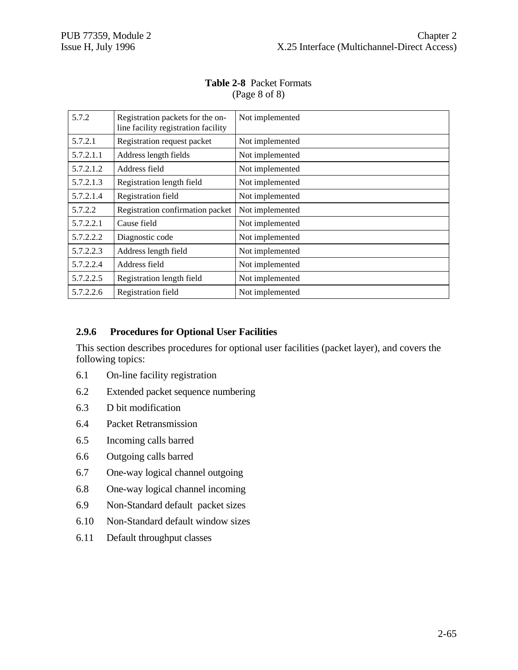| 5.7.2     | Registration packets for the on-<br>line facility registration facility | Not implemented |
|-----------|-------------------------------------------------------------------------|-----------------|
| 5.7.2.1   | Registration request packet                                             | Not implemented |
| 5.7.2.1.1 | Address length fields                                                   | Not implemented |
| 5.7.2.1.2 | Address field                                                           | Not implemented |
| 5.7.2.1.3 | Registration length field                                               | Not implemented |
| 5.7.2.1.4 | Registration field                                                      | Not implemented |
| 5.7.2.2   | Registration confirmation packet                                        | Not implemented |
| 5.7.2.2.1 | Cause field                                                             | Not implemented |
| 5.7.2.2.2 | Diagnostic code                                                         | Not implemented |
| 5.7.2.2.3 | Address length field                                                    | Not implemented |
| 5.7.2.2.4 | Address field                                                           | Not implemented |
| 5.7.2.2.5 | Registration length field                                               | Not implemented |
| 5.7.2.2.6 | Registration field                                                      | Not implemented |

# **Table 2-8** Packet Formats (Page 8 of 8)

# **2.9.6 Procedures for Optional User Facilities**

This section describes procedures for optional user facilities (packet layer), and covers the following topics:

- 6.1 On-line facility registration
- 6.2 Extended packet sequence numbering
- 6.3 D bit modification
- 6.4 Packet Retransmission
- 6.5 Incoming calls barred
- 6.6 Outgoing calls barred
- 6.7 One-way logical channel outgoing
- 6.8 One-way logical channel incoming
- 6.9 Non-Standard default packet sizes
- 6.10 Non-Standard default window sizes
- 6.11 Default throughput classes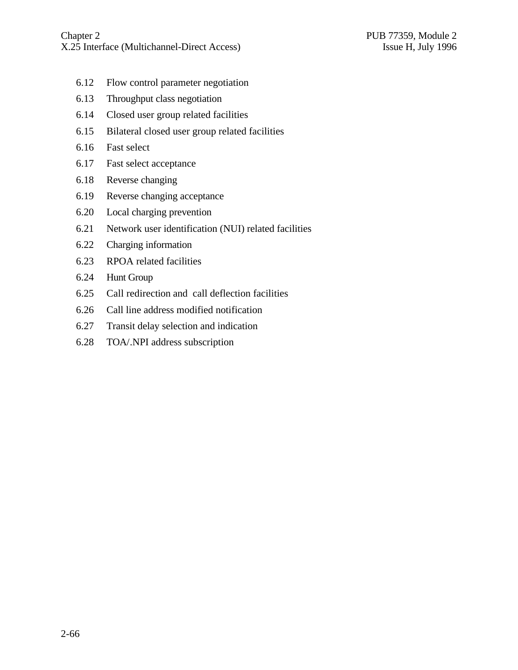- 6.12 Flow control parameter negotiation
- 6.13 Throughput class negotiation
- 6.14 Closed user group related facilities
- 6.15 Bilateral closed user group related facilities
- 6.16 Fast select
- 6.17 Fast select acceptance
- 6.18 Reverse changing
- 6.19 Reverse changing acceptance
- 6.20 Local charging prevention
- 6.21 Network user identification (NUI) related facilities
- 6.22 Charging information
- 6.23 RPOA related facilities
- 6.24 Hunt Group
- 6.25 Call redirection and call deflection facilities
- 6.26 Call line address modified notification
- 6.27 Transit delay selection and indication
- 6.28 TOA/.NPI address subscription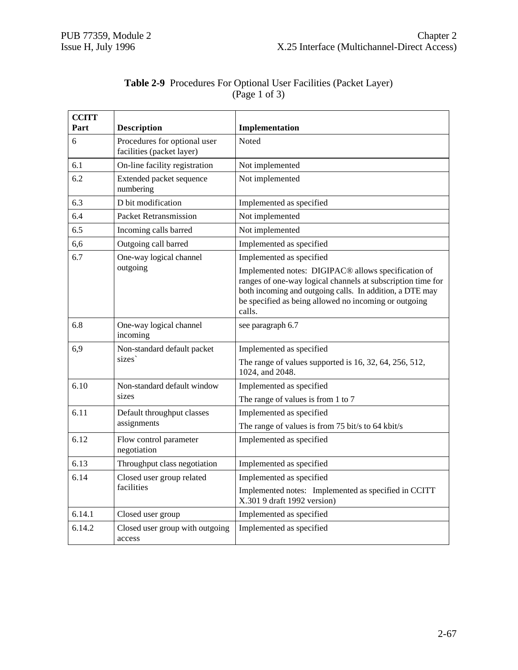| <b>CCITT</b><br>Part | <b>Description</b>                                        | Implementation                                                                                                                                                                                                                                                                            |
|----------------------|-----------------------------------------------------------|-------------------------------------------------------------------------------------------------------------------------------------------------------------------------------------------------------------------------------------------------------------------------------------------|
| 6                    | Procedures for optional user<br>facilities (packet layer) | Noted                                                                                                                                                                                                                                                                                     |
| 6.1                  | On-line facility registration                             | Not implemented                                                                                                                                                                                                                                                                           |
| 6.2                  | Extended packet sequence<br>numbering                     | Not implemented                                                                                                                                                                                                                                                                           |
| 6.3                  | D bit modification                                        | Implemented as specified                                                                                                                                                                                                                                                                  |
| 6.4                  | <b>Packet Retransmission</b>                              | Not implemented                                                                                                                                                                                                                                                                           |
| 6.5                  | Incoming calls barred                                     | Not implemented                                                                                                                                                                                                                                                                           |
| 6,6                  | Outgoing call barred                                      | Implemented as specified                                                                                                                                                                                                                                                                  |
| 6.7                  | One-way logical channel<br>outgoing                       | Implemented as specified<br>Implemented notes: DIGIPAC <sup>®</sup> allows specification of<br>ranges of one-way logical channels at subscription time for<br>both incoming and outgoing calls. In addition, a DTE may<br>be specified as being allowed no incoming or outgoing<br>calls. |
| 6.8                  | One-way logical channel<br>incoming                       | see paragraph 6.7                                                                                                                                                                                                                                                                         |
| 6,9                  | Non-standard default packet                               | Implemented as specified                                                                                                                                                                                                                                                                  |
|                      | sizes                                                     | The range of values supported is $16, 32, 64, 256, 512,$<br>1024, and 2048.                                                                                                                                                                                                               |
| 6.10                 | Non-standard default window                               | Implemented as specified                                                                                                                                                                                                                                                                  |
|                      | sizes                                                     | The range of values is from 1 to 7                                                                                                                                                                                                                                                        |
| 6.11                 | Default throughput classes                                | Implemented as specified                                                                                                                                                                                                                                                                  |
|                      | assignments                                               | The range of values is from 75 bit/s to 64 kbit/s                                                                                                                                                                                                                                         |
| 6.12                 | Flow control parameter<br>negotiation                     | Implemented as specified                                                                                                                                                                                                                                                                  |
| 6.13                 | Throughput class negotiation                              | Implemented as specified                                                                                                                                                                                                                                                                  |
| 6.14                 | Closed user group related                                 | Implemented as specified                                                                                                                                                                                                                                                                  |
|                      | facilities                                                | Implemented notes: Implemented as specified in CCITT<br>X.301 9 draft 1992 version)                                                                                                                                                                                                       |
| 6.14.1               | Closed user group                                         | Implemented as specified                                                                                                                                                                                                                                                                  |
| 6.14.2               | Closed user group with outgoing<br>access                 | Implemented as specified                                                                                                                                                                                                                                                                  |

# **Table 2-9** Procedures For Optional User Facilities (Packet Layer) (Page 1 of 3)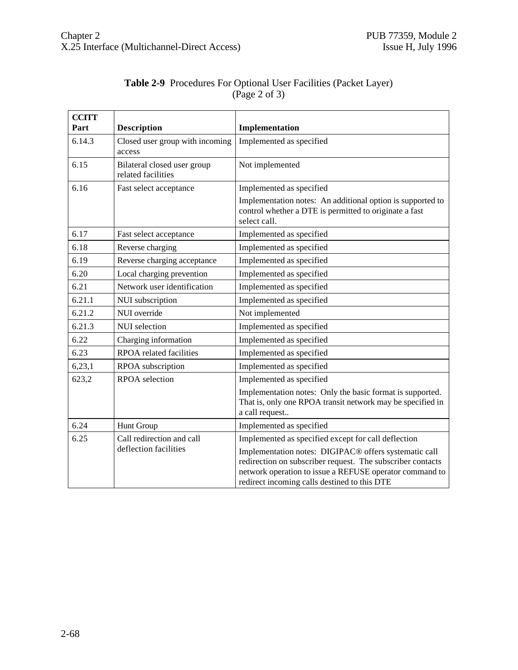| <b>CCITT</b><br>Part | <b>Description</b>                                 | Implementation                                                                                                                                                                                                                                                                        |
|----------------------|----------------------------------------------------|---------------------------------------------------------------------------------------------------------------------------------------------------------------------------------------------------------------------------------------------------------------------------------------|
| 6.14.3               | Closed user group with incoming<br>access          | Implemented as specified                                                                                                                                                                                                                                                              |
| 6.15                 | Bilateral closed user group<br>related facilities  | Not implemented                                                                                                                                                                                                                                                                       |
| 6.16                 | Fast select acceptance                             | Implemented as specified<br>Implementation notes: An additional option is supported to<br>control whether a DTE is permitted to originate a fast<br>select call.                                                                                                                      |
| 6.17                 | Fast select acceptance                             | Implemented as specified                                                                                                                                                                                                                                                              |
| 6.18                 | Reverse charging                                   | Implemented as specified                                                                                                                                                                                                                                                              |
| 6.19                 | Reverse charging acceptance                        | Implemented as specified                                                                                                                                                                                                                                                              |
| 6.20                 | Local charging prevention                          | Implemented as specified                                                                                                                                                                                                                                                              |
| 6.21                 | Network user identification                        | Implemented as specified                                                                                                                                                                                                                                                              |
| 6.21.1               | NUI subscription                                   | Implemented as specified                                                                                                                                                                                                                                                              |
| 6.21.2               | NUI override                                       | Not implemented                                                                                                                                                                                                                                                                       |
| 6.21.3               | NUI selection                                      | Implemented as specified                                                                                                                                                                                                                                                              |
| 6.22                 | Charging information                               | Implemented as specified                                                                                                                                                                                                                                                              |
| 6.23                 | <b>RPOA</b> related facilities                     | Implemented as specified                                                                                                                                                                                                                                                              |
| 6,23,1               | RPOA subscription                                  | Implemented as specified                                                                                                                                                                                                                                                              |
| 623,2                | <b>RPOA</b> selection                              | Implemented as specified                                                                                                                                                                                                                                                              |
|                      |                                                    | Implementation notes: Only the basic format is supported.<br>That is, only one RPOA transit network may be specified in<br>a call request                                                                                                                                             |
| 6.24                 | Hunt Group                                         | Implemented as specified                                                                                                                                                                                                                                                              |
| 6.25                 | Call redirection and call<br>deflection facilities | Implemented as specified except for call deflection<br>Implementation notes: DIGIPAC® offers systematic call<br>redirection on subscriber request. The subscriber contacts<br>network operation to issue a REFUSE operator command to<br>redirect incoming calls destined to this DTE |

| Table 2-9 Procedures For Optional User Facilities (Packet Layer) |
|------------------------------------------------------------------|
| (Page 2 of 3)                                                    |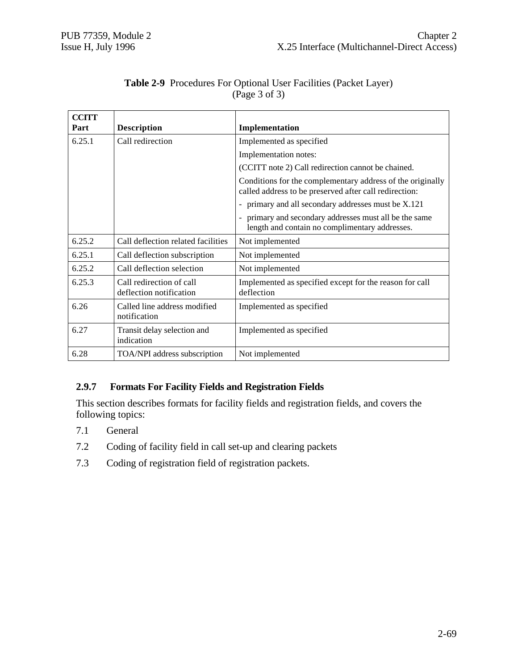| <b>CCITT</b><br>Part | <b>Description</b>                                  | Implementation                                                                                                       |
|----------------------|-----------------------------------------------------|----------------------------------------------------------------------------------------------------------------------|
| 6.25.1               | Call redirection                                    | Implemented as specified                                                                                             |
|                      |                                                     | Implementation notes:                                                                                                |
|                      |                                                     | (CCITT note 2) Call redirection cannot be chained.                                                                   |
|                      |                                                     | Conditions for the complementary address of the originally<br>called address to be preserved after call redirection: |
|                      |                                                     | - primary and all secondary addresses must be X.121                                                                  |
|                      |                                                     | - primary and secondary addresses must all be the same<br>length and contain no complimentary addresses.             |
| 6.25.2               | Call deflection related facilities                  | Not implemented                                                                                                      |
| 6.25.1               | Call deflection subscription                        | Not implemented                                                                                                      |
| 6.25.2               | Call deflection selection                           | Not implemented                                                                                                      |
| 6.25.3               | Call redirection of call<br>deflection notification | Implemented as specified except for the reason for call<br>deflection                                                |
| 6.26                 | Called line address modified<br>notification        | Implemented as specified                                                                                             |
| 6.27                 | Transit delay selection and<br>indication           | Implemented as specified                                                                                             |
| 6.28                 | TOA/NPI address subscription                        | Not implemented                                                                                                      |

# **Table 2-9** Procedures For Optional User Facilities (Packet Layer) (Page 3 of 3)

# **2.9.7 Formats For Facility Fields and Registration Fields**

This section describes formats for facility fields and registration fields, and covers the following topics:

- 7.1 General
- 7.2 Coding of facility field in call set-up and clearing packets
- 7.3 Coding of registration field of registration packets.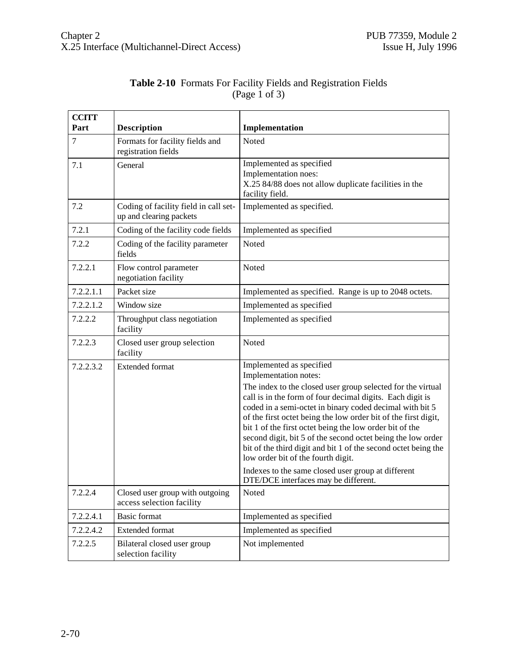| <b>CCITT</b> |                                                                  |                                                                                                                                                                                                                                                                                                                                                                                                                                                                                                                                                |
|--------------|------------------------------------------------------------------|------------------------------------------------------------------------------------------------------------------------------------------------------------------------------------------------------------------------------------------------------------------------------------------------------------------------------------------------------------------------------------------------------------------------------------------------------------------------------------------------------------------------------------------------|
| Part         | <b>Description</b>                                               | Implementation                                                                                                                                                                                                                                                                                                                                                                                                                                                                                                                                 |
| 7            | Formats for facility fields and<br>registration fields           | Noted                                                                                                                                                                                                                                                                                                                                                                                                                                                                                                                                          |
| 7.1          | General                                                          | Implemented as specified<br>Implementation noes:<br>X.25 84/88 does not allow duplicate facilities in the<br>facility field.                                                                                                                                                                                                                                                                                                                                                                                                                   |
| 7.2          | Coding of facility field in call set-<br>up and clearing packets | Implemented as specified.                                                                                                                                                                                                                                                                                                                                                                                                                                                                                                                      |
| 7.2.1        | Coding of the facility code fields                               | Implemented as specified                                                                                                                                                                                                                                                                                                                                                                                                                                                                                                                       |
| 7.2.2        | Coding of the facility parameter<br>fields                       | Noted                                                                                                                                                                                                                                                                                                                                                                                                                                                                                                                                          |
| 7.2.2.1      | Flow control parameter<br>negotiation facility                   | Noted                                                                                                                                                                                                                                                                                                                                                                                                                                                                                                                                          |
| 7.2.2.1.1    | Packet size                                                      | Implemented as specified. Range is up to 2048 octets.                                                                                                                                                                                                                                                                                                                                                                                                                                                                                          |
| 7.2.2.1.2    | Window size                                                      | Implemented as specified                                                                                                                                                                                                                                                                                                                                                                                                                                                                                                                       |
| 7.2.2.2      | Throughput class negotiation<br>facility                         | Implemented as specified                                                                                                                                                                                                                                                                                                                                                                                                                                                                                                                       |
| 7.2.2.3      | Closed user group selection<br>facility                          | Noted                                                                                                                                                                                                                                                                                                                                                                                                                                                                                                                                          |
| 7.2.2.3.2    | <b>Extended format</b>                                           | Implemented as specified<br>Implementation notes:                                                                                                                                                                                                                                                                                                                                                                                                                                                                                              |
|              |                                                                  | The index to the closed user group selected for the virtual<br>call is in the form of four decimal digits. Each digit is<br>coded in a semi-octet in binary coded decimal with bit 5<br>of the first octet being the low order bit of the first digit,<br>bit 1 of the first octet being the low order bit of the<br>second digit, bit 5 of the second octet being the low order<br>bit of the third digit and bit 1 of the second octet being the<br>low order bit of the fourth digit.<br>Indexes to the same closed user group at different |
|              |                                                                  | DTE/DCE interfaces may be different.                                                                                                                                                                                                                                                                                                                                                                                                                                                                                                           |
| 7.2.2.4      | Closed user group with outgoing<br>access selection facility     | Noted                                                                                                                                                                                                                                                                                                                                                                                                                                                                                                                                          |
| 7.2.2.4.1    | <b>Basic format</b>                                              | Implemented as specified                                                                                                                                                                                                                                                                                                                                                                                                                                                                                                                       |
| 7.2.2.4.2    | <b>Extended format</b>                                           | Implemented as specified                                                                                                                                                                                                                                                                                                                                                                                                                                                                                                                       |
| 7.2.2.5      | Bilateral closed user group<br>selection facility                | Not implemented                                                                                                                                                                                                                                                                                                                                                                                                                                                                                                                                |

# **Table 2-10** Formats For Facility Fields and Registration Fields (Page 1 of 3)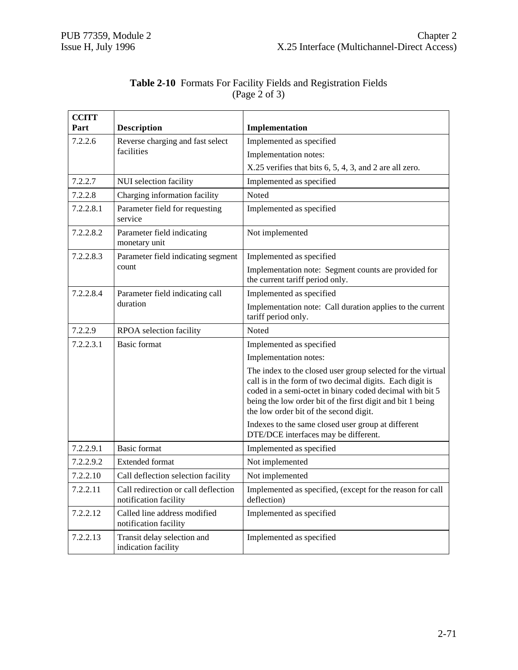| <b>CCITT</b><br>Part | <b>Description</b>                                           | Implementation                                                                                                                                                                                                                                                                              |
|----------------------|--------------------------------------------------------------|---------------------------------------------------------------------------------------------------------------------------------------------------------------------------------------------------------------------------------------------------------------------------------------------|
| 7.2.2.6              | Reverse charging and fast select                             | Implemented as specified                                                                                                                                                                                                                                                                    |
|                      | facilities                                                   | Implementation notes:                                                                                                                                                                                                                                                                       |
|                      |                                                              | X.25 verifies that bits 6, 5, 4, 3, and 2 are all zero.                                                                                                                                                                                                                                     |
| 7.2.2.7              | NUI selection facility                                       | Implemented as specified                                                                                                                                                                                                                                                                    |
| 7.2.2.8              | Charging information facility                                | Noted                                                                                                                                                                                                                                                                                       |
| 7.2.2.8.1            |                                                              |                                                                                                                                                                                                                                                                                             |
|                      | Parameter field for requesting<br>service                    | Implemented as specified                                                                                                                                                                                                                                                                    |
| 7.2.2.8.2            | Parameter field indicating<br>monetary unit                  | Not implemented                                                                                                                                                                                                                                                                             |
| 7.2.2.8.3            | Parameter field indicating segment                           | Implemented as specified                                                                                                                                                                                                                                                                    |
|                      | count                                                        | Implementation note: Segment counts are provided for<br>the current tariff period only.                                                                                                                                                                                                     |
| 7.2.2.8.4            | Parameter field indicating call                              | Implemented as specified                                                                                                                                                                                                                                                                    |
|                      | duration                                                     | Implementation note: Call duration applies to the current<br>tariff period only.                                                                                                                                                                                                            |
| 7.2.2.9              | RPOA selection facility                                      | Noted                                                                                                                                                                                                                                                                                       |
| 7.2.2.3.1            | <b>Basic format</b>                                          | Implemented as specified                                                                                                                                                                                                                                                                    |
|                      |                                                              | Implementation notes:                                                                                                                                                                                                                                                                       |
|                      |                                                              | The index to the closed user group selected for the virtual<br>call is in the form of two decimal digits. Each digit is<br>coded in a semi-octet in binary coded decimal with bit 5<br>being the low order bit of the first digit and bit 1 being<br>the low order bit of the second digit. |
|                      |                                                              | Indexes to the same closed user group at different<br>DTE/DCE interfaces may be different.                                                                                                                                                                                                  |
| 7.2.2.9.1            | <b>Basic format</b>                                          | Implemented as specified                                                                                                                                                                                                                                                                    |
| 7.2.2.9.2            | <b>Extended format</b>                                       | Not implemented                                                                                                                                                                                                                                                                             |
| 7.2.2.10             | Call deflection selection facility                           | Not implemented                                                                                                                                                                                                                                                                             |
| 7.2.2.11             | Call redirection or call deflection<br>notification facility | Implemented as specified, (except for the reason for call<br>deflection)                                                                                                                                                                                                                    |
| 7.2.2.12             | Called line address modified<br>notification facility        | Implemented as specified                                                                                                                                                                                                                                                                    |
| 7.2.2.13             | Transit delay selection and<br>indication facility           | Implemented as specified                                                                                                                                                                                                                                                                    |

# **Table 2-10** Formats For Facility Fields and Registration Fields (Page 2 of 3)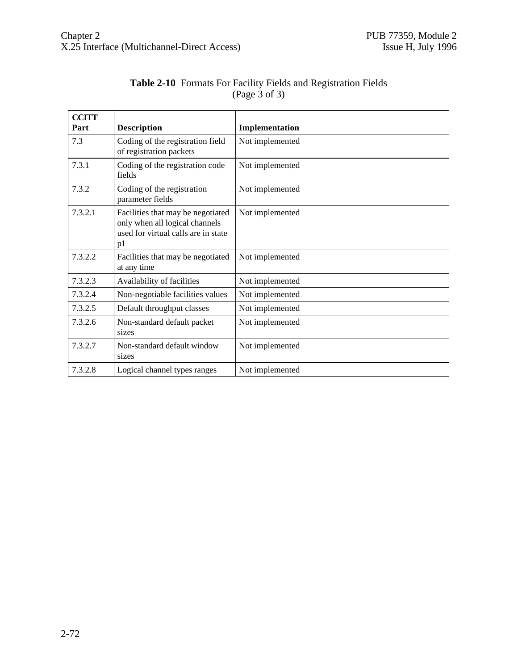| <b>CCITT</b><br>Part | <b>Description</b>                                                                                               | Implementation  |
|----------------------|------------------------------------------------------------------------------------------------------------------|-----------------|
| 7.3                  | Coding of the registration field<br>of registration packets                                                      | Not implemented |
| 7.3.1                | Coding of the registration code<br>fields                                                                        | Not implemented |
| 7.3.2                | Coding of the registration<br>parameter fields                                                                   | Not implemented |
| 7.3.2.1              | Facilities that may be negotiated<br>only when all logical channels<br>used for virtual calls are in state<br>p1 | Not implemented |
| 7.3.2.2              | Facilities that may be negotiated<br>at any time                                                                 | Not implemented |
| 7.3.2.3              | Availability of facilities                                                                                       | Not implemented |
| 7.3.2.4              | Non-negotiable facilities values                                                                                 | Not implemented |
| 7.3.2.5              | Default throughput classes                                                                                       | Not implemented |
| 7.3.2.6              | Non-standard default packet<br>sizes                                                                             | Not implemented |
| 7.3.2.7              | Non-standard default window<br>sizes                                                                             | Not implemented |
| 7.3.2.8              | Logical channel types ranges                                                                                     | Not implemented |

#### **Table 2-10** Formats For Facility Fields and Registration Fields (Page 3 of 3)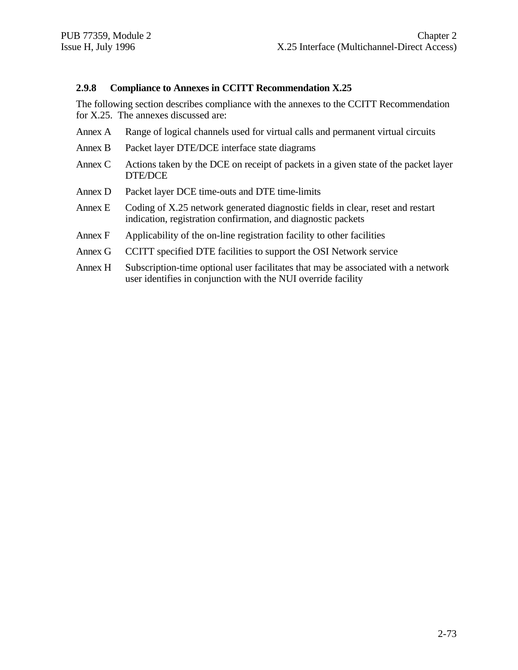#### **2.9.8 Compliance to Annexes in CCITT Recommendation X.25**

The following section describes compliance with the annexes to the CCITT Recommendation for X.25. The annexes discussed are:

- Annex A Range of logical channels used for virtual calls and permanent virtual circuits
- Annex B Packet layer DTE/DCE interface state diagrams
- Annex C Actions taken by the DCE on receipt of packets in a given state of the packet layer DTE/DCE
- Annex D Packet layer DCE time-outs and DTE time-limits
- Annex E Coding of X.25 network generated diagnostic fields in clear, reset and restart indication, registration confirmation, and diagnostic packets
- Annex F Applicability of the on-line registration facility to other facilities
- Annex G CCITT specified DTE facilities to support the OSI Network service
- Annex H Subscription-time optional user facilitates that may be associated with a network user identifies in conjunction with the NUI override facility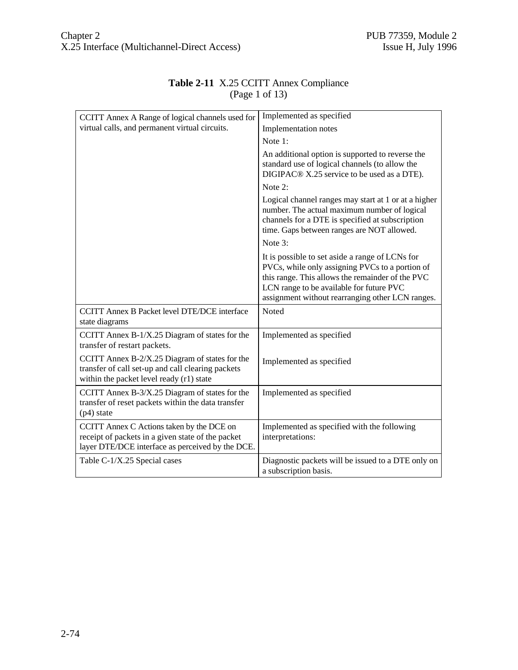| CCITT Annex A Range of logical channels used for                                                                                                   | Implemented as specified                                                                                                                                                                                                                               |
|----------------------------------------------------------------------------------------------------------------------------------------------------|--------------------------------------------------------------------------------------------------------------------------------------------------------------------------------------------------------------------------------------------------------|
| virtual calls, and permanent virtual circuits.                                                                                                     | Implementation notes                                                                                                                                                                                                                                   |
|                                                                                                                                                    | Note 1:                                                                                                                                                                                                                                                |
|                                                                                                                                                    | An additional option is supported to reverse the<br>standard use of logical channels (to allow the<br>DIGIPAC® X.25 service to be used as a DTE).                                                                                                      |
|                                                                                                                                                    | Note 2:                                                                                                                                                                                                                                                |
|                                                                                                                                                    | Logical channel ranges may start at 1 or at a higher<br>number. The actual maximum number of logical<br>channels for a DTE is specified at subscription<br>time. Gaps between ranges are NOT allowed.                                                  |
|                                                                                                                                                    | Note 3:                                                                                                                                                                                                                                                |
|                                                                                                                                                    | It is possible to set aside a range of LCNs for<br>PVCs, while only assigning PVCs to a portion of<br>this range. This allows the remainder of the PVC<br>LCN range to be available for future PVC<br>assignment without rearranging other LCN ranges. |
| <b>CCITT Annex B Packet level DTE/DCE interface</b><br>state diagrams                                                                              | Noted                                                                                                                                                                                                                                                  |
| CCITT Annex B-1/X.25 Diagram of states for the<br>transfer of restart packets.                                                                     | Implemented as specified                                                                                                                                                                                                                               |
| CCITT Annex $B-2/X.25$ Diagram of states for the<br>transfer of call set-up and call clearing packets<br>within the packet level ready (r1) state  | Implemented as specified                                                                                                                                                                                                                               |
| CCITT Annex $B-3/X.25$ Diagram of states for the<br>transfer of reset packets within the data transfer<br>$(p4)$ state                             | Implemented as specified                                                                                                                                                                                                                               |
| CCITT Annex C Actions taken by the DCE on<br>receipt of packets in a given state of the packet<br>layer DTE/DCE interface as perceived by the DCE. | Implemented as specified with the following<br>interpretations:                                                                                                                                                                                        |
| Table C-1/X.25 Special cases                                                                                                                       | Diagnostic packets will be issued to a DTE only on<br>a subscription basis.                                                                                                                                                                            |

#### **Table 2-11** X.25 CCITT Annex Compliance (Page 1 of 13)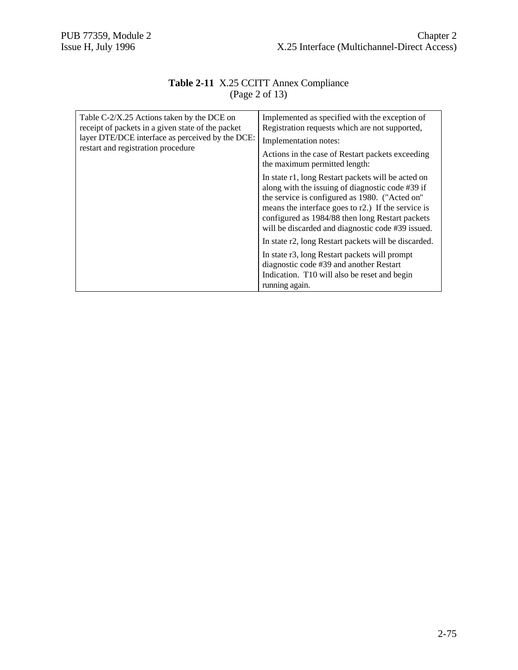#### **Table 2-11** X.25 CCITT Annex Compliance (Page 2 of 13)

| Table C-2/X.25 Actions taken by the DCE on<br>receipt of packets in a given state of the packet<br>layer DTE/DCE interface as perceived by the DCE:<br>restart and registration procedure | Implemented as specified with the exception of<br>Registration requests which are not supported,<br>Implementation notes:<br>Actions in the case of Restart packets exceeding<br>the maximum permitted length:                                                                                                         |
|-------------------------------------------------------------------------------------------------------------------------------------------------------------------------------------------|------------------------------------------------------------------------------------------------------------------------------------------------------------------------------------------------------------------------------------------------------------------------------------------------------------------------|
|                                                                                                                                                                                           | In state r1, long Restart packets will be acted on<br>along with the issuing of diagnostic code #39 if<br>the service is configured as 1980. ("Acted on"<br>means the interface goes to r2.) If the service is<br>configured as 1984/88 then long Restart packets<br>will be discarded and diagnostic code #39 issued. |
|                                                                                                                                                                                           | In state r2, long Restart packets will be discarded.                                                                                                                                                                                                                                                                   |
|                                                                                                                                                                                           | In state r3, long Restart packets will prompt<br>diagnostic code #39 and another Restart<br>Indication. T10 will also be reset and begin<br>running again.                                                                                                                                                             |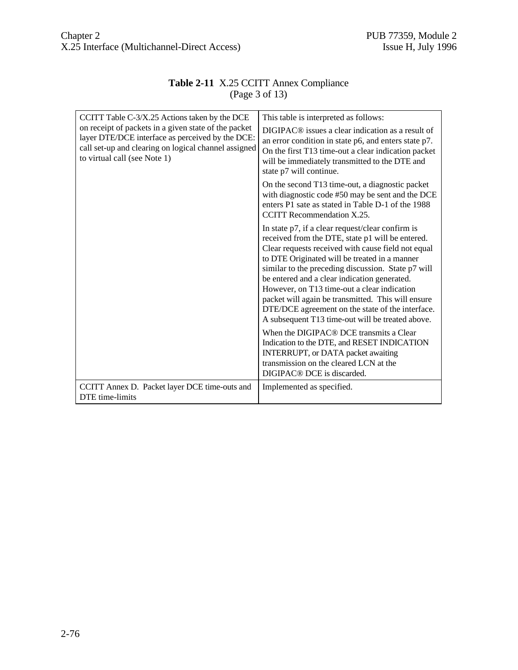#### **Table 2-11** X.25 CCITT Annex Compliance (Page 3 of 13)

| CCITT Table C-3/X.25 Actions taken by the DCE                                                                                                                                                    | This table is interpreted as follows:                                                                                                                                                                                                                                                                                                                                                                                                                                                                                             |
|--------------------------------------------------------------------------------------------------------------------------------------------------------------------------------------------------|-----------------------------------------------------------------------------------------------------------------------------------------------------------------------------------------------------------------------------------------------------------------------------------------------------------------------------------------------------------------------------------------------------------------------------------------------------------------------------------------------------------------------------------|
| on receipt of packets in a given state of the packet<br>layer DTE/DCE interface as perceived by the DCE:<br>call set-up and clearing on logical channel assigned<br>to virtual call (see Note 1) | DIGIPAC <sup>®</sup> issues a clear indication as a result of<br>an error condition in state p6, and enters state p7.<br>On the first T13 time-out a clear indication packet<br>will be immediately transmitted to the DTE and<br>state p7 will continue.                                                                                                                                                                                                                                                                         |
|                                                                                                                                                                                                  | On the second T13 time-out, a diagnostic packet<br>with diagnostic code #50 may be sent and the DCE<br>enters P1 sate as stated in Table D-1 of the 1988<br>CCITT Recommendation X.25.                                                                                                                                                                                                                                                                                                                                            |
|                                                                                                                                                                                                  | In state $p7$ , if a clear request/clear confirm is<br>received from the DTE, state p1 will be entered.<br>Clear requests received with cause field not equal<br>to DTE Originated will be treated in a manner<br>similar to the preceding discussion. State p7 will<br>be entered and a clear indication generated.<br>However, on T13 time-out a clear indication<br>packet will again be transmitted. This will ensure<br>DTE/DCE agreement on the state of the interface.<br>A subsequent T13 time-out will be treated above. |
|                                                                                                                                                                                                  | When the DIGIPAC® DCE transmits a Clear<br>Indication to the DTE, and RESET INDICATION<br>INTERRUPT, or DATA packet awaiting<br>transmission on the cleared LCN at the<br>DIGIPAC <sup>®</sup> DCE is discarded.                                                                                                                                                                                                                                                                                                                  |
| CCITT Annex D. Packet layer DCE time-outs and<br>DTE time-limits                                                                                                                                 | Implemented as specified.                                                                                                                                                                                                                                                                                                                                                                                                                                                                                                         |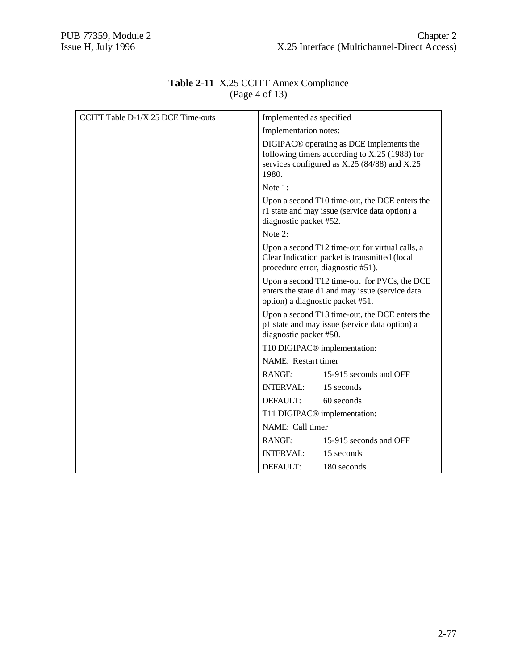| CCITT Table D-1/X.25 DCE Time-outs | Implemented as specified                                                                                                                                           |
|------------------------------------|--------------------------------------------------------------------------------------------------------------------------------------------------------------------|
|                                    | Implementation notes:                                                                                                                                              |
|                                    | DIGIPAC <sup>®</sup> operating as DCE implements the<br>following timers according to X.25 (1988) for<br>services configured as $X.25$ (84/88) and $X.25$<br>1980. |
|                                    | Note 1:                                                                                                                                                            |
|                                    | Upon a second T10 time-out, the DCE enters the<br>r1 state and may issue (service data option) a<br>diagnostic packet #52.                                         |
|                                    | Note 2:                                                                                                                                                            |
|                                    | Upon a second T12 time-out for virtual calls, a<br>Clear Indication packet is transmitted (local<br>procedure error, diagnostic #51).                              |
|                                    | Upon a second T12 time-out for PVCs, the DCE<br>enters the state d1 and may issue (service data<br>option) a diagnostic packet #51.                                |
|                                    | Upon a second T13 time-out, the DCE enters the<br>p1 state and may issue (service data option) a<br>diagnostic packet #50.                                         |
|                                    | T10 DIGIPAC <sup>®</sup> implementation:                                                                                                                           |
|                                    | NAME: Restart timer                                                                                                                                                |
|                                    | 15-915 seconds and OFF<br>RANGE:                                                                                                                                   |
|                                    | INTERVAL: 15 seconds                                                                                                                                               |
|                                    | 60 seconds<br>DEFAULT:                                                                                                                                             |
|                                    | T11 DIGIPAC <sup>®</sup> implementation:                                                                                                                           |
|                                    | NAME: Call timer                                                                                                                                                   |
|                                    | 15-915 seconds and OFF<br>RANGE:                                                                                                                                   |
|                                    | INTERVAL:<br>15 seconds                                                                                                                                            |
|                                    | DEFAULT:<br>180 seconds                                                                                                                                            |

#### **Table 2-11** X.25 CCITT Annex Compliance (Page 4 of 13)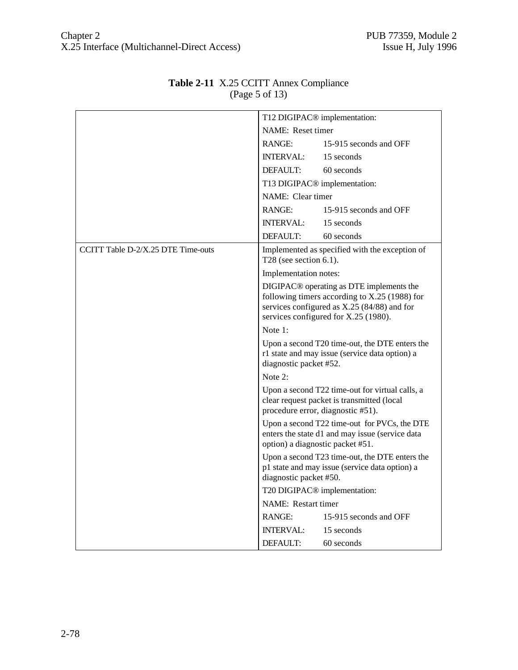|                                    | T12 DIGIPAC <sup>®</sup> implementation:                                                                                                                                                     |                                          |  |
|------------------------------------|----------------------------------------------------------------------------------------------------------------------------------------------------------------------------------------------|------------------------------------------|--|
|                                    | NAME: Reset timer                                                                                                                                                                            |                                          |  |
|                                    | RANGE:                                                                                                                                                                                       | 15-915 seconds and OFF                   |  |
|                                    | <b>INTERVAL:</b>                                                                                                                                                                             | 15 seconds                               |  |
|                                    | DEFAULT:                                                                                                                                                                                     | 60 seconds                               |  |
|                                    |                                                                                                                                                                                              | T13 DIGIPAC <sup>®</sup> implementation: |  |
|                                    | NAME: Clear timer                                                                                                                                                                            |                                          |  |
|                                    | RANGE:                                                                                                                                                                                       | 15-915 seconds and OFF                   |  |
|                                    | <b>INTERVAL:</b>                                                                                                                                                                             | 15 seconds                               |  |
|                                    | DEFAULT:                                                                                                                                                                                     | 60 seconds                               |  |
| CCITT Table D-2/X.25 DTE Time-outs | Implemented as specified with the exception of<br>T28 (see section $6.1$ ).                                                                                                                  |                                          |  |
|                                    | Implementation notes:                                                                                                                                                                        |                                          |  |
|                                    | DIGIPAC <sup>®</sup> operating as DTE implements the<br>following timers according to X.25 (1988) for<br>services configured as X.25 (84/88) and for<br>services configured for X.25 (1980). |                                          |  |
|                                    | Note 1:                                                                                                                                                                                      |                                          |  |
|                                    | Upon a second T20 time-out, the DTE enters the<br>r1 state and may issue (service data option) a<br>diagnostic packet #52.                                                                   |                                          |  |
|                                    | Note $2:$                                                                                                                                                                                    |                                          |  |
|                                    | Upon a second T22 time-out for virtual calls, a<br>clear request packet is transmitted (local<br>procedure error, diagnostic #51).                                                           |                                          |  |
|                                    | Upon a second T22 time-out for PVCs, the DTE<br>enters the state d1 and may issue (service data<br>option) a diagnostic packet #51.                                                          |                                          |  |
|                                    | Upon a second T23 time-out, the DTE enters the<br>p1 state and may issue (service data option) a<br>diagnostic packet #50.                                                                   |                                          |  |
|                                    | T20 DIGIPAC <sup>®</sup> implementation:                                                                                                                                                     |                                          |  |
|                                    | NAME: Restart timer                                                                                                                                                                          |                                          |  |
|                                    | <b>RANGE:</b>                                                                                                                                                                                | 15-915 seconds and OFF                   |  |
|                                    | INTERVAL:                                                                                                                                                                                    | 15 seconds                               |  |
|                                    | DEFAULT:                                                                                                                                                                                     | 60 seconds                               |  |

### **Table 2-11** X.25 CCITT Annex Compliance (Page 5 of 13)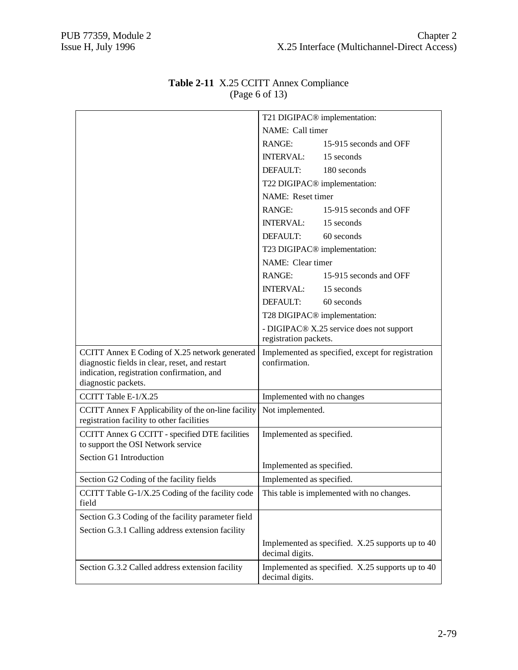|                                                                                                                                                                       | T21 DIGIPAC <sup>®</sup> implementation:                            |                                                  |
|-----------------------------------------------------------------------------------------------------------------------------------------------------------------------|---------------------------------------------------------------------|--------------------------------------------------|
|                                                                                                                                                                       | NAME: Call timer                                                    |                                                  |
|                                                                                                                                                                       | RANGE:                                                              | 15-915 seconds and OFF                           |
|                                                                                                                                                                       | INTERVAL: 15 seconds                                                |                                                  |
|                                                                                                                                                                       | DEFAULT:                                                            | 180 seconds                                      |
|                                                                                                                                                                       |                                                                     | T22 DIGIPAC <sup>®</sup> implementation:         |
|                                                                                                                                                                       | NAME: Reset timer                                                   |                                                  |
|                                                                                                                                                                       | <b>RANGE:</b>                                                       | 15-915 seconds and OFF                           |
|                                                                                                                                                                       | <b>INTERVAL:</b>                                                    | 15 seconds                                       |
|                                                                                                                                                                       | DEFAULT:                                                            | 60 seconds                                       |
|                                                                                                                                                                       |                                                                     | T23 DIGIPAC <sup>®</sup> implementation:         |
|                                                                                                                                                                       | NAME: Clear timer                                                   |                                                  |
|                                                                                                                                                                       | RANGE:                                                              | 15-915 seconds and OFF                           |
|                                                                                                                                                                       | <b>INTERVAL:</b>                                                    | 15 seconds                                       |
|                                                                                                                                                                       | DEFAULT:                                                            | 60 seconds                                       |
|                                                                                                                                                                       | T28 DIGIPAC <sup>®</sup> implementation:                            |                                                  |
|                                                                                                                                                                       | - DIGIPAC® X.25 service does not support<br>registration packets.   |                                                  |
| CCITT Annex E Coding of X.25 network generated<br>diagnostic fields in clear, reset, and restart<br>indication, registration confirmation, and<br>diagnostic packets. | Implemented as specified, except for registration<br>confirmation.  |                                                  |
| CCITT Table E-1/X.25                                                                                                                                                  | Implemented with no changes                                         |                                                  |
| CCITT Annex F Applicability of the on-line facility<br>registration facility to other facilities                                                                      | Not implemented.                                                    |                                                  |
| CCITT Annex G CCITT - specified DTE facilities<br>to support the OSI Network service                                                                                  | Implemented as specified.                                           |                                                  |
| Section G1 Introduction                                                                                                                                               | Implemented as specified.                                           |                                                  |
| Section G2 Coding of the facility fields                                                                                                                              | Implemented as specified.                                           |                                                  |
| CCITT Table G-1/X.25 Coding of the facility code<br>field                                                                                                             | This table is implemented with no changes.                          |                                                  |
| Section G.3 Coding of the facility parameter field                                                                                                                    |                                                                     |                                                  |
| Section G.3.1 Calling address extension facility                                                                                                                      |                                                                     |                                                  |
|                                                                                                                                                                       | decimal digits.                                                     | Implemented as specified. X.25 supports up to 40 |
| Section G.3.2 Called address extension facility                                                                                                                       | Implemented as specified. X.25 supports up to 40<br>decimal digits. |                                                  |

#### **Table 2-11** X.25 CCITT Annex Compliance (Page 6 of 13)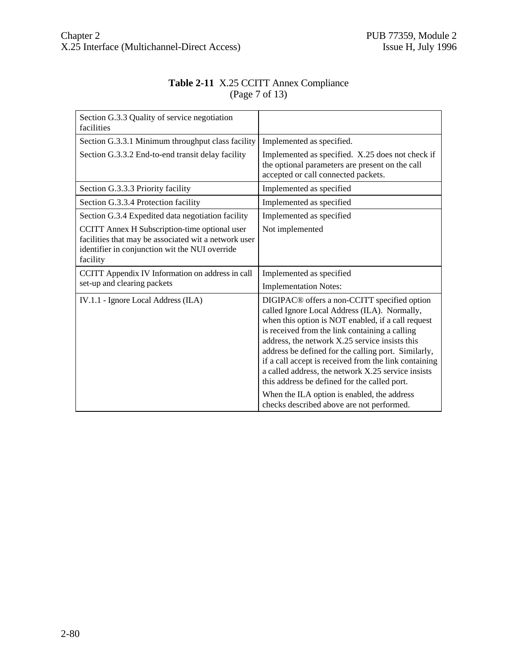#### **Table 2-11** X.25 CCITT Annex Compliance (Page 7 of 13)

| Section G.3.3 Quality of service negotiation<br>facilities                                                                                                          |                                                                                                                                                                                                                                                                                                                                                                                                                                                                                                                                         |
|---------------------------------------------------------------------------------------------------------------------------------------------------------------------|-----------------------------------------------------------------------------------------------------------------------------------------------------------------------------------------------------------------------------------------------------------------------------------------------------------------------------------------------------------------------------------------------------------------------------------------------------------------------------------------------------------------------------------------|
| Section G.3.3.1 Minimum throughput class facility                                                                                                                   | Implemented as specified.                                                                                                                                                                                                                                                                                                                                                                                                                                                                                                               |
| Section G.3.3.2 End-to-end transit delay facility                                                                                                                   | Implemented as specified. X.25 does not check if<br>the optional parameters are present on the call<br>accepted or call connected packets.                                                                                                                                                                                                                                                                                                                                                                                              |
| Section G.3.3.3 Priority facility                                                                                                                                   | Implemented as specified                                                                                                                                                                                                                                                                                                                                                                                                                                                                                                                |
| Section G.3.3.4 Protection facility                                                                                                                                 | Implemented as specified                                                                                                                                                                                                                                                                                                                                                                                                                                                                                                                |
| Section G.3.4 Expedited data negotiation facility                                                                                                                   | Implemented as specified                                                                                                                                                                                                                                                                                                                                                                                                                                                                                                                |
| CCITT Annex H Subscription-time optional user<br>facilities that may be associated wit a network user<br>identifier in conjunction wit the NUI override<br>facility | Not implemented                                                                                                                                                                                                                                                                                                                                                                                                                                                                                                                         |
| CCITT Appendix IV Information on address in call                                                                                                                    | Implemented as specified                                                                                                                                                                                                                                                                                                                                                                                                                                                                                                                |
| set-up and clearing packets                                                                                                                                         | <b>Implementation Notes:</b>                                                                                                                                                                                                                                                                                                                                                                                                                                                                                                            |
| IV.1.1 - Ignore Local Address (ILA)                                                                                                                                 | DIGIPAC <sup>®</sup> offers a non-CCITT specified option<br>called Ignore Local Address (ILA). Normally,<br>when this option is NOT enabled, if a call request<br>is received from the link containing a calling<br>address, the network X.25 service insists this<br>address be defined for the calling port. Similarly,<br>if a call accept is received from the link containing<br>a called address, the network X.25 service insists<br>this address be defined for the called port.<br>When the ILA option is enabled, the address |
|                                                                                                                                                                     | checks described above are not performed.                                                                                                                                                                                                                                                                                                                                                                                                                                                                                               |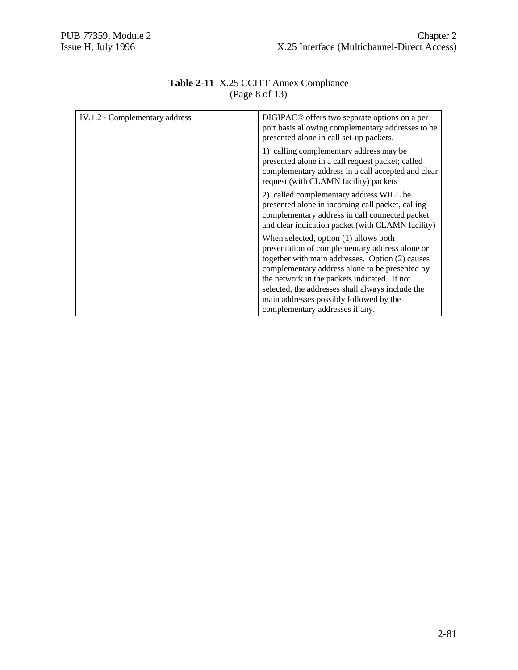| DIGIPAC <sup>®</sup> offers two separate options on a per<br>port basis allowing complementary addresses to be<br>presented alone in call set-up packets.                                                                                                                                                                                                                      |  |
|--------------------------------------------------------------------------------------------------------------------------------------------------------------------------------------------------------------------------------------------------------------------------------------------------------------------------------------------------------------------------------|--|
| 1) calling complementary address may be<br>presented alone in a call request packet; called<br>complementary address in a call accepted and clear<br>request (with CLAMN facility) packets                                                                                                                                                                                     |  |
| 2) called complementary address WILL be<br>presented alone in incoming call packet, calling<br>complementary address in call connected packet<br>and clear indication packet (with CLAMN facility)                                                                                                                                                                             |  |
| When selected, option (1) allows both<br>presentation of complementary address alone or<br>together with main addresses. Option (2) causes<br>complementary address alone to be presented by<br>the network in the packets indicated. If not<br>selected, the addresses shall always include the<br>main addresses possibly followed by the<br>complementary addresses if any. |  |
|                                                                                                                                                                                                                                                                                                                                                                                |  |

#### **Table 2-11** X.25 CCITT Annex Compliance (Page 8 of 13)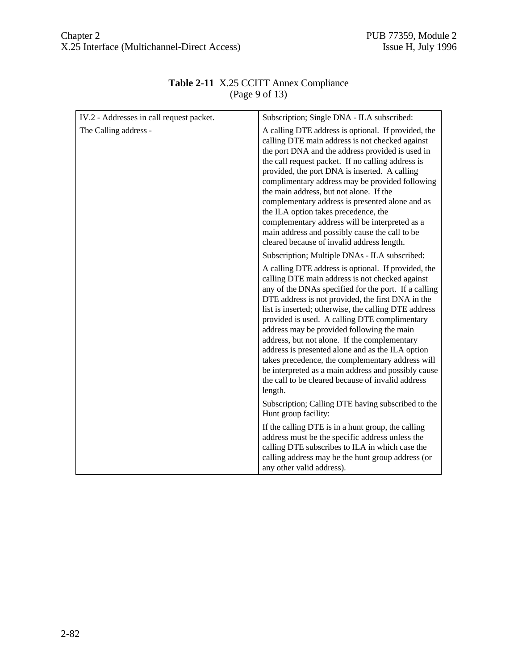| IV.2 - Addresses in call request packet. | Subscription; Single DNA - ILA subscribed:                                                                                                                                                                                                                                                                                                                                                                                                                                                                                                                                                                                                                |
|------------------------------------------|-----------------------------------------------------------------------------------------------------------------------------------------------------------------------------------------------------------------------------------------------------------------------------------------------------------------------------------------------------------------------------------------------------------------------------------------------------------------------------------------------------------------------------------------------------------------------------------------------------------------------------------------------------------|
| The Calling address -                    | A calling DTE address is optional. If provided, the<br>calling DTE main address is not checked against<br>the port DNA and the address provided is used in<br>the call request packet. If no calling address is<br>provided, the port DNA is inserted. A calling<br>complimentary address may be provided following<br>the main address, but not alone. If the<br>complementary address is presented alone and as<br>the ILA option takes precedence, the<br>complementary address will be interpreted as a<br>main address and possibly cause the call to be<br>cleared because of invalid address length.                                               |
|                                          | Subscription; Multiple DNAs - ILA subscribed:                                                                                                                                                                                                                                                                                                                                                                                                                                                                                                                                                                                                             |
|                                          | A calling DTE address is optional. If provided, the<br>calling DTE main address is not checked against<br>any of the DNAs specified for the port. If a calling<br>DTE address is not provided, the first DNA in the<br>list is inserted; otherwise, the calling DTE address<br>provided is used. A calling DTE complimentary<br>address may be provided following the main<br>address, but not alone. If the complementary<br>address is presented alone and as the ILA option<br>takes precedence, the complementary address will<br>be interpreted as a main address and possibly cause<br>the call to be cleared because of invalid address<br>length. |
|                                          | Subscription; Calling DTE having subscribed to the<br>Hunt group facility:                                                                                                                                                                                                                                                                                                                                                                                                                                                                                                                                                                                |
|                                          | If the calling DTE is in a hunt group, the calling<br>address must be the specific address unless the<br>calling DTE subscribes to ILA in which case the<br>calling address may be the hunt group address (or<br>any other valid address).                                                                                                                                                                                                                                                                                                                                                                                                                |

## **Table 2-11** X.25 CCITT Annex Compliance (Page 9 of 13)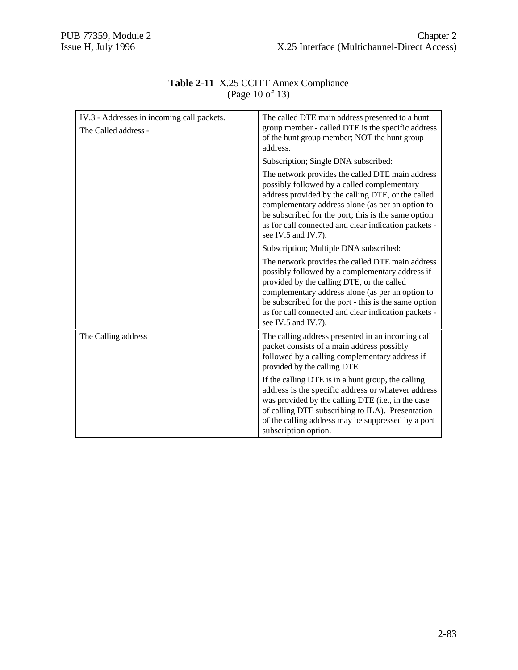| IV.3 - Addresses in incoming call packets.<br>The Called address - | The called DTE main address presented to a hunt<br>group member - called DTE is the specific address<br>of the hunt group member; NOT the hunt group<br>address.                                                                                                                                                                                |  |  |
|--------------------------------------------------------------------|-------------------------------------------------------------------------------------------------------------------------------------------------------------------------------------------------------------------------------------------------------------------------------------------------------------------------------------------------|--|--|
|                                                                    | Subscription; Single DNA subscribed:                                                                                                                                                                                                                                                                                                            |  |  |
|                                                                    | The network provides the called DTE main address<br>possibly followed by a called complementary<br>address provided by the calling DTE, or the called<br>complementary address alone (as per an option to<br>be subscribed for the port; this is the same option<br>as for call connected and clear indication packets -<br>see IV.5 and IV.7). |  |  |
|                                                                    | Subscription; Multiple DNA subscribed:                                                                                                                                                                                                                                                                                                          |  |  |
|                                                                    | The network provides the called DTE main address<br>possibly followed by a complementary address if<br>provided by the calling DTE, or the called<br>complementary address alone (as per an option to<br>be subscribed for the port - this is the same option<br>as for call connected and clear indication packets -<br>see IV.5 and IV.7).    |  |  |
| The Calling address                                                | The calling address presented in an incoming call<br>packet consists of a main address possibly<br>followed by a calling complementary address if<br>provided by the calling DTE.                                                                                                                                                               |  |  |
|                                                                    | If the calling DTE is in a hunt group, the calling<br>address is the specific address or whatever address<br>was provided by the calling DTE (i.e., in the case<br>of calling DTE subscribing to ILA). Presentation<br>of the calling address may be suppressed by a port<br>subscription option.                                               |  |  |

#### **Table 2-11** X.25 CCITT Annex Compliance (Page 10 of 13)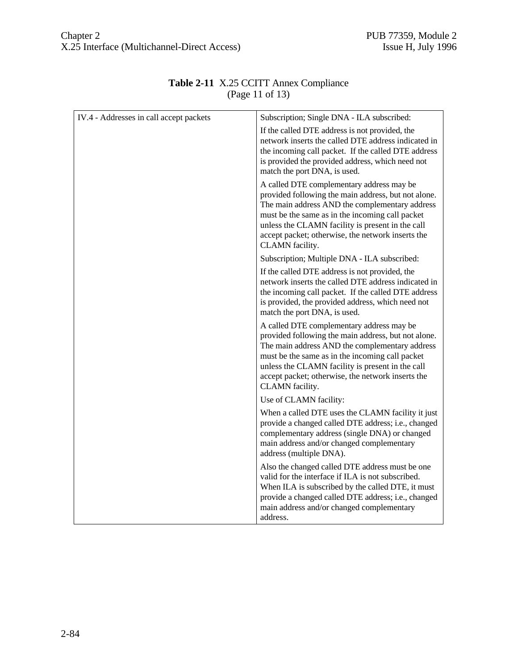| IV.4 - Addresses in call accept packets | Subscription; Single DNA - ILA subscribed:                                                                                                                                                                                                                                                                                        |
|-----------------------------------------|-----------------------------------------------------------------------------------------------------------------------------------------------------------------------------------------------------------------------------------------------------------------------------------------------------------------------------------|
|                                         | If the called DTE address is not provided, the<br>network inserts the called DTE address indicated in<br>the incoming call packet. If the called DTE address<br>is provided the provided address, which need not<br>match the port DNA, is used.                                                                                  |
|                                         | A called DTE complementary address may be<br>provided following the main address, but not alone.<br>The main address AND the complementary address<br>must be the same as in the incoming call packet<br>unless the CLAMN facility is present in the call<br>accept packet; otherwise, the network inserts the<br>CLAMN facility. |
|                                         | Subscription; Multiple DNA - ILA subscribed:                                                                                                                                                                                                                                                                                      |
|                                         | If the called DTE address is not provided, the<br>network inserts the called DTE address indicated in<br>the incoming call packet. If the called DTE address<br>is provided, the provided address, which need not<br>match the port DNA, is used.                                                                                 |
|                                         | A called DTE complementary address may be<br>provided following the main address, but not alone.<br>The main address AND the complementary address<br>must be the same as in the incoming call packet<br>unless the CLAMN facility is present in the call<br>accept packet; otherwise, the network inserts the<br>CLAMN facility. |
|                                         | Use of CLAMN facility:                                                                                                                                                                                                                                                                                                            |
|                                         | When a called DTE uses the CLAMN facility it just<br>provide a changed called DTE address; i.e., changed<br>complementary address (single DNA) or changed<br>main address and/or changed complementary<br>address (multiple DNA).                                                                                                 |
|                                         | Also the changed called DTE address must be one<br>valid for the interface if ILA is not subscribed.<br>When ILA is subscribed by the called DTE, it must<br>provide a changed called DTE address; i.e., changed<br>main address and/or changed complementary<br>address.                                                         |

#### **Table 2-11** X.25 CCITT Annex Compliance (Page 11 of 13)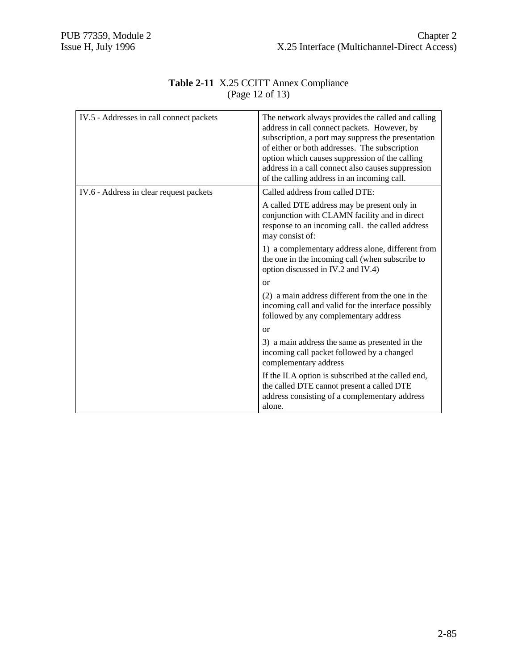| IV.5 - Addresses in call connect packets | The network always provides the called and calling<br>address in call connect packets. However, by<br>subscription, a port may suppress the presentation<br>of either or both addresses. The subscription<br>option which causes suppression of the calling<br>address in a call connect also causes suppression<br>of the calling address in an incoming call. |
|------------------------------------------|-----------------------------------------------------------------------------------------------------------------------------------------------------------------------------------------------------------------------------------------------------------------------------------------------------------------------------------------------------------------|
| IV.6 - Address in clear request packets  | Called address from called DTE:                                                                                                                                                                                                                                                                                                                                 |
|                                          | A called DTE address may be present only in<br>conjunction with CLAMN facility and in direct<br>response to an incoming call. the called address<br>may consist of:                                                                                                                                                                                             |
|                                          | 1) a complementary address alone, different from<br>the one in the incoming call (when subscribe to<br>option discussed in IV.2 and IV.4)                                                                                                                                                                                                                       |
|                                          | $\alpha$                                                                                                                                                                                                                                                                                                                                                        |
|                                          | (2) a main address different from the one in the<br>incoming call and valid for the interface possibly<br>followed by any complementary address                                                                                                                                                                                                                 |
|                                          | or                                                                                                                                                                                                                                                                                                                                                              |
|                                          | 3) a main address the same as presented in the<br>incoming call packet followed by a changed<br>complementary address                                                                                                                                                                                                                                           |
|                                          | If the ILA option is subscribed at the called end,<br>the called DTE cannot present a called DTE<br>address consisting of a complementary address                                                                                                                                                                                                               |
|                                          | alone.                                                                                                                                                                                                                                                                                                                                                          |

#### **Table 2-11** X.25 CCITT Annex Compliance (Page 12 of 13)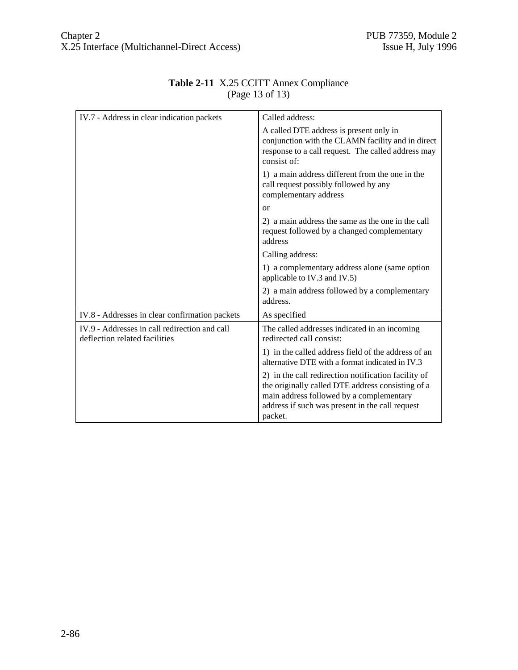| IV.7 - Address in clear indication packets                                     | Called address:                                                                                                                                                                                                    |
|--------------------------------------------------------------------------------|--------------------------------------------------------------------------------------------------------------------------------------------------------------------------------------------------------------------|
|                                                                                | A called DTE address is present only in<br>conjunction with the CLAMN facility and in direct<br>response to a call request. The called address may<br>consist of:                                                  |
|                                                                                | 1) a main address different from the one in the<br>call request possibly followed by any<br>complementary address                                                                                                  |
|                                                                                | <sub>or</sub>                                                                                                                                                                                                      |
|                                                                                | 2) a main address the same as the one in the call<br>request followed by a changed complementary<br>address                                                                                                        |
|                                                                                | Calling address:                                                                                                                                                                                                   |
|                                                                                | 1) a complementary address alone (same option<br>applicable to IV.3 and IV.5)                                                                                                                                      |
|                                                                                | 2) a main address followed by a complementary<br>address.                                                                                                                                                          |
| IV.8 - Addresses in clear confirmation packets                                 | As specified                                                                                                                                                                                                       |
| IV.9 - Addresses in call redirection and call<br>deflection related facilities | The called addresses indicated in an incoming<br>redirected call consist:                                                                                                                                          |
|                                                                                | 1) in the called address field of the address of an<br>alternative DTE with a format indicated in IV.3                                                                                                             |
|                                                                                | 2) in the call redirection notification facility of<br>the originally called DTE address consisting of a<br>main address followed by a complementary<br>address if such was present in the call request<br>packet. |

## **Table 2-11** X.25 CCITT Annex Compliance (Page 13 of 13)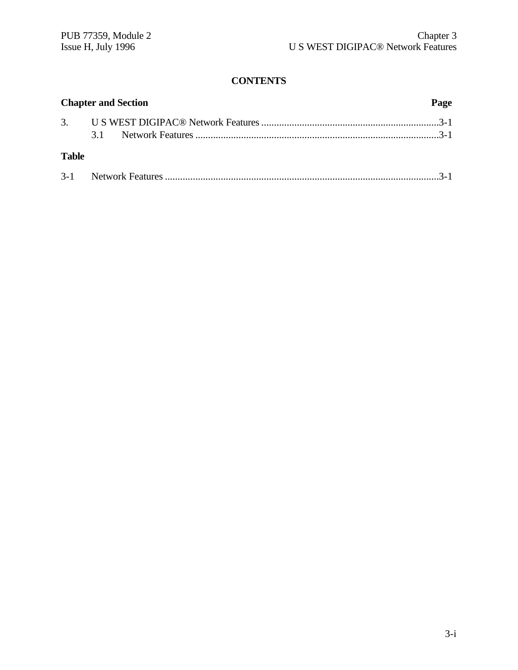# **CONTENTS**

|              | <b>Chapter and Section</b> | Page |
|--------------|----------------------------|------|
|              |                            |      |
|              |                            |      |
| <b>Table</b> |                            |      |
|              |                            |      |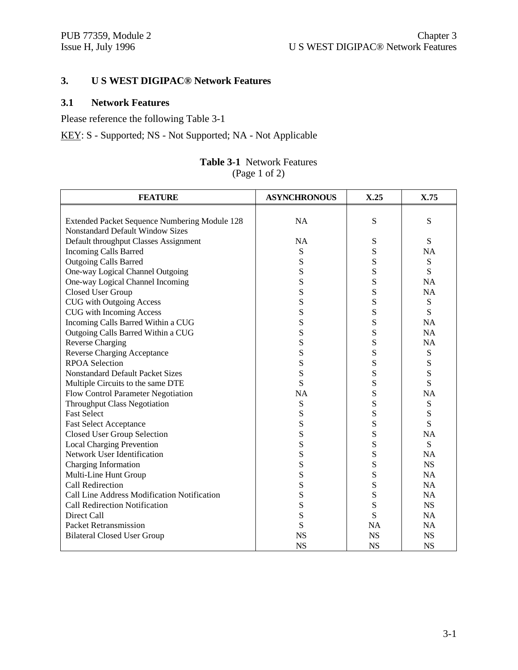# **3. U S WEST DIGIPAC® Network Features**

# **3.1 Network Features**

Please reference the following Table 3-1

KEY: S - Supported; NS - Not Supported; NA - Not Applicable

#### **Table 3-1** Network Features (Page 1 of 2)

| <b>FEATURE</b>                                | <b>ASYNCHRONOUS</b> | X.25      | X.75      |
|-----------------------------------------------|---------------------|-----------|-----------|
|                                               |                     |           |           |
| Extended Packet Sequence Numbering Module 128 | <b>NA</b>           | S         | ${\bf S}$ |
| <b>Nonstandard Default Window Sizes</b>       |                     |           |           |
| Default throughput Classes Assignment         | <b>NA</b>           | S         | S         |
| <b>Incoming Calls Barred</b>                  | S                   | S         | <b>NA</b> |
| <b>Outgoing Calls Barred</b>                  | S                   | S         | S         |
| One-way Logical Channel Outgoing              | S                   | S         | S         |
| One-way Logical Channel Incoming              | S                   | S         | <b>NA</b> |
| Closed User Group                             | S                   | S         | <b>NA</b> |
| <b>CUG</b> with Outgoing Access               | S                   | S         | S         |
| CUG with Incoming Access                      | S                   | S         | S         |
| Incoming Calls Barred Within a CUG            | ${\bf S}$           | S         | <b>NA</b> |
| Outgoing Calls Barred Within a CUG            | S                   | S         | <b>NA</b> |
| <b>Reverse Charging</b>                       | ${\bf S}$           | S         | <b>NA</b> |
| <b>Reverse Charging Acceptance</b>            | S                   | S         | ${\bf S}$ |
| <b>RPOA Selection</b>                         | S                   | S         | S         |
| <b>Nonstandard Default Packet Sizes</b>       | S                   | S         | S         |
| Multiple Circuits to the same DTE             | S                   | S         | S         |
| Flow Control Parameter Negotiation            | <b>NA</b>           | S         | <b>NA</b> |
| <b>Throughput Class Negotiation</b>           | S                   | S         | S         |
| <b>Fast Select</b>                            | S                   | S         | S         |
| <b>Fast Select Acceptance</b>                 | ${\bf S}$           | S         | S         |
| <b>Closed User Group Selection</b>            | S                   | S         | <b>NA</b> |
| <b>Local Charging Prevention</b>              | ${\bf S}$           | S         | S         |
| Network User Identification                   | S                   | S         | <b>NA</b> |
| Charging Information                          | S                   | S         | <b>NS</b> |
| Multi-Line Hunt Group                         | ${\bf S}$           | S         | <b>NA</b> |
| <b>Call Redirection</b>                       | S                   | S         | <b>NA</b> |
| Call Line Address Modification Notification   | S                   | S         | <b>NA</b> |
| Call Redirection Notification                 | S                   | S         | <b>NS</b> |
| Direct Call                                   | S                   | S         | <b>NA</b> |
| <b>Packet Retransmission</b>                  | S                   | <b>NA</b> | <b>NA</b> |
| <b>Bilateral Closed User Group</b>            | <b>NS</b>           | <b>NS</b> | <b>NS</b> |
|                                               | <b>NS</b>           | <b>NS</b> | <b>NS</b> |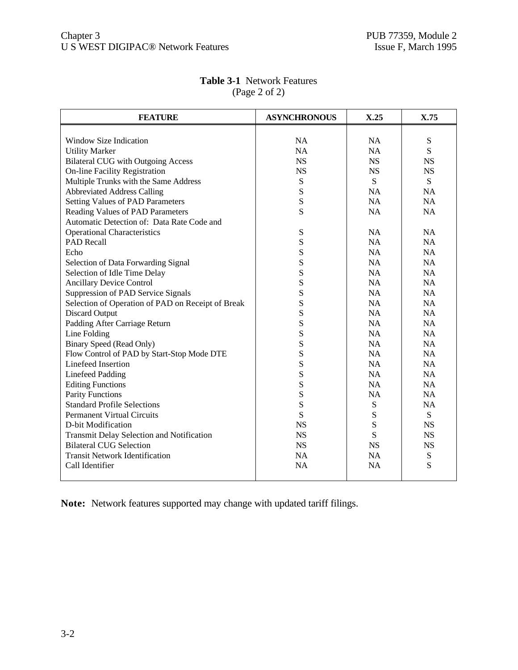| <b>FEATURE</b>                                    | <b>ASYNCHRONOUS</b> | X.25      | X.75      |
|---------------------------------------------------|---------------------|-----------|-----------|
|                                                   |                     |           |           |
| Window Size Indication                            | <b>NA</b>           | <b>NA</b> | S         |
| <b>Utility Marker</b>                             | <b>NA</b>           | <b>NA</b> | S         |
| <b>Bilateral CUG</b> with Outgoing Access         | <b>NS</b>           | <b>NS</b> | <b>NS</b> |
| On-line Facility Registration                     | <b>NS</b>           | <b>NS</b> | <b>NS</b> |
| Multiple Trunks with the Same Address             | S                   | S         | S         |
| <b>Abbreviated Address Calling</b>                | S                   | <b>NA</b> | <b>NA</b> |
| <b>Setting Values of PAD Parameters</b>           | S                   | NA        | <b>NA</b> |
| Reading Values of PAD Parameters                  | S                   | <b>NA</b> | <b>NA</b> |
| Automatic Detection of: Data Rate Code and        |                     |           |           |
| <b>Operational Characteristics</b>                | S                   | <b>NA</b> | <b>NA</b> |
| <b>PAD</b> Recall                                 | S                   | <b>NA</b> | <b>NA</b> |
| Echo                                              | S                   | <b>NA</b> | <b>NA</b> |
| Selection of Data Forwarding Signal               | S                   | NA        | <b>NA</b> |
| Selection of Idle Time Delay                      | S                   | NA        | <b>NA</b> |
| <b>Ancillary Device Control</b>                   | S                   | NA        | <b>NA</b> |
| Suppression of PAD Service Signals                | S                   | NA        | <b>NA</b> |
| Selection of Operation of PAD on Receipt of Break | S                   | <b>NA</b> | <b>NA</b> |
| <b>Discard Output</b>                             | S                   | <b>NA</b> | <b>NA</b> |
| Padding After Carriage Return                     | S                   | NA        | <b>NA</b> |
| Line Folding                                      | S                   | NA        | <b>NA</b> |
| <b>Binary Speed (Read Only)</b>                   | S                   | NA        | NA        |
| Flow Control of PAD by Start-Stop Mode DTE        | S                   | NA        | NA        |
| Linefeed Insertion                                | S                   | <b>NA</b> | <b>NA</b> |
| <b>Linefeed Padding</b>                           | S                   | <b>NA</b> | <b>NA</b> |
| <b>Editing Functions</b>                          | S                   | NA        | <b>NA</b> |
| <b>Parity Functions</b>                           | S                   | <b>NA</b> | <b>NA</b> |
| <b>Standard Profile Selections</b>                | S                   | ${\bf S}$ | <b>NA</b> |
| <b>Permanent Virtual Circuits</b>                 | S                   | S         | S         |
| D-bit Modification                                | <b>NS</b>           | S         | <b>NS</b> |
| Transmit Delay Selection and Notification         | <b>NS</b>           | S         | <b>NS</b> |
| <b>Bilateral CUG Selection</b>                    | <b>NS</b>           | <b>NS</b> | <b>NS</b> |
| <b>Transit Network Identification</b>             | <b>NA</b>           | <b>NA</b> | ${\bf S}$ |
| Call Identifier                                   | NA                  | NA        | S         |
|                                                   |                     |           |           |

# **Table 3-1** Network Features (Page 2 of 2)

**Note:** Network features supported may change with updated tariff filings.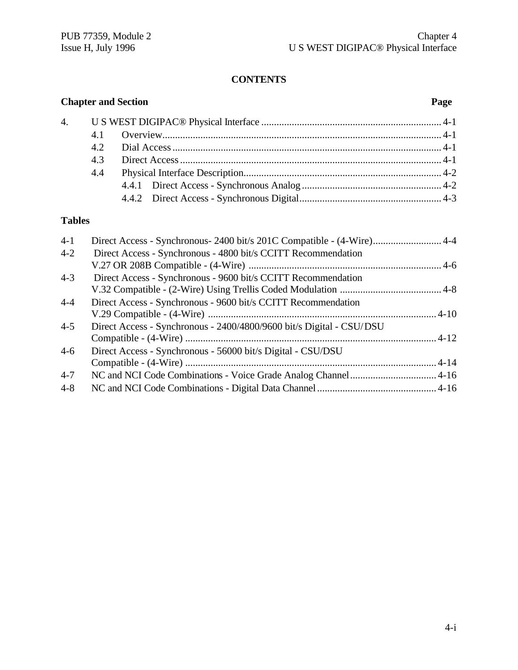# **CONTENTS**

# **Chapter and Section Page** 4. U S WEST DIGIPAC® Physical Interface ....................................................................... 4-1 4.1 Overview.............................................................................................................. 4-1 4.2 Dial Access.......................................................................................................... 4-1 4.3 Direct Access....................................................................................................... 4-1 4.4 Physical Interface Description.............................................................................. 4-2 4.4.1 Direct Access - Synchronous Analog ....................................................... 4-2 4.4.2 Direct Access - Synchronous Digital........................................................ 4-3

# **Tables**

| $4-1$   | Direct Access - Synchronous- 2400 bit/s 201C Compatible - (4-Wire)4-4 |  |
|---------|-----------------------------------------------------------------------|--|
| $4 - 2$ | Direct Access - Synchronous - 4800 bit/s CCITT Recommendation         |  |
|         |                                                                       |  |
| $4 - 3$ | Direct Access - Synchronous - 9600 bit/s CCITT Recommendation         |  |
|         |                                                                       |  |
| $4 - 4$ | Direct Access - Synchronous - 9600 bit/s CCITT Recommendation         |  |
|         |                                                                       |  |
| $4 - 5$ | Direct Access - Synchronous - 2400/4800/9600 bit/s Digital - CSU/DSU  |  |
|         |                                                                       |  |
| $4-6$   | Direct Access - Synchronous - 56000 bit/s Digital - CSU/DSU           |  |
|         |                                                                       |  |
| $4 - 7$ |                                                                       |  |
| $4 - 8$ |                                                                       |  |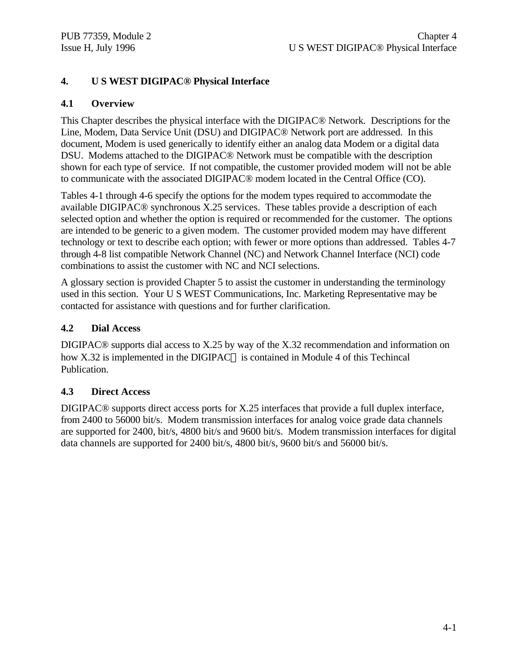# **4. U S WEST DIGIPAC® Physical Interface**

# **4.1 Overview**

This Chapter describes the physical interface with the DIGIPAC® Network. Descriptions for the Line, Modem, Data Service Unit (DSU) and DIGIPAC® Network port are addressed. In this document, Modem is used generically to identify either an analog data Modem or a digital data DSU. Modems attached to the DIGIPAC® Network must be compatible with the description shown for each type of service. If not compatible, the customer provided modem will not be able to communicate with the associated DIGIPAC® modem located in the Central Office (CO).

Tables 4-1 through 4-6 specify the options for the modem types required to accommodate the available DIGIPAC® synchronous X.25 services. These tables provide a description of each selected option and whether the option is required or recommended for the customer. The options are intended to be generic to a given modem. The customer provided modem may have different technology or text to describe each option; with fewer or more options than addressed. Tables 4-7 through 4-8 list compatible Network Channel (NC) and Network Channel Interface (NCI) code combinations to assist the customer with NC and NCI selections.

A glossary section is provided Chapter 5 to assist the customer in understanding the terminology used in this section. Your U S WEST Communications, Inc. Marketing Representative may be contacted for assistance with questions and for further clarification.

# **4.2 Dial Access**

DIGIPAC® supports dial access to X.25 by way of the X.32 recommendation and information on how X.32 is implemented in the DIGIPAC<sup>®</sup> is contained in Module 4 of this Techincal Publication.

# **4.3 Direct Access**

DIGIPAC® supports direct access ports for X.25 interfaces that provide a full duplex interface, from 2400 to 56000 bit/s. Modem transmission interfaces for analog voice grade data channels are supported for 2400, bit/s, 4800 bit/s and 9600 bit/s. Modem transmission interfaces for digital data channels are supported for 2400 bit/s, 4800 bit/s, 9600 bit/s and 56000 bit/s.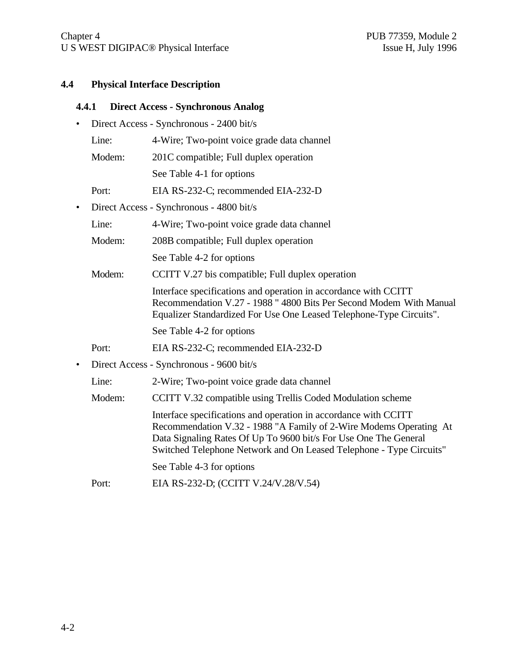#### **4.4 Physical Interface Description**

#### **4.4.1 Direct Access - Synchronous Analog**

- Direct Access Synchronous 2400 bit/s
	- Line: 4-Wire; Two-point voice grade data channel
	- Modem: 201C compatible; Full duplex operation
		- See Table 4-1 for options
	- Port: EIA RS-232-C; recommended EIA-232-D
- Direct Access Synchronous 4800 bit/s
	- Line: 4-Wire; Two-point voice grade data channel
	- Modem: 208B compatible; Full duplex operation
		- See Table 4-2 for options
	- Modem: CCITT V.27 bis compatible; Full duplex operation
		- Interface specifications and operation in accordance with CCITT Recommendation V.27 - 1988 " 4800 Bits Per Second Modem With Manual Equalizer Standardized For Use One Leased Telephone-Type Circuits".
			- See Table 4-2 for options
	- Port: EIA RS-232-C; recommended EIA-232-D
- Direct Access Synchronous 9600 bit/s
	- Line: 2-Wire; Two-point voice grade data channel
	- Modem: CCITT V.32 compatible using Trellis Coded Modulation scheme

Interface specifications and operation in accordance with CCITT Recommendation V.32 - 1988 "A Family of 2-Wire Modems Operating At Data Signaling Rates Of Up To 9600 bit/s For Use One The General Switched Telephone Network and On Leased Telephone - Type Circuits"

See Table 4-3 for options

Port: EIA RS-232-D; (CCITT V.24/V.28/V.54)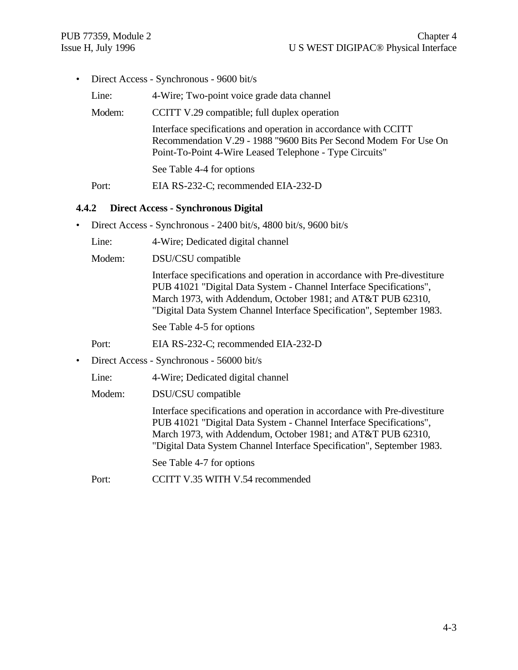• Direct Access - Synchronous - 9600 bit/s

| Line:  | 4-Wire; Two-point voice grade data channel                                                                                                                                                      |
|--------|-------------------------------------------------------------------------------------------------------------------------------------------------------------------------------------------------|
| Modem: | CCITT V.29 compatible; full duplex operation                                                                                                                                                    |
|        | Interface specifications and operation in accordance with CCITT<br>Recommendation V.29 - 1988 "9600 Bits Per Second Modem For Use On<br>Point-To-Point 4-Wire Leased Telephone - Type Circuits" |
|        | See Table 4-4 for options                                                                                                                                                                       |
| Port:  | EIA RS-232-C; recommended EIA-232-D                                                                                                                                                             |

#### **4.4.2 Direct Access - Synchronous Digital**

- Direct Access Synchronous 2400 bit/s, 4800 bit/s, 9600 bit/s
	- Line: 4-Wire; Dedicated digital channel
	- Modem: DSU/CSU compatible

Interface specifications and operation in accordance with Pre-divestiture PUB 41021 "Digital Data System - Channel Interface Specifications", March 1973, with Addendum, October 1981; and AT&T PUB 62310, "Digital Data System Channel Interface Specification", September 1983.

See Table 4-5 for options

Port: EIA RS-232-C; recommended EIA-232-D

• Direct Access - Synchronous - 56000 bit/s

Line: 4-Wire; Dedicated digital channel

Modem: DSU/CSU compatible

Interface specifications and operation in accordance with Pre-divestiture PUB 41021 "Digital Data System - Channel Interface Specifications", March 1973, with Addendum, October 1981; and AT&T PUB 62310, "Digital Data System Channel Interface Specification", September 1983.

See Table 4-7 for options

Port: CCITT V.35 WITH V.54 recommended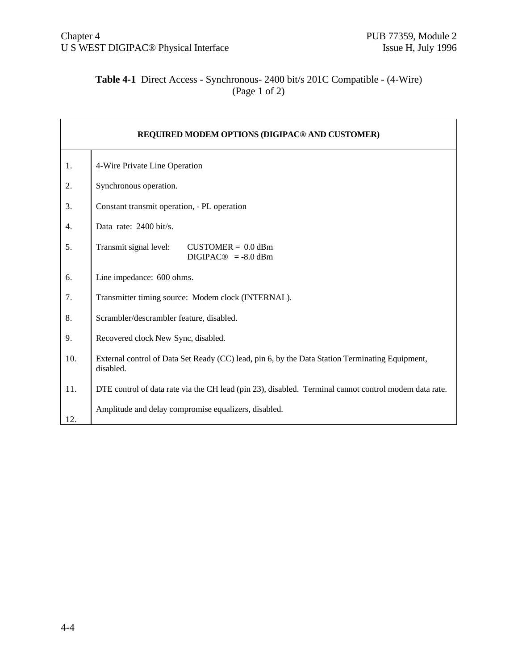# **Table 4-1** Direct Access - Synchronous- 2400 bit/s 201C Compatible - (4-Wire) (Page 1 of 2)

| <b>REQUIRED MODEM OPTIONS (DIGIPAC® AND CUSTOMER)</b> |                                                                                                              |
|-------------------------------------------------------|--------------------------------------------------------------------------------------------------------------|
| 1.                                                    | 4-Wire Private Line Operation                                                                                |
| 2.                                                    | Synchronous operation.                                                                                       |
| 3.                                                    | Constant transmit operation, - PL operation                                                                  |
| 4.                                                    | Data rate: $2400 \text{ bit/s}$ .                                                                            |
| 5.                                                    | Transmit signal level:<br>$CUSTOMER = 0.0$ dBm<br>$DIGIPAC@ = -8.0$ dBm                                      |
| 6.                                                    | Line impedance: 600 ohms.                                                                                    |
| 7.                                                    | Transmitter timing source: Modem clock (INTERNAL).                                                           |
| 8.                                                    | Scrambler/descrambler feature, disabled.                                                                     |
| 9.                                                    | Recovered clock New Sync, disabled.                                                                          |
| 10.                                                   | External control of Data Set Ready (CC) lead, pin 6, by the Data Station Terminating Equipment,<br>disabled. |
| 11.                                                   | DTE control of data rate via the CH lead (pin 23), disabled. Terminal cannot control modem data rate.        |
| 12.                                                   | Amplitude and delay compromise equalizers, disabled.                                                         |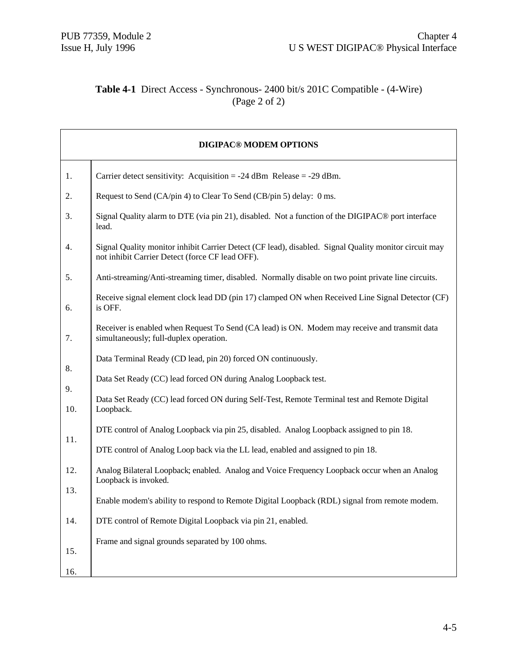# **Table 4-1** Direct Access - Synchronous- 2400 bit/s 201C Compatible - (4-Wire) (Page 2 of 2)

| <b>DIGIPAC® MODEM OPTIONS</b> |                                                                                                                                                          |
|-------------------------------|----------------------------------------------------------------------------------------------------------------------------------------------------------|
| 1.                            | Carrier detect sensitivity: Acquisition = $-24$ dBm Release = $-29$ dBm.                                                                                 |
| 2.                            | Request to Send (CA/pin 4) to Clear To Send (CB/pin 5) delay: 0 ms.                                                                                      |
| 3.                            | Signal Quality alarm to DTE (via pin 21), disabled. Not a function of the DIGIPAC <sup>®</sup> port interface<br>lead.                                   |
| 4.                            | Signal Quality monitor inhibit Carrier Detect (CF lead), disabled. Signal Quality monitor circuit may<br>not inhibit Carrier Detect (force CF lead OFF). |
| 5.                            | Anti-streaming/Anti-streaming timer, disabled. Normally disable on two point private line circuits.                                                      |
| 6.                            | Receive signal element clock lead DD (pin 17) clamped ON when Received Line Signal Detector (CF)<br>is OFF.                                              |
| 7.                            | Receiver is enabled when Request To Send (CA lead) is ON. Modem may receive and transmit data<br>simultaneously; full-duplex operation.                  |
|                               | Data Terminal Ready (CD lead, pin 20) forced ON continuously.                                                                                            |
| 8.                            | Data Set Ready (CC) lead forced ON during Analog Loopback test.                                                                                          |
| 9.<br>10.                     | Data Set Ready (CC) lead forced ON during Self-Test, Remote Terminal test and Remote Digital<br>Loopback.                                                |
|                               | DTE control of Analog Loopback via pin 25, disabled. Analog Loopback assigned to pin 18.                                                                 |
| 11.                           | DTE control of Analog Loop back via the LL lead, enabled and assigned to pin 18.                                                                         |
| 12.                           | Analog Bilateral Loopback; enabled. Analog and Voice Frequency Loopback occur when an Analog<br>Loopback is invoked.                                     |
| 13.                           | Enable modem's ability to respond to Remote Digital Loopback (RDL) signal from remote modem.                                                             |
| 14.                           | DTE control of Remote Digital Loopback via pin 21, enabled.                                                                                              |
|                               | Frame and signal grounds separated by 100 ohms.                                                                                                          |
| 15.                           |                                                                                                                                                          |
| 16.                           |                                                                                                                                                          |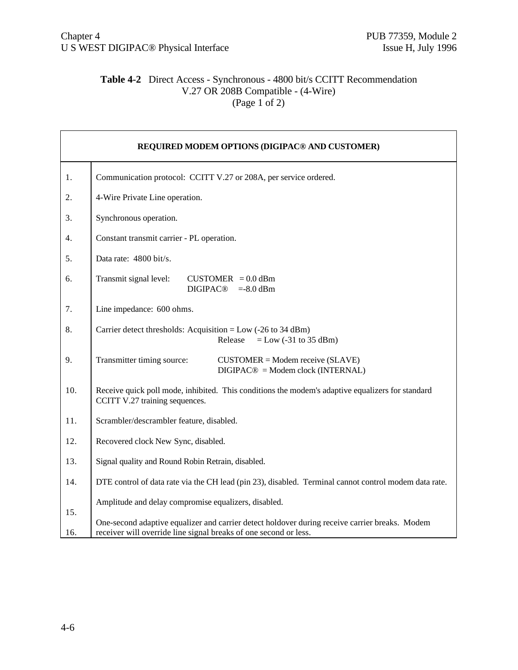#### **Table 4-2** Direct Access - Synchronous - 4800 bit/s CCITT Recommendation V.27 OR 208B Compatible - (4-Wire) (Page 1 of 2)

| REQUIRED MODEM OPTIONS (DIGIPAC® AND CUSTOMER) |                                                                                                                                                                    |
|------------------------------------------------|--------------------------------------------------------------------------------------------------------------------------------------------------------------------|
| 1.                                             | Communication protocol: CCITT V.27 or 208A, per service ordered.                                                                                                   |
| 2.                                             | 4-Wire Private Line operation.                                                                                                                                     |
| 3.                                             | Synchronous operation.                                                                                                                                             |
| 4.                                             | Constant transmit carrier - PL operation.                                                                                                                          |
| 5.                                             | Data rate: 4800 bit/s.                                                                                                                                             |
| 6.                                             | Transmit signal level:<br>$CUSTOMER = 0.0$ dBm<br><b>DIGIPAC®</b><br>$=8.0$ dBm                                                                                    |
| 7.                                             | Line impedance: 600 ohms.                                                                                                                                          |
| 8.                                             | Carrier detect thresholds: Acquisition = Low $(-26 \text{ to } 34 \text{ dBm})$<br>$=$ Low (-31 to 35 dBm)<br>Release                                              |
| 9.                                             | Transmitter timing source:<br>$CUSTOMER = Modem receive (SLAVE)$<br>$DIGIPAC@ = Modem clock (INTERNAL)$                                                            |
| 10.                                            | Receive quick poll mode, inhibited. This conditions the modem's adaptive equalizers for standard<br>CCITT V.27 training sequences.                                 |
| 11.                                            | Scrambler/descrambler feature, disabled.                                                                                                                           |
| 12.                                            | Recovered clock New Sync, disabled.                                                                                                                                |
| 13.                                            | Signal quality and Round Robin Retrain, disabled.                                                                                                                  |
| 14.                                            | DTE control of data rate via the CH lead (pin 23), disabled. Terminal cannot control modem data rate.                                                              |
| 15.                                            | Amplitude and delay compromise equalizers, disabled.                                                                                                               |
| 16.                                            | One-second adaptive equalizer and carrier detect holdover during receive carrier breaks. Modem<br>receiver will override line signal breaks of one second or less. |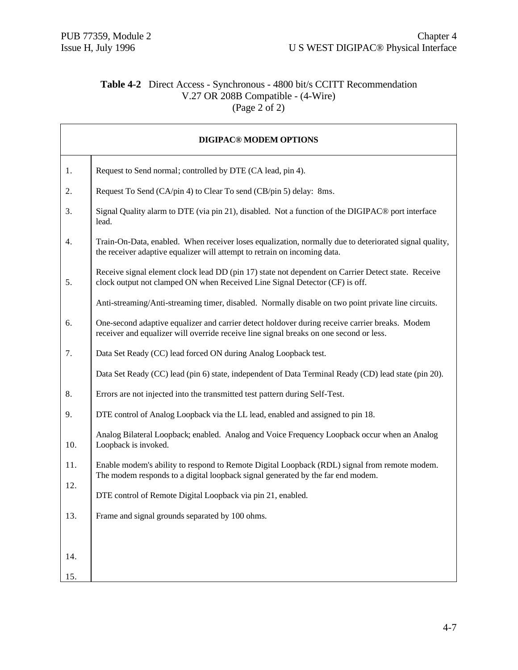h

# **Table 4-2** Direct Access - Synchronous - 4800 bit/s CCITT Recommendation V.27 OR 208B Compatible - (4-Wire) (Page  $2 \text{ of } 2$ )

| <b>DIGIPAC® MODEM OPTIONS</b> |                                                                                                                                                                                          |
|-------------------------------|------------------------------------------------------------------------------------------------------------------------------------------------------------------------------------------|
| 1.                            | Request to Send normal; controlled by DTE (CA lead, pin 4).                                                                                                                              |
| 2.                            | Request To Send (CA/pin 4) to Clear To send (CB/pin 5) delay: 8ms.                                                                                                                       |
| 3.                            | Signal Quality alarm to DTE (via pin 21), disabled. Not a function of the DIGIPAC <sup>®</sup> port interface<br>lead.                                                                   |
| 4.                            | Train-On-Data, enabled. When receiver loses equalization, normally due to deteriorated signal quality,<br>the receiver adaptive equalizer will attempt to retrain on incoming data.      |
| 5.                            | Receive signal element clock lead DD (pin 17) state not dependent on Carrier Detect state. Receive<br>clock output not clamped ON when Received Line Signal Detector (CF) is off.        |
|                               | Anti-streaming/Anti-streaming timer, disabled. Normally disable on two point private line circuits.                                                                                      |
| 6.                            | One-second adaptive equalizer and carrier detect holdover during receive carrier breaks. Modem<br>receiver and equalizer will override receive line signal breaks on one second or less. |
| 7.                            | Data Set Ready (CC) lead forced ON during Analog Loopback test.                                                                                                                          |
|                               | Data Set Ready (CC) lead (pin 6) state, independent of Data Terminal Ready (CD) lead state (pin 20).                                                                                     |
| 8.                            | Errors are not injected into the transmitted test pattern during Self-Test.                                                                                                              |
| 9.                            | DTE control of Analog Loopback via the LL lead, enabled and assigned to pin 18.                                                                                                          |
| 10.                           | Analog Bilateral Loopback; enabled. Analog and Voice Frequency Loopback occur when an Analog<br>Loopback is invoked.                                                                     |
| 11.                           | Enable modem's ability to respond to Remote Digital Loopback (RDL) signal from remote modem.<br>The modem responds to a digital loopback signal generated by the far end modem.          |
| 12.                           | DTE control of Remote Digital Loopback via pin 21, enabled.                                                                                                                              |
| 13.                           | Frame and signal grounds separated by 100 ohms.                                                                                                                                          |
|                               |                                                                                                                                                                                          |
| 14.                           |                                                                                                                                                                                          |
| 15.                           |                                                                                                                                                                                          |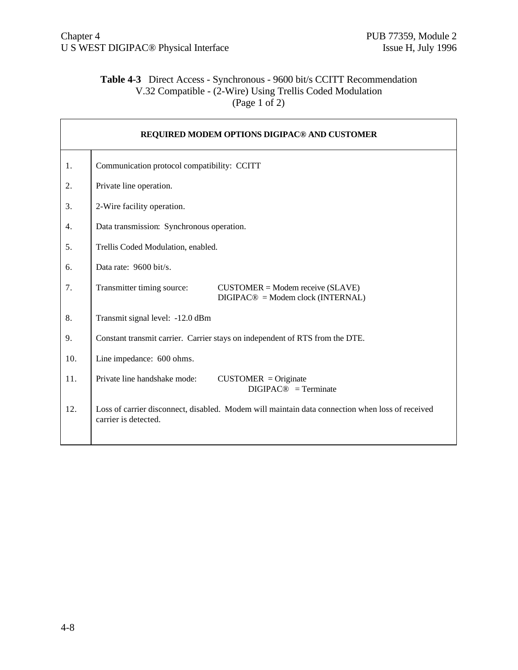# **Table 4-3** Direct Access - Synchronous - 9600 bit/s CCITT Recommendation V.32 Compatible - (2-Wire) Using Trellis Coded Modulation (Page 1 of 2)

| REQUIRED MODEM OPTIONS DIGIPAC® AND CUSTOMER |                                                                                                                         |
|----------------------------------------------|-------------------------------------------------------------------------------------------------------------------------|
| 1.                                           | Communication protocol compatibility: CCITT                                                                             |
| 2.                                           | Private line operation.                                                                                                 |
| 3.                                           | 2-Wire facility operation.                                                                                              |
| 4.                                           | Data transmission: Synchronous operation.                                                                               |
| 5.                                           | Trellis Coded Modulation, enabled.                                                                                      |
| 6.                                           | Data rate: $9600 \text{ bit/s}$ .                                                                                       |
| 7.                                           | Transmitter timing source:<br>$CUSTOMER = Modem receive (SLAVE)$<br>$DIGIPAC@ = Modem clock (INTERNAL)$                 |
| 8.                                           | Transmit signal level: -12.0 dBm                                                                                        |
| 9.                                           | Constant transmit carrier. Carrier stays on independent of RTS from the DTE.                                            |
| 10.                                          | Line impedance: 600 ohms.                                                                                               |
| 11.                                          | Private line handshake mode:<br>$CUSTOMER = Originate$<br>$DIGIPAC@ = Terminate$                                        |
| 12.                                          | Loss of carrier disconnect, disabled. Modem will maintain data connection when loss of received<br>carrier is detected. |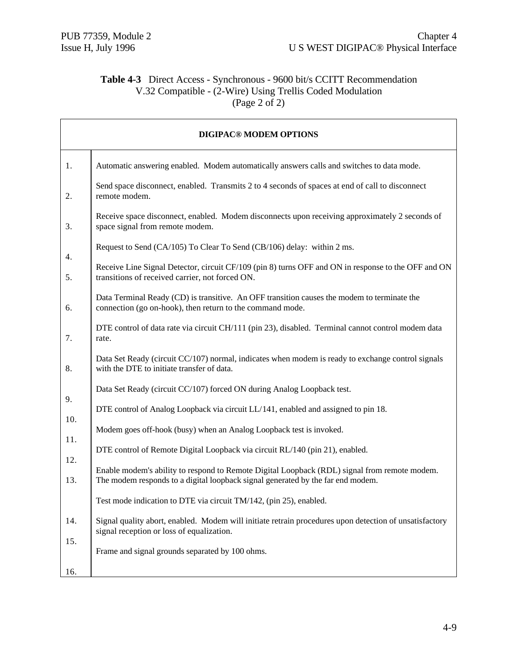# **Table 4-3** Direct Access - Synchronous - 9600 bit/s CCITT Recommendation V.32 Compatible - (2-Wire) Using Trellis Coded Modulation (Page 2 of 2)

|            | <b>DIGIPAC® MODEM OPTIONS</b>                                                                                                                                                   |
|------------|---------------------------------------------------------------------------------------------------------------------------------------------------------------------------------|
| 1.         | Automatic answering enabled. Modem automatically answers calls and switches to data mode.                                                                                       |
| 2.         | Send space disconnect, enabled. Transmits 2 to 4 seconds of spaces at end of call to disconnect<br>remote modem.                                                                |
| 3.         | Receive space disconnect, enabled. Modem disconnects upon receiving approximately 2 seconds of<br>space signal from remote modem.                                               |
| 4.         | Request to Send (CA/105) To Clear To Send (CB/106) delay: within 2 ms.                                                                                                          |
| 5.         | Receive Line Signal Detector, circuit CF/109 (pin 8) turns OFF and ON in response to the OFF and ON<br>transitions of received carrier, not forced ON.                          |
| 6.         | Data Terminal Ready (CD) is transitive. An OFF transition causes the modem to terminate the<br>connection (go on-hook), then return to the command mode.                        |
| 7.         | DTE control of data rate via circuit CH/111 (pin 23), disabled. Terminal cannot control modem data<br>rate.                                                                     |
| 8.         | Data Set Ready (circuit CC/107) normal, indicates when modem is ready to exchange control signals<br>with the DTE to initiate transfer of data.                                 |
|            | Data Set Ready (circuit CC/107) forced ON during Analog Loopback test.                                                                                                          |
| 9.         | DTE control of Analog Loopback via circuit LL/141, enabled and assigned to pin 18.                                                                                              |
| 10.<br>11. | Modem goes off-hook (busy) when an Analog Loopback test is invoked.                                                                                                             |
| 12.        | DTE control of Remote Digital Loopback via circuit RL/140 (pin 21), enabled.                                                                                                    |
| 13.        | Enable modem's ability to respond to Remote Digital Loopback (RDL) signal from remote modem.<br>The modem responds to a digital loopback signal generated by the far end modem. |
|            | Test mode indication to DTE via circuit TM/142, (pin 25), enabled.                                                                                                              |
| 14.        | Signal quality abort, enabled. Modem will initiate retrain procedures upon detection of unsatisfactory<br>signal reception or loss of equalization.                             |
| 15.<br>16. | Frame and signal grounds separated by 100 ohms.                                                                                                                                 |
|            |                                                                                                                                                                                 |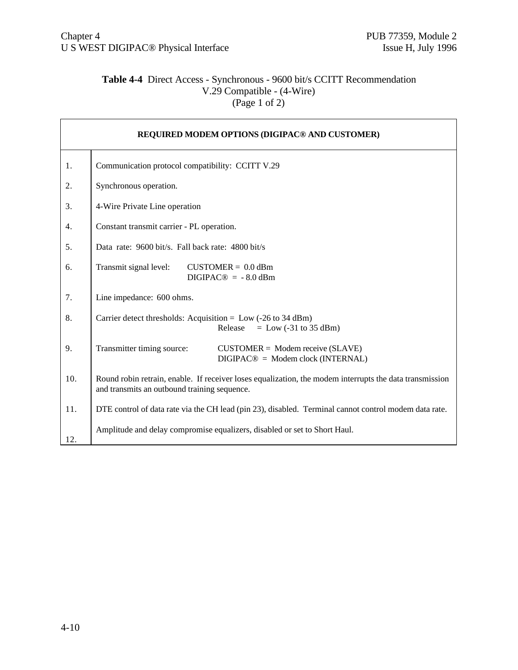# **Table 4-4** Direct Access - Synchronous - 9600 bit/s CCITT Recommendation V.29 Compatible - (4-Wire) (Page 1 of 2)

| REQUIRED MODEM OPTIONS (DIGIPAC® AND CUSTOMER) |                                                                                                                                                         |
|------------------------------------------------|---------------------------------------------------------------------------------------------------------------------------------------------------------|
| 1.                                             | Communication protocol compatibility: CCITT V.29                                                                                                        |
| 2.                                             | Synchronous operation.                                                                                                                                  |
| 3.                                             | 4-Wire Private Line operation                                                                                                                           |
| 4.                                             | Constant transmit carrier - PL operation.                                                                                                               |
| 5.                                             | Data rate: 9600 bit/s. Fall back rate: 4800 bit/s                                                                                                       |
| 6.                                             | Transmit signal level:<br>$CUSTOMER = 0.0$ dBm<br>$DIGIPAC@ = -8.0$ dBm                                                                                 |
| 7.                                             | Line impedance: 600 ohms.                                                                                                                               |
| 8.                                             | Carrier detect thresholds: Acquisition = $Low$ (-26 to 34 dBm)<br>Release<br>$=$ Low (-31 to 35 dBm)                                                    |
| 9.                                             | Transmitter timing source:<br>$CUSTOMER = Modem receive (SLAVE)$<br>$DIGIPAC@ = Modem clock (INTERNAL)$                                                 |
| 10.                                            | Round robin retrain, enable. If receiver loses equalization, the modem interrupts the data transmission<br>and transmits an outbound training sequence. |
| 11.                                            | DTE control of data rate via the CH lead (pin 23), disabled. Terminal cannot control modem data rate.                                                   |
| 12.                                            | Amplitude and delay compromise equalizers, disabled or set to Short Haul.                                                                               |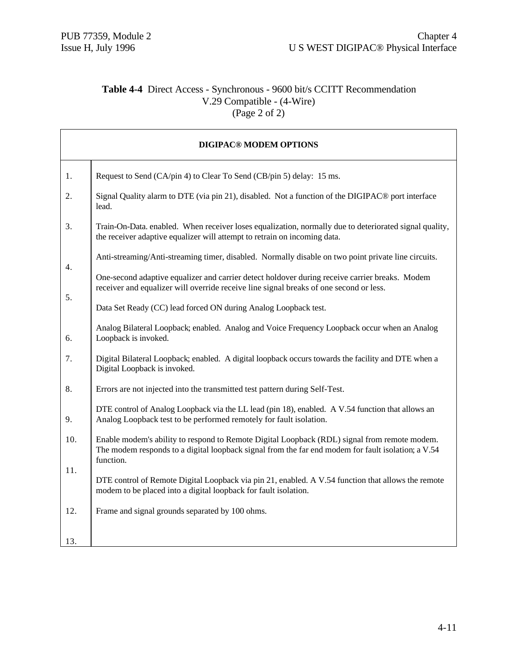$\mathbf{r}$ 

### **Table 4-4** Direct Access - Synchronous - 9600 bit/s CCITT Recommendation V.29 Compatible - (4-Wire)  $(\text{Page 2 of 2})$

|     | <b>DIGIPAC® MODEM OPTIONS</b>                                                                                                                                                                                   |
|-----|-----------------------------------------------------------------------------------------------------------------------------------------------------------------------------------------------------------------|
| 1.  | Request to Send (CA/pin 4) to Clear To Send (CB/pin 5) delay: 15 ms.                                                                                                                                            |
| 2.  | Signal Quality alarm to DTE (via pin 21), disabled. Not a function of the DIGIPAC <sup>®</sup> port interface<br>lead.                                                                                          |
| 3.  | Train-On-Data. enabled. When receiver loses equalization, normally due to deteriorated signal quality,<br>the receiver adaptive equalizer will attempt to retrain on incoming data.                             |
| 4.  | Anti-streaming/Anti-streaming timer, disabled. Normally disable on two point private line circuits.                                                                                                             |
| 5.  | One-second adaptive equalizer and carrier detect holdover during receive carrier breaks. Modem<br>receiver and equalizer will override receive line signal breaks of one second or less.                        |
|     | Data Set Ready (CC) lead forced ON during Analog Loopback test.                                                                                                                                                 |
| 6.  | Analog Bilateral Loopback; enabled. Analog and Voice Frequency Loopback occur when an Analog<br>Loopback is invoked.                                                                                            |
| 7.  | Digital Bilateral Loopback; enabled. A digital loopback occurs towards the facility and DTE when a<br>Digital Loopback is invoked.                                                                              |
| 8.  | Errors are not injected into the transmitted test pattern during Self-Test.                                                                                                                                     |
| 9.  | DTE control of Analog Loopback via the LL lead (pin 18), enabled. A V.54 function that allows an<br>Analog Loopback test to be performed remotely for fault isolation.                                          |
| 10. | Enable modem's ability to respond to Remote Digital Loopback (RDL) signal from remote modem.<br>The modem responds to a digital loopback signal from the far end modem for fault isolation; a V.54<br>function. |
| 11. | DTE control of Remote Digital Loopback via pin 21, enabled. A V.54 function that allows the remote<br>modem to be placed into a digital loopback for fault isolation.                                           |
| 12. | Frame and signal grounds separated by 100 ohms.                                                                                                                                                                 |
| 13. |                                                                                                                                                                                                                 |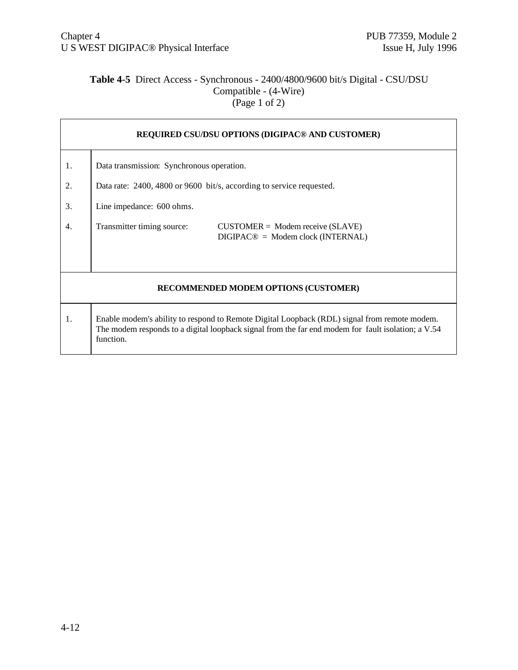### **Table 4-5** Direct Access - Synchronous - 2400/4800/9600 bit/s Digital - CSU/DSU Compatible - (4-Wire)  $(Page 1 of 2)$

|    | <b>REQUIRED CSU/DSU OPTIONS (DIGIPAC® AND CUSTOMER)</b>                                                                                                                                                         |  |  |  |
|----|-----------------------------------------------------------------------------------------------------------------------------------------------------------------------------------------------------------------|--|--|--|
| 1. | Data transmission: Synchronous operation.                                                                                                                                                                       |  |  |  |
| 2. | Data rate: 2400, 4800 or 9600 bit/s, according to service requested.                                                                                                                                            |  |  |  |
| 3. | Line impedance: 600 ohms.                                                                                                                                                                                       |  |  |  |
| 4. | Transmitter timing source:<br>$CUSTOMER = Modem receive (SLAVE)$<br>$DIGIPAC@ = Modem clock (INTERNAL)$                                                                                                         |  |  |  |
|    | RECOMMENDED MODEM OPTIONS (CUSTOMER)                                                                                                                                                                            |  |  |  |
| 1. | Enable modem's ability to respond to Remote Digital Loopback (RDL) signal from remote modem.<br>The modem responds to a digital loopback signal from the far end modem for fault isolation; a V.54<br>function. |  |  |  |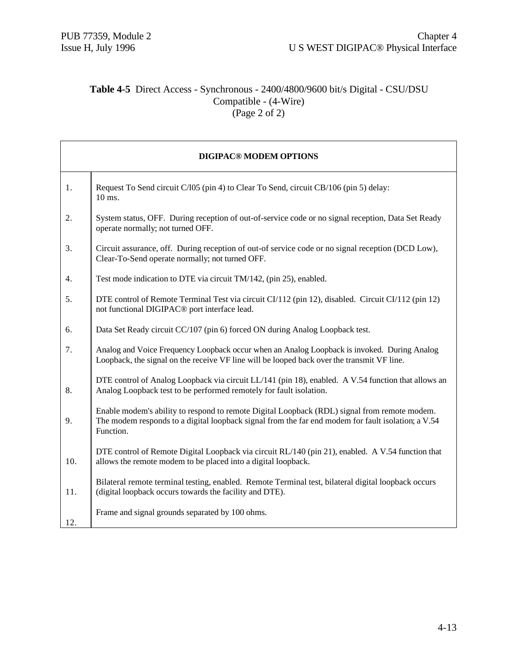### **Table 4-5** Direct Access - Synchronous - 2400/4800/9600 bit/s Digital - CSU/DSU Compatible - (4-Wire) (Page 2 of 2)

|                  | <b>DIGIPAC® MODEM OPTIONS</b>                                                                                                                                                                                   |
|------------------|-----------------------------------------------------------------------------------------------------------------------------------------------------------------------------------------------------------------|
| 1.               | Request To Send circuit C/l05 (pin 4) to Clear To Send, circuit CB/106 (pin 5) delay:<br>10 ms.                                                                                                                 |
| 2.               | System status, OFF. During reception of out-of-service code or no signal reception, Data Set Ready<br>operate normally; not turned OFF.                                                                         |
| 3.               | Circuit assurance, off. During reception of out-of service code or no signal reception (DCD Low),<br>Clear-To-Send operate normally; not turned OFF.                                                            |
| $\overline{4}$ . | Test mode indication to DTE via circuit TM/142, (pin 25), enabled.                                                                                                                                              |
| 5.               | DTE control of Remote Terminal Test via circuit CI/112 (pin 12), disabled. Circuit CI/112 (pin 12)<br>not functional DIGIPAC <sup>®</sup> port interface lead.                                                  |
| 6.               | Data Set Ready circuit CC/107 (pin 6) forced ON during Analog Loopback test.                                                                                                                                    |
| 7.               | Analog and Voice Frequency Loopback occur when an Analog Loopback is invoked. During Analog<br>Loopback, the signal on the receive VF line will be looped back over the transmit VF line.                       |
| 8.               | DTE control of Analog Loopback via circuit LL/141 (pin 18), enabled. A V.54 function that allows an<br>Analog Loopback test to be performed remotely for fault isolation.                                       |
| 9.               | Enable modem's ability to respond to remote Digital Loopback (RDL) signal from remote modem.<br>The modem responds to a digital loopback signal from the far end modem for fault isolation; a V.54<br>Function. |
| 10.              | DTE control of Remote Digital Loopback via circuit RL/140 (pin 21), enabled. A V.54 function that<br>allows the remote modem to be placed into a digital loopback.                                              |
| 11.              | Bilateral remote terminal testing, enabled. Remote Terminal test, bilateral digital loopback occurs<br>(digital loopback occurs towards the facility and DTE).                                                  |
| 12.              | Frame and signal grounds separated by 100 ohms.                                                                                                                                                                 |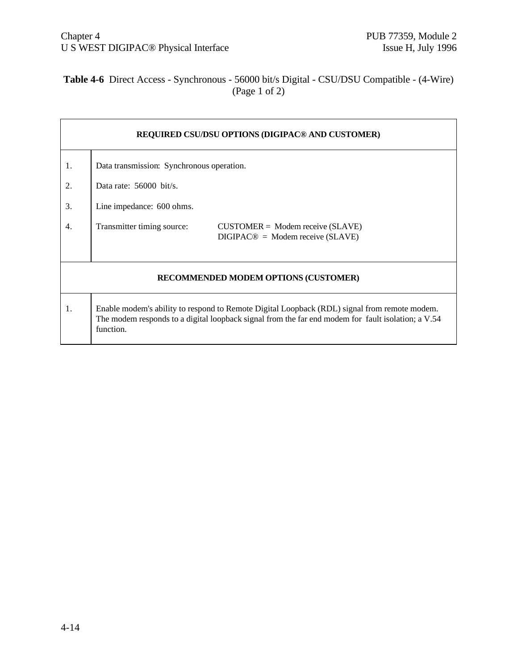# **Table 4-6** Direct Access - Synchronous - 56000 bit/s Digital - CSU/DSU Compatible - (4-Wire) (Page 1 of 2)

|    | REQUIRED CSU/DSU OPTIONS (DIGIPAC <sup>®</sup> AND CUSTOMER)                                                                                                                                                    |  |  |  |  |
|----|-----------------------------------------------------------------------------------------------------------------------------------------------------------------------------------------------------------------|--|--|--|--|
| 1. | Data transmission: Synchronous operation.                                                                                                                                                                       |  |  |  |  |
| 2. | Data rate: $56000$ bit/s.                                                                                                                                                                                       |  |  |  |  |
| 3. | Line impedance: 600 ohms.                                                                                                                                                                                       |  |  |  |  |
| 4. | Transmitter timing source:<br>$CUSTOMER = Modem receive (SLAVE)$<br>$DIGIPAC@ = Modem receive(SLAVE)$                                                                                                           |  |  |  |  |
|    | RECOMMENDED MODEM OPTIONS (CUSTOMER)                                                                                                                                                                            |  |  |  |  |
| 1. | Enable modem's ability to respond to Remote Digital Loopback (RDL) signal from remote modem.<br>The modem responds to a digital loopback signal from the far end modem for fault isolation; a V.54<br>function. |  |  |  |  |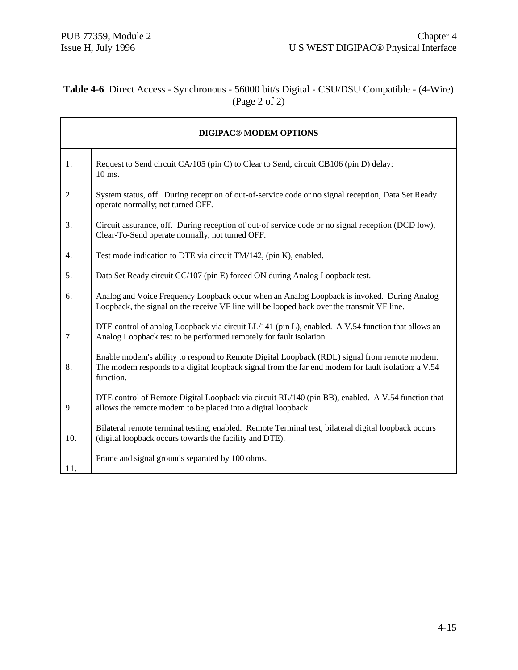# **Table 4-6** Direct Access - Synchronous - 56000 bit/s Digital - CSU/DSU Compatible - (4-Wire) (Page 2 of 2)

|     | <b>DIGIPAC® MODEM OPTIONS</b>                                                                                                                                                                                   |
|-----|-----------------------------------------------------------------------------------------------------------------------------------------------------------------------------------------------------------------|
| 1.  | Request to Send circuit CA/105 (pin C) to Clear to Send, circuit CB106 (pin D) delay:<br>10 ms.                                                                                                                 |
| 2.  | System status, off. During reception of out-of-service code or no signal reception, Data Set Ready<br>operate normally; not turned OFF.                                                                         |
| 3.  | Circuit assurance, off. During reception of out-of service code or no signal reception (DCD low),<br>Clear-To-Send operate normally; not turned OFF.                                                            |
| 4.  | Test mode indication to DTE via circuit TM/142, (pin K), enabled.                                                                                                                                               |
| 5.  | Data Set Ready circuit CC/107 (pin E) forced ON during Analog Loopback test.                                                                                                                                    |
| 6.  | Analog and Voice Frequency Loopback occur when an Analog Loopback is invoked. During Analog<br>Loopback, the signal on the receive VF line will be looped back over the transmit VF line.                       |
| 7.  | DTE control of analog Loopback via circuit LL/141 (pin L), enabled. A V.54 function that allows an<br>Analog Loopback test to be performed remotely for fault isolation.                                        |
| 8.  | Enable modem's ability to respond to Remote Digital Loopback (RDL) signal from remote modem.<br>The modem responds to a digital loopback signal from the far end modem for fault isolation; a V.54<br>function. |
| 9.  | DTE control of Remote Digital Loopback via circuit RL/140 (pin BB), enabled. A V.54 function that<br>allows the remote modem to be placed into a digital loopback.                                              |
| 10. | Bilateral remote terminal testing, enabled. Remote Terminal test, bilateral digital loopback occurs<br>(digital loopback occurs towards the facility and DTE).                                                  |
| 11. | Frame and signal grounds separated by 100 ohms.                                                                                                                                                                 |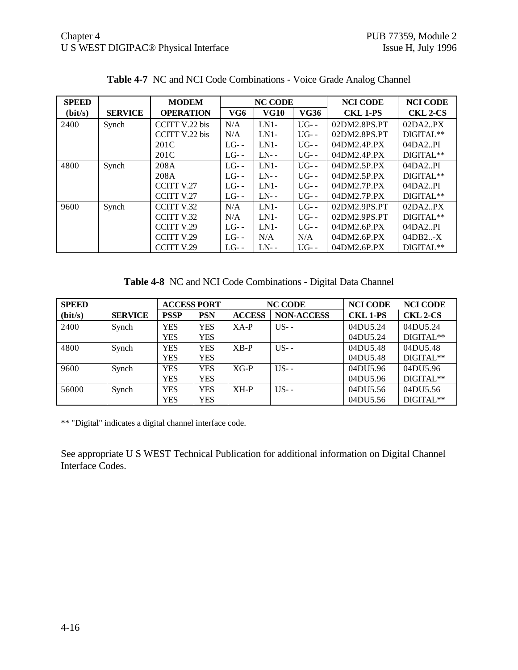| <b>SPEED</b> |                | <b>MODEM</b>      |         | <b>NC CODE</b> |             | <b>NCI CODE</b> | <b>NCI CODE</b> |
|--------------|----------------|-------------------|---------|----------------|-------------|-----------------|-----------------|
| (bit/s)      | <b>SERVICE</b> | <b>OPERATION</b>  | VG6     | <b>VG10</b>    | <b>VG36</b> | <b>CKL 1-PS</b> | <b>CKL 2-CS</b> |
| 2400         | Synch          | CCITT V.22 bis    | N/A     | $LN1-$         | $UG-$       | 02DM2.8PS.PT    | 02DA2PX         |
|              |                | CCITT V.22 bis    | N/A     | $LN1-$         | $UG-$       | 02DM2.8PS.PT    | DIGITAL**       |
|              |                | 201C              | $LG$ -- | $LN1-$         | $UG-$       | 04DM2.4P.PX     | 04DA2.PI        |
|              |                | 201C              | $LG$ -- | $LN-$          | $UG-$       | 04DM2.4P.PX     | DIGITAL**       |
| 4800         | Synch          | 208A              | $LG$ -- | $LN1-$         | $UG-$       | 04DM2.5P.PX     | 04DA2.PI        |
|              |                | 208A              | $LG$ -- | $LN-$          | $UG-$       | 04DM2.5P.PX     | DIGITAL**       |
|              |                | <b>CCITT V.27</b> | $LG$ -- | $LN1-$         | $UG-$       | 04DM2.7P.PX     | 04DA2PI         |
|              |                | CCITT V.27        | $LG$ -- | $LN-$          | $UG-$       | 04DM2.7P.PX     | DIGITAL**       |
| 9600         | Synch          | CCITT V.32        | N/A     | $LN1-$         | $UG-$       | 02DM2.9PS.PT    | 02DA2.PX        |
|              |                | <b>CCITT V.32</b> | N/A     | $LN1-$         | $UG-$       | 02DM2.9PS.PT    | DIGITAL**       |
|              |                | CCITT V.29        | $LG$ -- | $LN1-$         | $UG-$       | 04DM2.6P.PX     | 04DA2.PI        |
|              |                | CCITT V.29        | $LG$ -- | N/A            | N/A         | 04DM2.6P.PX     | 04DB2X          |
|              |                | CCITT V.29        | $LG$ -- | $LN-$          | $UG-$       | 04DM2.6P.PX     | DIGITAL**       |

**Table 4-7** NC and NCI Code Combinations - Voice Grade Analog Channel

**Table 4-8** NC and NCI Code Combinations - Digital Data Channel

| <b>SPEED</b> |                | <b>ACCESS PORT</b> |            | <b>NC CODE</b> |                   | <b>NCI CODE</b> | <b>NCI CODE</b> |
|--------------|----------------|--------------------|------------|----------------|-------------------|-----------------|-----------------|
| (bit/s)      | <b>SERVICE</b> | <b>PSSP</b>        | <b>PSN</b> | <b>ACCESS</b>  | <b>NON-ACCESS</b> | <b>CKL 1-PS</b> | <b>CKL 2-CS</b> |
| 2400         | Synch          | <b>YES</b>         | <b>YES</b> | $XA-P$         | $US -$            | 04DU5.24        | 04DU5.24        |
|              |                | YES                | <b>YES</b> |                |                   | 04DU5.24        | DIGITAL**       |
| 4800         | Synch          | YES                | <b>YES</b> | $XB-P$         | $US -$            | 04DU5.48        | 04DU5.48        |
|              |                | <b>YES</b>         | <b>YES</b> |                |                   | 04DU5.48        | DIGITAL**       |
| 9600         | Synch          | <b>YES</b>         | <b>YES</b> | $XG-P$         | $US -$            | 04DU5.96        | 04DU5.96        |
|              |                | YES                | <b>YES</b> |                |                   | 04DU5.96        | DIGITAL**       |
| 56000        | Synch          | <b>YES</b>         | YES        | $XH-P$         | $US -$            | 04DU5.56        | 04DU5.56        |
|              |                | YES                | <b>YES</b> |                |                   | 04DU5.56        | DIGITAL**       |

\*\* "Digital" indicates a digital channel interface code.

See appropriate U S WEST Technical Publication for additional information on Digital Channel Interface Codes.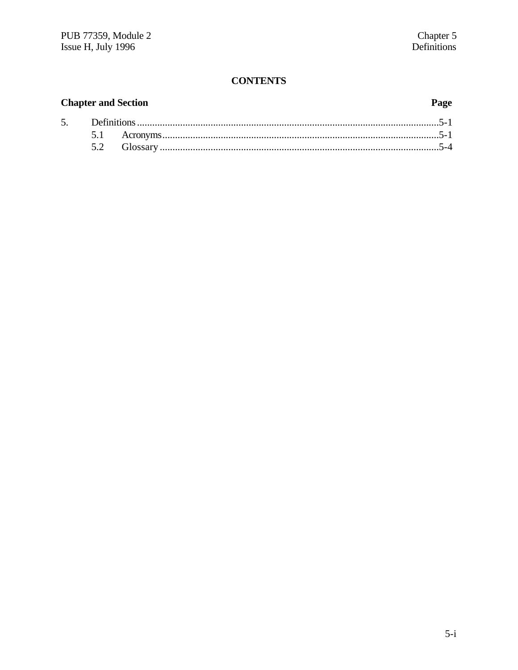## **CONTENTS**

#### **Chapter and Section** Page 5. 5.1  $5.2$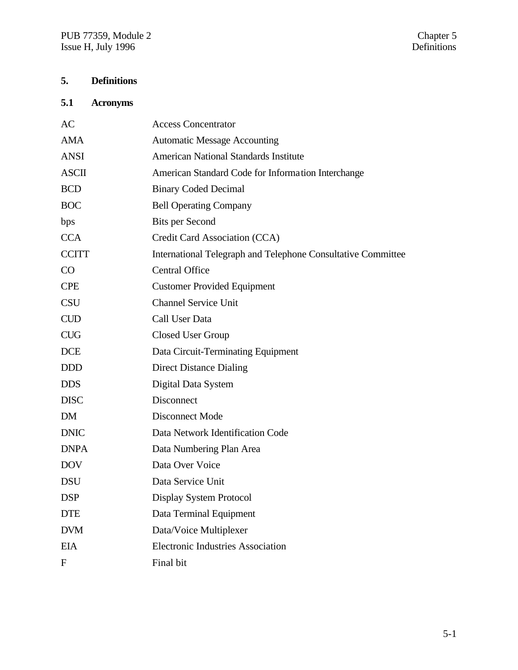# **5. Definitions**

# **5.1 Acronyms**

| AC           | <b>Access Concentrator</b>                                   |
|--------------|--------------------------------------------------------------|
| <b>AMA</b>   | <b>Automatic Message Accounting</b>                          |
| <b>ANSI</b>  | <b>American National Standards Institute</b>                 |
| <b>ASCII</b> | American Standard Code for Information Interchange           |
| <b>BCD</b>   | <b>Binary Coded Decimal</b>                                  |
| <b>BOC</b>   | <b>Bell Operating Company</b>                                |
| bps          | <b>Bits per Second</b>                                       |
| <b>CCA</b>   | Credit Card Association (CCA)                                |
| <b>CCITT</b> | International Telegraph and Telephone Consultative Committee |
| CO           | <b>Central Office</b>                                        |
| <b>CPE</b>   | <b>Customer Provided Equipment</b>                           |
| <b>CSU</b>   | <b>Channel Service Unit</b>                                  |
| <b>CUD</b>   | Call User Data                                               |
| <b>CUG</b>   | Closed User Group                                            |
| <b>DCE</b>   | Data Circuit-Terminating Equipment                           |
| <b>DDD</b>   | <b>Direct Distance Dialing</b>                               |
| <b>DDS</b>   | Digital Data System                                          |
| <b>DISC</b>  | Disconnect                                                   |
| DM           | <b>Disconnect Mode</b>                                       |
| <b>DNIC</b>  | Data Network Identification Code                             |
| <b>DNPA</b>  | Data Numbering Plan Area                                     |
| <b>DOV</b>   | Data Over Voice                                              |
| <b>DSU</b>   | Data Service Unit                                            |
| <b>DSP</b>   | Display System Protocol                                      |
| <b>DTE</b>   | Data Terminal Equipment                                      |
| <b>DVM</b>   | Data/Voice Multiplexer                                       |
| <b>EIA</b>   | <b>Electronic Industries Association</b>                     |
| F            | Final bit                                                    |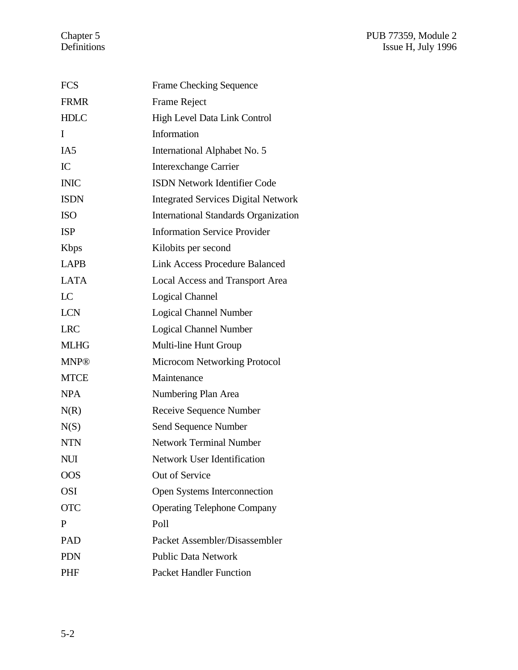| <b>FCS</b>      | <b>Frame Checking Sequence</b>              |
|-----------------|---------------------------------------------|
| <b>FRMR</b>     | <b>Frame Reject</b>                         |
| <b>HDLC</b>     | High Level Data Link Control                |
| I               | Information                                 |
| IA <sub>5</sub> | International Alphabet No. 5                |
| IC              | <b>Interexchange Carrier</b>                |
| <b>INIC</b>     | <b>ISDN Network Identifier Code</b>         |
| <b>ISDN</b>     | <b>Integrated Services Digital Network</b>  |
| <b>ISO</b>      | <b>International Standards Organization</b> |
| <b>ISP</b>      | <b>Information Service Provider</b>         |
| <b>K</b> bps    | Kilobits per second                         |
| <b>LAPB</b>     | <b>Link Access Procedure Balanced</b>       |
| <b>LATA</b>     | <b>Local Access and Transport Area</b>      |
| LC              | <b>Logical Channel</b>                      |
| <b>LCN</b>      | <b>Logical Channel Number</b>               |
| <b>LRC</b>      | <b>Logical Channel Number</b>               |
| <b>MLHG</b>     | Multi-line Hunt Group                       |
| <b>MNP®</b>     | <b>Microcom Networking Protocol</b>         |
| <b>MTCE</b>     | Maintenance                                 |
| <b>NPA</b>      | Numbering Plan Area                         |
| N(R)            | Receive Sequence Number                     |
| N(S)            | Send Sequence Number                        |
| <b>NTN</b>      | <b>Network Terminal Number</b>              |
| NUI             | Network User Identification                 |
| <b>OOS</b>      | Out of Service                              |
| <b>OSI</b>      | Open Systems Interconnection                |
| <b>OTC</b>      | <b>Operating Telephone Company</b>          |
| P               | Poll                                        |
| PAD             | Packet Assembler/Disassembler               |
| <b>PDN</b>      | <b>Public Data Network</b>                  |
| <b>PHF</b>      | <b>Packet Handler Function</b>              |
|                 |                                             |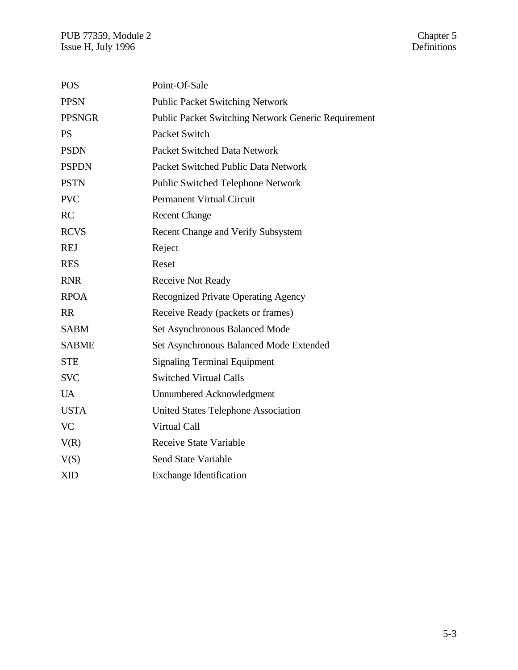| <b>POS</b>    | Point-Of-Sale                                              |
|---------------|------------------------------------------------------------|
| <b>PPSN</b>   | <b>Public Packet Switching Network</b>                     |
| <b>PPSNGR</b> | <b>Public Packet Switching Network Generic Requirement</b> |
| <b>PS</b>     | Packet Switch                                              |
| <b>PSDN</b>   | Packet Switched Data Network                               |
| <b>PSPDN</b>  | Packet Switched Public Data Network                        |
| <b>PSTN</b>   | <b>Public Switched Telephone Network</b>                   |
| <b>PVC</b>    | <b>Permanent Virtual Circuit</b>                           |
| RC            | <b>Recent Change</b>                                       |
| <b>RCVS</b>   | Recent Change and Verify Subsystem                         |
| <b>REJ</b>    | Reject                                                     |
| <b>RES</b>    | Reset                                                      |
| <b>RNR</b>    | Receive Not Ready                                          |
| <b>RPOA</b>   | Recognized Private Operating Agency                        |
| <b>RR</b>     | Receive Ready (packets or frames)                          |
| <b>SABM</b>   | Set Asynchronous Balanced Mode                             |
| <b>SABME</b>  | Set Asynchronous Balanced Mode Extended                    |
| <b>STE</b>    | <b>Signaling Terminal Equipment</b>                        |
| <b>SVC</b>    | <b>Switched Virtual Calls</b>                              |
| <b>UA</b>     | Unnumbered Acknowledgment                                  |
| <b>USTA</b>   | <b>United States Telephone Association</b>                 |
| <b>VC</b>     | Virtual Call                                               |
| V(R)          | <b>Receive State Variable</b>                              |
| V(S)          | <b>Send State Variable</b>                                 |
| <b>XID</b>    | <b>Exchange Identification</b>                             |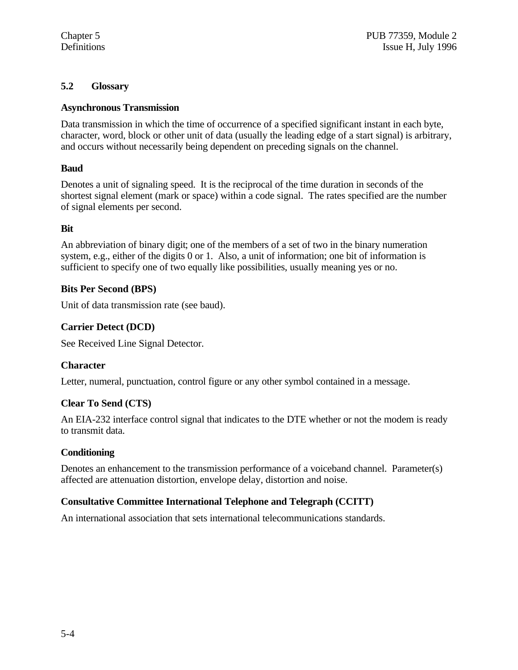### **5.2 Glossary**

### **Asynchronous Transmission**

Data transmission in which the time of occurrence of a specified significant instant in each byte, character, word, block or other unit of data (usually the leading edge of a start signal) is arbitrary, and occurs without necessarily being dependent on preceding signals on the channel.

### **Baud**

Denotes a unit of signaling speed. It is the reciprocal of the time duration in seconds of the shortest signal element (mark or space) within a code signal. The rates specified are the number of signal elements per second.

### **Bit**

An abbreviation of binary digit; one of the members of a set of two in the binary numeration system, e.g., either of the digits 0 or 1. Also, a unit of information; one bit of information is sufficient to specify one of two equally like possibilities, usually meaning yes or no.

### **Bits Per Second (BPS)**

Unit of data transmission rate (see baud).

### **Carrier Detect (DCD)**

See Received Line Signal Detector.

### **Character**

Letter, numeral, punctuation, control figure or any other symbol contained in a message.

### **Clear To Send (CTS)**

An EIA-232 interface control signal that indicates to the DTE whether or not the modem is ready to transmit data.

### **Conditioning**

Denotes an enhancement to the transmission performance of a voiceband channel. Parameter(s) affected are attenuation distortion, envelope delay, distortion and noise.

## **Consultative Committee International Telephone and Telegraph (CCITT)**

An international association that sets international telecommunications standards.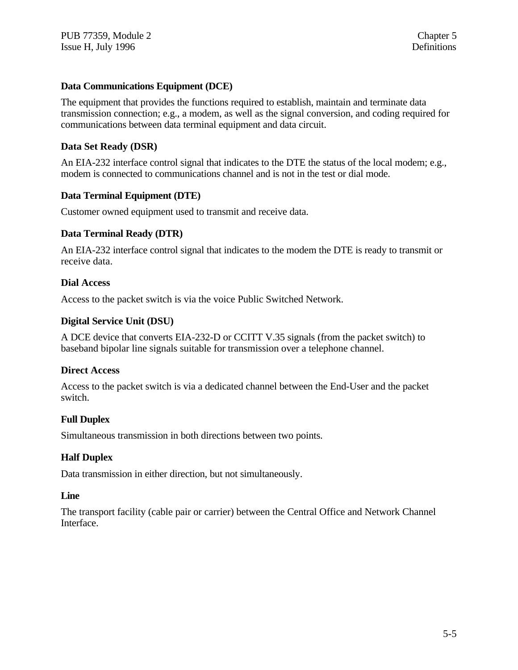### **Data Communications Equipment (DCE)**

The equipment that provides the functions required to establish, maintain and terminate data transmission connection; e.g., a modem, as well as the signal conversion, and coding required for communications between data terminal equipment and data circuit.

#### **Data Set Ready (DSR)**

An EIA-232 interface control signal that indicates to the DTE the status of the local modem; e.g., modem is connected to communications channel and is not in the test or dial mode.

#### **Data Terminal Equipment (DTE)**

Customer owned equipment used to transmit and receive data.

#### **Data Terminal Ready (DTR)**

An EIA-232 interface control signal that indicates to the modem the DTE is ready to transmit or receive data.

#### **Dial Access**

Access to the packet switch is via the voice Public Switched Network.

#### **Digital Service Unit (DSU)**

A DCE device that converts EIA-232-D or CCITT V.35 signals (from the packet switch) to baseband bipolar line signals suitable for transmission over a telephone channel.

#### **Direct Access**

Access to the packet switch is via a dedicated channel between the End-User and the packet switch.

### **Full Duplex**

Simultaneous transmission in both directions between two points.

#### **Half Duplex**

Data transmission in either direction, but not simultaneously.

#### **Line**

The transport facility (cable pair or carrier) between the Central Office and Network Channel Interface.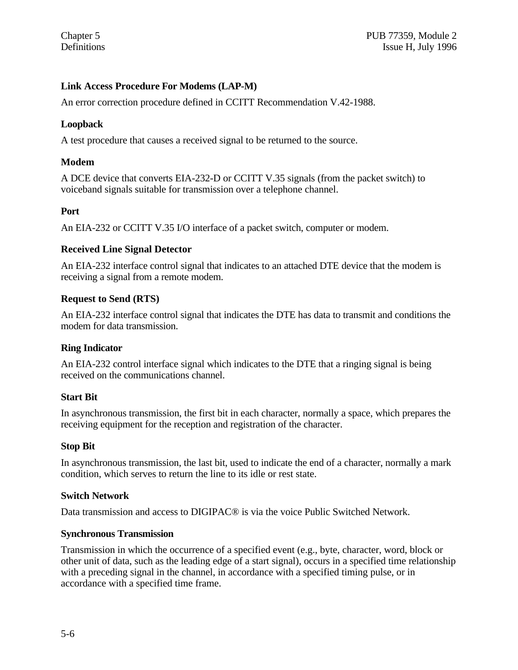### **Link Access Procedure For Modems (LAP-M)**

An error correction procedure defined in CCITT Recommendation V.42-1988.

### **Loopback**

A test procedure that causes a received signal to be returned to the source.

### **Modem**

A DCE device that converts EIA-232-D or CCITT V.35 signals (from the packet switch) to voiceband signals suitable for transmission over a telephone channel.

#### **Port**

An EIA-232 or CCITT V.35 I/O interface of a packet switch, computer or modem.

#### **Received Line Signal Detector**

An EIA-232 interface control signal that indicates to an attached DTE device that the modem is receiving a signal from a remote modem.

#### **Request to Send (RTS)**

An EIA-232 interface control signal that indicates the DTE has data to transmit and conditions the modem for data transmission.

#### **Ring Indicator**

An EIA-232 control interface signal which indicates to the DTE that a ringing signal is being received on the communications channel.

#### **Start Bit**

In asynchronous transmission, the first bit in each character, normally a space, which prepares the receiving equipment for the reception and registration of the character.

#### **Stop Bit**

In asynchronous transmission, the last bit, used to indicate the end of a character, normally a mark condition, which serves to return the line to its idle or rest state.

#### **Switch Network**

Data transmission and access to DIGIPAC® is via the voice Public Switched Network.

#### **Synchronous Transmission**

Transmission in which the occurrence of a specified event (e.g., byte, character, word, block or other unit of data, such as the leading edge of a start signal), occurs in a specified time relationship with a preceding signal in the channel, in accordance with a specified timing pulse, or in accordance with a specified time frame.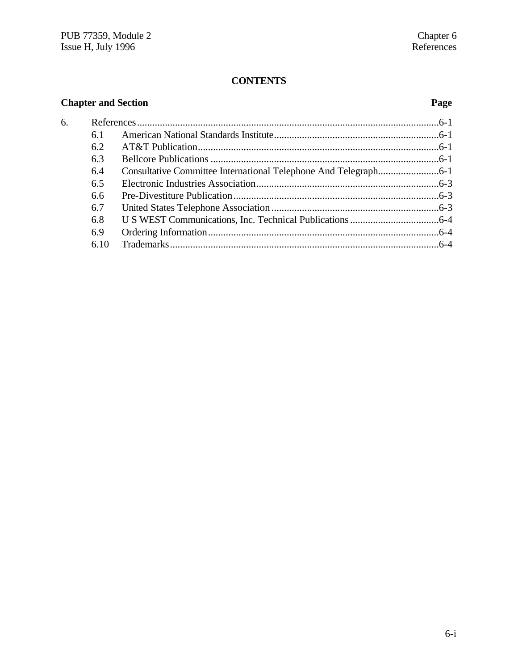# **CONTENTS**

| <b>Chapter and Section</b> |      |  |  |  |
|----------------------------|------|--|--|--|
| 6.                         |      |  |  |  |
|                            | 6.1  |  |  |  |
|                            | 6.2  |  |  |  |
|                            | 6.3  |  |  |  |
|                            | 6.4  |  |  |  |
|                            | 6.5  |  |  |  |
|                            | 6.6  |  |  |  |
|                            | 6.7  |  |  |  |
|                            | 6.8  |  |  |  |
|                            | 6.9  |  |  |  |
|                            | 6.10 |  |  |  |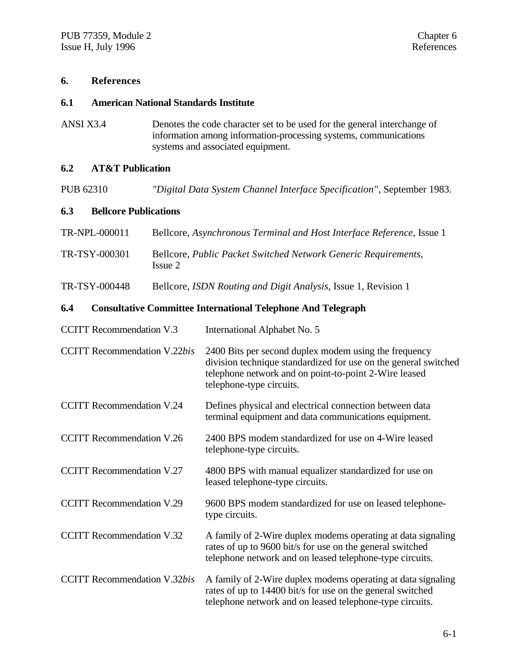### **6. References**

#### **6.1 American National Standards Institute**

ANSI X3.4 Denotes the code character set to be used for the general interchange of information among information-processing systems, communications systems and associated equipment.

### **6.2 AT&T Publication**

PUB 62310 *"Digital Data System Channel Interface Specification"*, September 1983.

#### **6.3 Bellcore Publications**

| TR-NPL-000011 | Bellcore, Asynchronous Terminal and Host Interface Reference, Issue 1     |
|---------------|---------------------------------------------------------------------------|
| TR-TSY-000301 | Bellcore, Public Packet Switched Network Generic Requirements,<br>Issue 2 |

TR-TSY-000448 Bellcore, *ISDN Routing and Digit Analysis,* Issue 1, Revision 1

### **6.4 Consultative Committee International Telephone And Telegraph**

| <b>CCITT</b> Recommendation V.3     | International Alphabet No. 5                                                                                                                                                                                  |
|-------------------------------------|---------------------------------------------------------------------------------------------------------------------------------------------------------------------------------------------------------------|
| <b>CCITT</b> Recommendation V.22bis | 2400 Bits per second duplex modem using the frequency<br>division technique standardized for use on the general switched<br>telephone network and on point-to-point 2-Wire leased<br>telephone-type circuits. |
| <b>CCITT Recommendation V.24</b>    | Defines physical and electrical connection between data<br>terminal equipment and data communications equipment.                                                                                              |
| <b>CCITT Recommendation V.26</b>    | 2400 BPS modem standardized for use on 4-Wire leased<br>telephone-type circuits.                                                                                                                              |
| <b>CCITT</b> Recommendation V.27    | 4800 BPS with manual equalizer standardized for use on<br>leased telephone-type circuits.                                                                                                                     |
| <b>CCITT Recommendation V.29</b>    | 9600 BPS modem standardized for use on leased telephone-<br>type circuits.                                                                                                                                    |
| <b>CCITT Recommendation V.32</b>    | A family of 2-Wire duplex modems operating at data signaling<br>rates of up to 9600 bit/s for use on the general switched<br>telephone network and on leased telephone-type circuits.                         |
| <b>CCITT</b> Recommendation V.32bis | A family of 2-Wire duplex modems operating at data signaling<br>rates of up to 14400 bit/s for use on the general switched<br>telephone network and on leased telephone-type circuits.                        |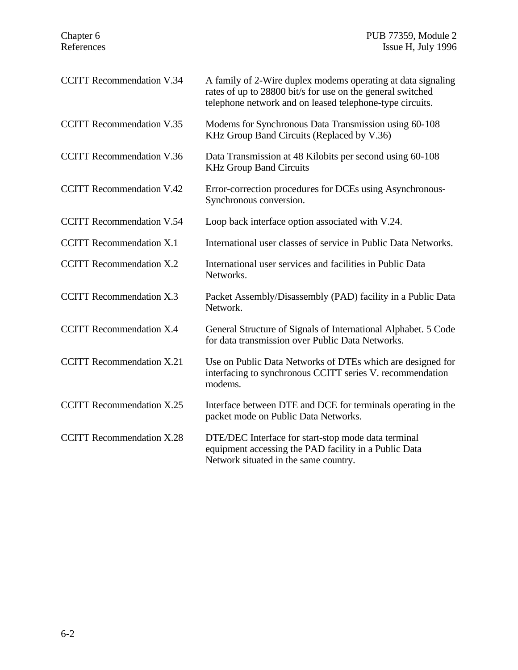| <b>CCITT Recommendation V.34</b> | A family of 2-Wire duplex modems operating at data signaling<br>rates of up to 28800 bit/s for use on the general switched<br>telephone network and on leased telephone-type circuits. |
|----------------------------------|----------------------------------------------------------------------------------------------------------------------------------------------------------------------------------------|
| <b>CCITT Recommendation V.35</b> | Modems for Synchronous Data Transmission using 60-108<br>KHz Group Band Circuits (Replaced by V.36)                                                                                    |
| <b>CCITT</b> Recommendation V.36 | Data Transmission at 48 Kilobits per second using 60-108<br><b>KHz Group Band Circuits</b>                                                                                             |
| <b>CCITT Recommendation V.42</b> | Error-correction procedures for DCEs using Asynchronous-<br>Synchronous conversion.                                                                                                    |
| <b>CCITT Recommendation V.54</b> | Loop back interface option associated with V.24.                                                                                                                                       |
| <b>CCITT</b> Recommendation X.1  | International user classes of service in Public Data Networks.                                                                                                                         |
| <b>CCITT</b> Recommendation X.2  | International user services and facilities in Public Data<br>Networks.                                                                                                                 |
| <b>CCITT Recommendation X.3</b>  | Packet Assembly/Disassembly (PAD) facility in a Public Data<br>Network.                                                                                                                |
| <b>CCITT Recommendation X.4</b>  | General Structure of Signals of International Alphabet. 5 Code<br>for data transmission over Public Data Networks.                                                                     |
| <b>CCITT</b> Recommendation X.21 | Use on Public Data Networks of DTEs which are designed for<br>interfacing to synchronous CCITT series V. recommendation<br>modems.                                                     |
| <b>CCITT</b> Recommendation X.25 | Interface between DTE and DCE for terminals operating in the<br>packet mode on Public Data Networks.                                                                                   |
| <b>CCITT</b> Recommendation X.28 | DTE/DEC Interface for start-stop mode data terminal<br>equipment accessing the PAD facility in a Public Data<br>Network situated in the same country.                                  |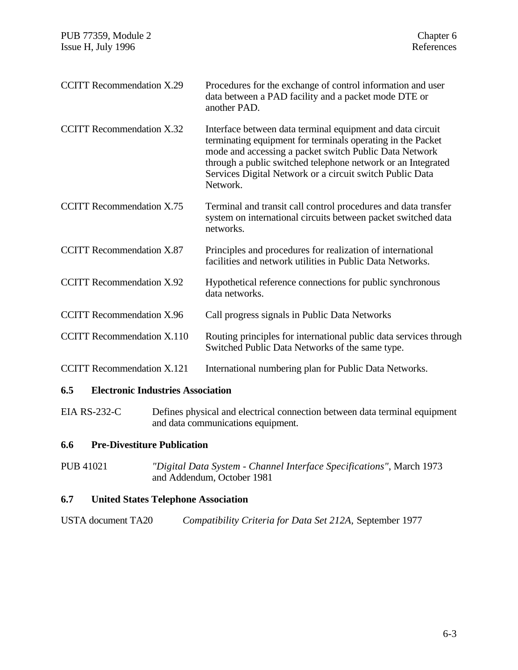| <b>CCITT Recommendation X.29</b>  | Procedures for the exchange of control information and user<br>data between a PAD facility and a packet mode DTE or<br>another PAD.                                                                                                                                                                                         |
|-----------------------------------|-----------------------------------------------------------------------------------------------------------------------------------------------------------------------------------------------------------------------------------------------------------------------------------------------------------------------------|
| <b>CCITT</b> Recommendation X.32  | Interface between data terminal equipment and data circuit<br>terminating equipment for terminals operating in the Packet<br>mode and accessing a packet switch Public Data Network<br>through a public switched telephone network or an Integrated<br>Services Digital Network or a circuit switch Public Data<br>Network. |
| <b>CCITT Recommendation X.75</b>  | Terminal and transit call control procedures and data transfer<br>system on international circuits between packet switched data<br>networks.                                                                                                                                                                                |
| <b>CCITT Recommendation X.87</b>  | Principles and procedures for realization of international<br>facilities and network utilities in Public Data Networks.                                                                                                                                                                                                     |
| <b>CCITT Recommendation X.92</b>  | Hypothetical reference connections for public synchronous<br>data networks.                                                                                                                                                                                                                                                 |
| <b>CCITT Recommendation X.96</b>  | Call progress signals in Public Data Networks                                                                                                                                                                                                                                                                               |
| <b>CCITT</b> Recommendation X.110 | Routing principles for international public data services through<br>Switched Public Data Networks of the same type.                                                                                                                                                                                                        |
| <b>CCITT</b> Recommendation X.121 | International numbering plan for Public Data Networks.                                                                                                                                                                                                                                                                      |

# **6.5 Electronic Industries Association**

EIA RS-232-C Defines physical and electrical connection between data terminal equipment and data communications equipment.

### **6.6 Pre-Divestiture Publication**

PUB 41021 *"Digital Data System - Channel Interface Specifications"*, March 1973 and Addendum, October 1981

## **6.7 United States Telephone Association**

| USTA document TA20 |  |  |  | Compatibility Criteria for Data Set 212A, September 1977 |
|--------------------|--|--|--|----------------------------------------------------------|
|--------------------|--|--|--|----------------------------------------------------------|